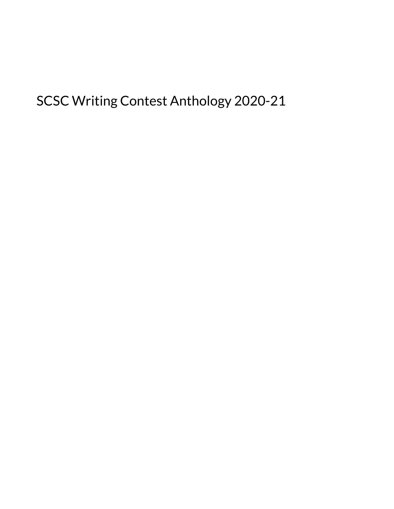SCSC Writing Contest Anthology 2020-21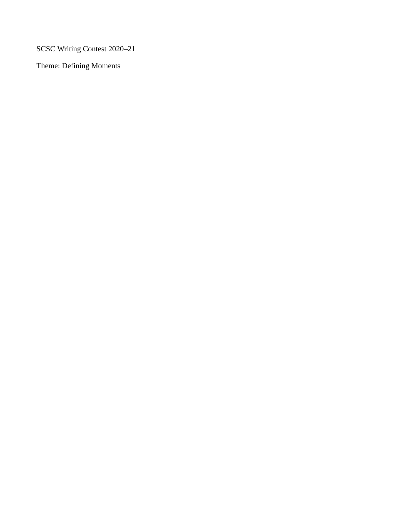SCSC Writing Contest 2020–21

Theme: Defining Moments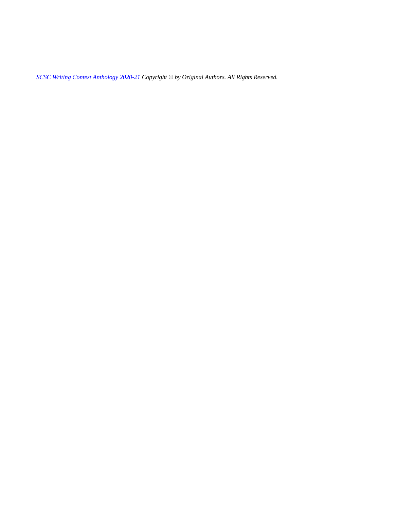*[SCSC Writing Contest Anthology 2020-21](https://mlpp.pressbooks.pub/scscwritingcontest2021) Copyright © by Original Authors. All Rights Reserved.*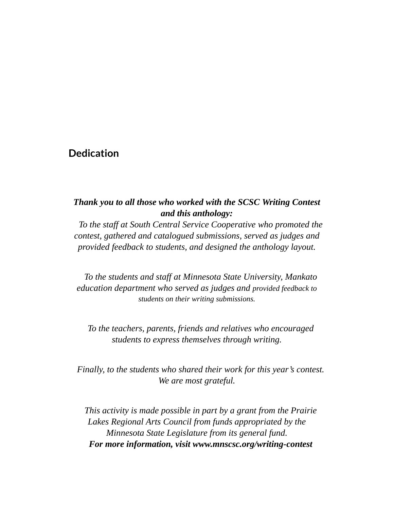#### **Dedication**

#### *Thank you to all those who worked with the SCSC Writing Contest and this anthology:*

*To the staff at South Central Service Cooperative who promoted the contest, gathered and catalogued submissions, served as judges and provided feedback to students, and designed the anthology layout.* 

*To the students and staff at Minnesota State University, Mankato education department who served as judges and provided feedback to students on their writing submissions.* 

*To the teachers, parents, friends and relatives who encouraged students to express themselves through writing.* 

*Finally, to the students who shared their work for this year's contest. We are most grateful.* 

*This activity is made possible in part by a grant from the Prairie Lakes Regional Arts Council from funds appropriated by the Minnesota State Legislature from its general fund. For more information, visit www.mnscsc.org/writing-contest*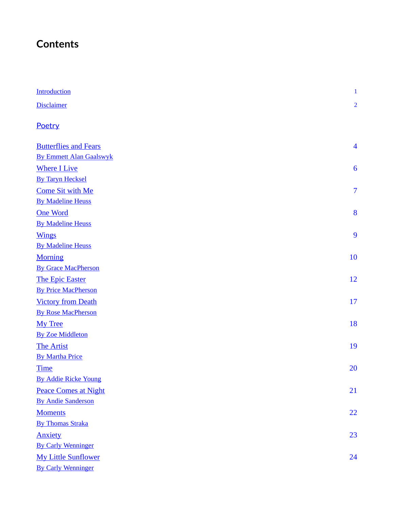## **Contents**

| <b>Introduction</b>            | $\mathbf{1}$   |
|--------------------------------|----------------|
| <b>Disclaimer</b>              | $\overline{2}$ |
| Poetry                         |                |
| <b>Butterflies and Fears</b>   | $\overline{4}$ |
| <b>By Emmett Alan Gaalswyk</b> |                |
| <b>Where I Live</b>            | 6              |
| <b>By Taryn Hecksel</b>        |                |
| <b>Come Sit with Me</b>        | $\overline{7}$ |
| <b>By Madeline Heuss</b>       |                |
| <b>One Word</b>                | 8              |
| <b>By Madeline Heuss</b>       |                |
| <b>Wings</b>                   | 9              |
| <b>By Madeline Heuss</b>       |                |
| <b>Morning</b>                 | 10             |
| <b>By Grace MacPherson</b>     |                |
| <b>The Epic Easter</b>         | 12             |
| <b>By Price MacPherson</b>     |                |
| <b>Victory from Death</b>      | 17             |
| <b>By Rose MacPherson</b>      |                |
| My Tree                        | 18             |
| <b>By Zoe Middleton</b>        |                |
| <b>The Artist</b>              | 19             |
| <b>By Martha Price</b>         |                |
| <b>Time</b>                    | 20             |
| <b>By Addie Ricke Young</b>    |                |
| <b>Peace Comes at Night</b>    | 21             |
| <b>By Andie Sanderson</b>      |                |
| <b>Moments</b>                 | 22             |
| <b>By Thomas Straka</b>        |                |
| <b>Anxiety</b>                 | 23             |
| <b>By Carly Wenninger</b>      |                |
| <b>My Little Sunflower</b>     | 24             |
| <b>By Carly Wenninger</b>      |                |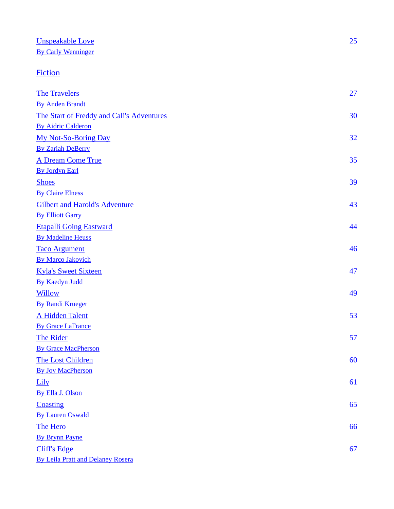## [Unspeakable Love](#page-32-0)

[By Carly Wenninger](#page-32-0) 

### **[Fiction](#page-33-0)**

| <b>The Travelers</b>                      | 27 |
|-------------------------------------------|----|
| <b>By Anden Brandt</b>                    |    |
| The Start of Freddy and Cali's Adventures | 30 |
| <b>By Aidric Calderon</b>                 |    |
| <b>My Not-So-Boring Day</b>               | 32 |
| <b>By Zariah DeBerry</b>                  |    |
| <b>A Dream Come True</b>                  | 35 |
| <b>By Jordyn Earl</b>                     |    |
| <b>Shoes</b>                              | 39 |
| <b>By Claire Elness</b>                   |    |
| <b>Gilbert and Harold's Adventure</b>     | 43 |
| <b>By Elliott Garry</b>                   |    |
| <b>Etapalli Going Eastward</b>            | 44 |
| <b>By Madeline Heuss</b>                  |    |
| <b>Taco Argument</b>                      | 46 |
| <b>By Marco Jakovich</b>                  |    |
| <b>Kyla's Sweet Sixteen</b>               | 47 |
| <b>By Kaedyn Judd</b>                     |    |
| <b>Willow</b>                             | 49 |
| <b>By Randi Krueger</b>                   |    |
| <b>A Hidden Talent</b>                    | 53 |
| <b>By Grace LaFrance</b>                  |    |
| <b>The Rider</b>                          | 57 |
| <b>By Grace MacPherson</b>                |    |
| <b>The Lost Children</b>                  | 60 |
| <b>By Joy MacPherson</b>                  |    |
| Lily                                      | 61 |
| By Ella J. Olson                          |    |
| <b>Coasting</b>                           | 65 |
| <b>By Lauren Oswald</b>                   |    |
| <b>The Hero</b>                           | 66 |
| <b>By Brynn Payne</b>                     |    |
| <b>Cliff's Edge</b>                       | 67 |
| <b>By Leila Pratt and Delaney Rosera</b>  |    |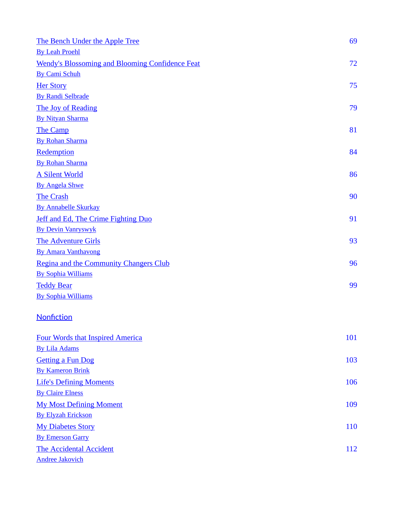| The Bench Under the Apple Tree                         | 69  |
|--------------------------------------------------------|-----|
| <b>By Leah Proehl</b>                                  |     |
| <b>Wendy's Blossoming and Blooming Confidence Feat</b> | 72  |
| <b>By Cami Schuh</b>                                   |     |
| <b>Her Story</b>                                       | 75  |
| <b>By Randi Selbrade</b>                               |     |
| The Joy of Reading                                     | 79  |
| <b>By Nityan Sharma</b>                                |     |
| <b>The Camp</b>                                        | 81  |
| <b>By Rohan Sharma</b>                                 |     |
| Redemption                                             | 84  |
| <b>By Rohan Sharma</b>                                 |     |
| <b>A Silent World</b>                                  | 86  |
| <b>By Angela Shwe</b>                                  |     |
| <b>The Crash</b>                                       | 90  |
| <b>By Annabelle Skurkay</b>                            |     |
| Jeff and Ed, The Crime Fighting Duo                    | 91  |
| <b>By Devin Vanryswyk</b>                              |     |
| <b>The Adventure Girls</b>                             | 93  |
| <b>By Amara Vanthavong</b>                             |     |
| Regina and the Community Changers Club                 | 96  |
| <b>By Sophia Williams</b>                              |     |
| <b>Teddy Bear</b>                                      | 99  |
| <b>By Sophia Williams</b>                              |     |
| Nonfiction                                             |     |
| <b>Four Words that Inspired America</b>                | 101 |
| <b>By Lila Adams</b>                                   |     |
| <b>Getting a Fun Dog</b>                               | 103 |
| <b>By Kameron Brink</b>                                |     |
| <b>Life's Defining Moments</b>                         | 106 |
| <b>By Claire Elness</b>                                |     |
| <b>My Most Defining Moment</b>                         | 109 |
| <b>By Elyzah Erickson</b>                              |     |
| <b>My Diabetes Story</b>                               | 110 |
| <b>By Emerson Garry</b>                                |     |
| <b>The Accidental Accident</b>                         | 112 |
| <b>Andree Jakovich</b>                                 |     |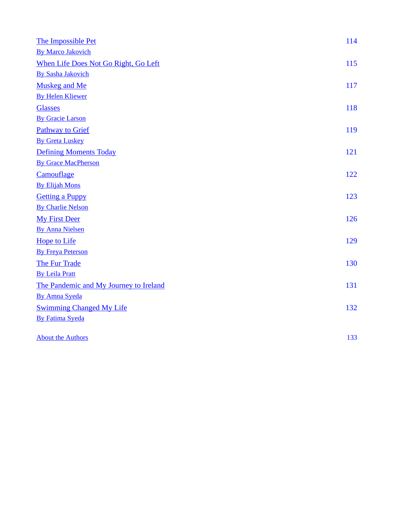| The Impossible Pet                     | 114 |
|----------------------------------------|-----|
| <b>By Marco Jakovich</b>               |     |
| When Life Does Not Go Right, Go Left   | 115 |
| <b>By Sasha Jakovich</b>               |     |
| <b>Muskeg and Me</b>                   | 117 |
| <b>By Helen Kliewer</b>                |     |
| <b>Glasses</b>                         | 118 |
| <b>By Gracie Larson</b>                |     |
| <b>Pathway to Grief</b>                | 119 |
| <b>By Greta Luskey</b>                 |     |
| <b>Defining Moments Today</b>          | 121 |
| <b>By Grace MacPherson</b>             |     |
| Camouflage                             | 122 |
| <b>By Elijah Mons</b>                  |     |
| <b>Getting a Puppy</b>                 | 123 |
| <b>By Charlie Nelson</b>               |     |
| <b>My First Deer</b>                   | 126 |
| <b>By Anna Nielsen</b>                 |     |
| <b>Hope to Life</b>                    | 129 |
| <b>By Freya Peterson</b>               |     |
| <b>The Fur Trade</b>                   | 130 |
| <b>By Leila Pratt</b>                  |     |
| The Pandemic and My Journey to Ireland | 131 |
| <b>By Amna Syeda</b>                   |     |
| <b>Swimming Changed My Life</b>        | 132 |
| <b>By Fatima Syeda</b>                 |     |
| <b>About the Authors</b>               | 133 |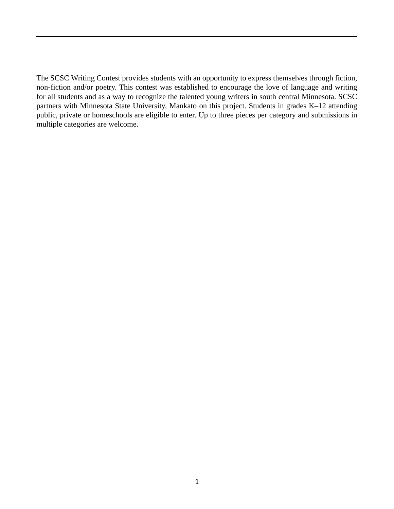<span id="page-8-0"></span>The SCSC Writing Contest provides students with an opportunity to express themselves through fiction, non-fiction and/or poetry. This contest was established to encourage the love of language and writing for all students and as a way to recognize the talented young writers in south central Minnesota. SCSC partners with Minnesota State University, Mankato on this project. Students in grades K–12 attending public, private or homeschools are eligible to enter. Up to three pieces per category and submissions in multiple categories are welcome.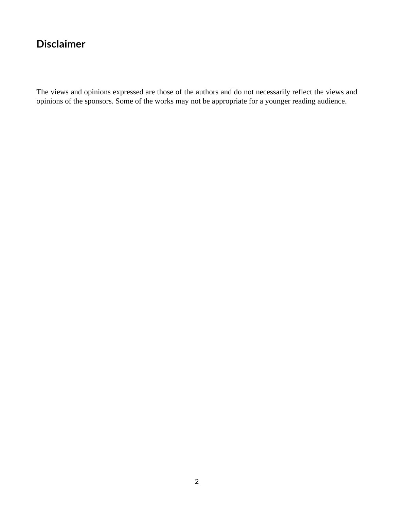### <span id="page-9-0"></span>**Disclaimer**

The views and opinions expressed are those of the authors and do not necessarily reflect the views and opinions of the sponsors. Some of the works may not be appropriate for a younger reading audience.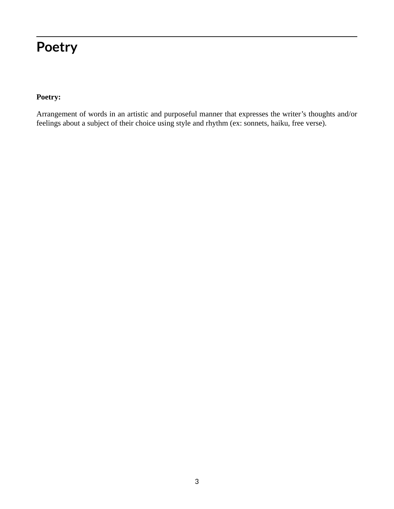# <span id="page-10-0"></span>**Poetry**

#### **Poetry:**

Arrangement of words in an artistic and purposeful manner that expresses the writer's thoughts and/or feelings about a subject of their choice using style and rhythm (ex: sonnets, haiku, free verse).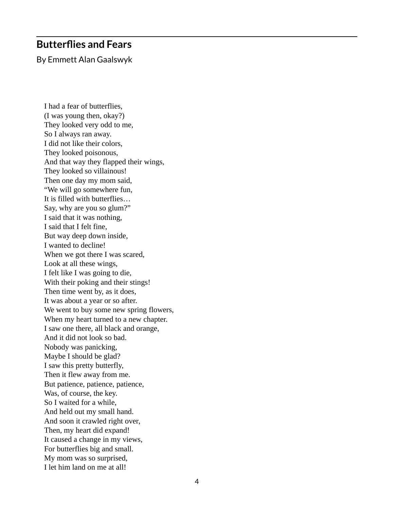### <span id="page-11-0"></span>**Butterflies and Fears**

By Emmett Alan Gaalswyk

I had a fear of butterflies, (I was young then, okay?) They looked very odd to me, So I always ran away. I did not like their colors, They looked poisonous, And that way they flapped their wings, They looked so villainous! Then one day my mom said, "We will go somewhere fun, It is filled with butterflies… Say, why are you so glum?" I said that it was nothing, I said that I felt fine, But way deep down inside, I wanted to decline! When we got there I was scared, Look at all these wings, I felt like I was going to die, With their poking and their stings! Then time went by, as it does, It was about a year or so after. We went to buy some new spring flowers, When my heart turned to a new chapter. I saw one there, all black and orange, And it did not look so bad. Nobody was panicking, Maybe I should be glad? I saw this pretty butterfly, Then it flew away from me. But patience, patience, patience, Was, of course, the key. So I waited for a while, And held out my small hand. And soon it crawled right over, Then, my heart did expand! It caused a change in my views, For butterflies big and small. My mom was so surprised, I let him land on me at all!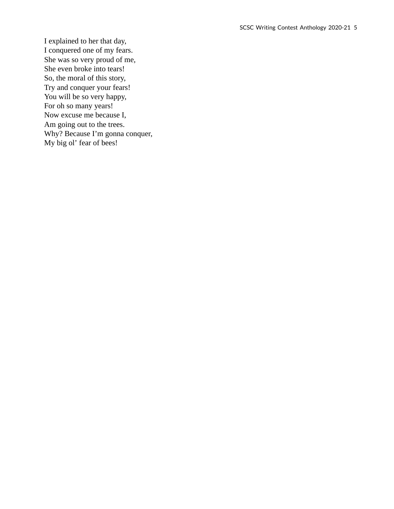I explained to her that day, I conquered one of my fears. She was so very proud of me, She even broke into tears! So, the moral of this story, Try and conquer your fears! You will be so very happy, For oh so many years! Now excuse me because I, Am going out to the trees. Why? Because I'm gonna conquer, My big ol' fear of bees!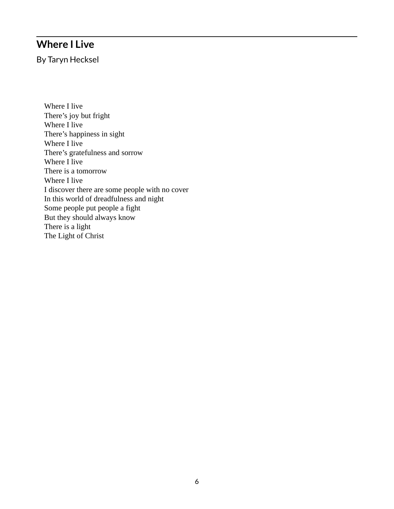### <span id="page-13-0"></span>**Where I Live**

By Taryn Hecksel

Where I live There's joy but fright Where I live There's happiness in sight Where I live There's gratefulness and sorrow Where I live There is a tomorrow Where I live I discover there are some people with no cover In this world of dreadfulness and night Some people put people a fight But they should always know There is a light The Light of Christ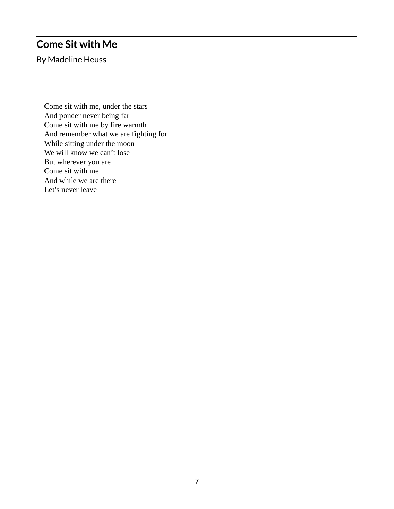### <span id="page-14-0"></span>**Come Sit with Me**

By Madeline Heuss

Come sit with me, under the stars And ponder never being far Come sit with me by fire warmth And remember what we are fighting for While sitting under the moon We will know we can't lose But wherever you are Come sit with me And while we are there Let's never leave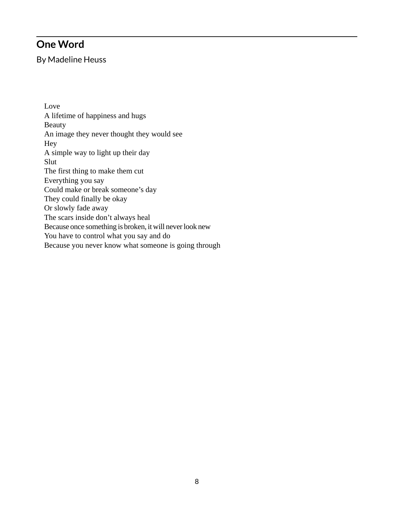### <span id="page-15-0"></span>**One Word**

By Madeline Heuss

Love A lifetime of happiness and hugs Beauty An image they never thought they would see Hey A simple way to light up their day Slut The first thing to make them cut Everything you say Could make or break someone's day They could finally be okay Or slowly fade away The scars inside don't always heal Because once something is broken, it will never look new You have to control what you say and do Because you never know what someone is going through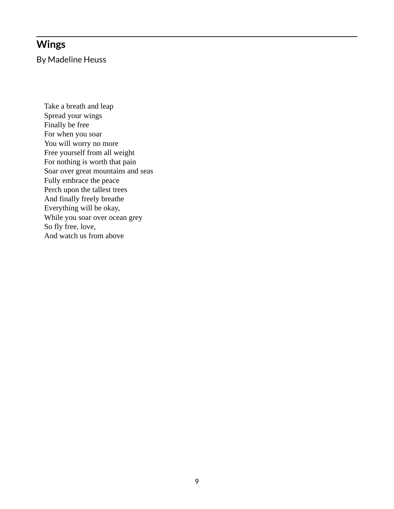### <span id="page-16-0"></span>**Wings**

By Madeline Heuss

Take a breath and leap Spread your wings Finally be free For when you soar You will worry no more Free yourself from all weight For nothing is worth that pain Soar over great mountains and seas Fully embrace the peace Perch upon the tallest trees And finally freely breathe Everything will be okay, While you soar over ocean grey So fly free, love, And watch us from above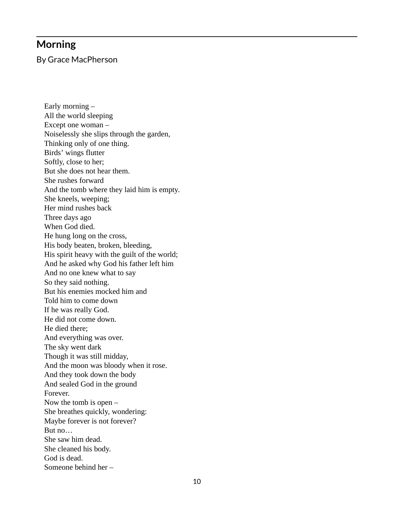#### <span id="page-17-0"></span>**Morning**

By Grace MacPherson

Early morning – All the world sleeping Except one woman – Noiselessly she slips through the garden, Thinking only of one thing. Birds' wings flutter Softly, close to her; But she does not hear them. She rushes forward And the tomb where they laid him is empty. She kneels, weeping; Her mind rushes back Three days ago When God died. He hung long on the cross, His body beaten, broken, bleeding, His spirit heavy with the guilt of the world; And he asked why God his father left him And no one knew what to say So they said nothing. But his enemies mocked him and Told him to come down If he was really God. He did not come down. He died there; And everything was over. The sky went dark Though it was still midday, And the moon was bloody when it rose. And they took down the body And sealed God in the ground Forever. Now the tomb is open – She breathes quickly, wondering: Maybe forever is not forever? But no… She saw him dead. She cleaned his body. God is dead. Someone behind her –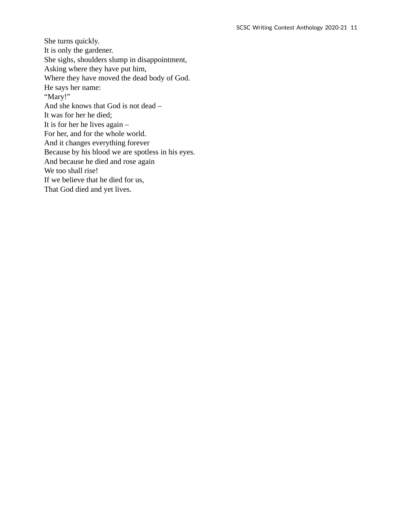She turns quickly. It is only the gardener. She sighs, shoulders slump in disappointment, Asking where they have put him, Where they have moved the dead body of God. He says her name: "Mary!" And she knows that God is not dead – It was for her he died; It is for her he lives again – For her, and for the whole world. And it changes everything forever Because by his blood we are spotless in his eyes. And because he died and rose again We too shall rise! If we believe that he died for us, That God died and yet lives.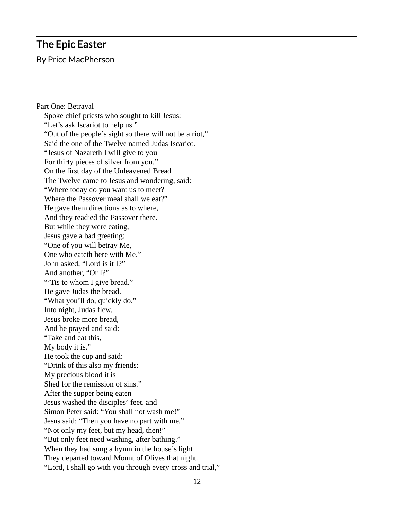#### <span id="page-19-0"></span>**The Epic Easter**

By Price MacPherson

Part One: Betrayal Spoke chief priests who sought to kill Jesus: "Let's ask Iscariot to help us." "Out of the people's sight so there will not be a riot," Said the one of the Twelve named Judas Iscariot. "Jesus of Nazareth I will give to you For thirty pieces of silver from you." On the first day of the Unleavened Bread The Twelve came to Jesus and wondering, said: "Where today do you want us to meet? Where the Passover meal shall we eat?" He gave them directions as to where, And they readied the Passover there. But while they were eating, Jesus gave a bad greeting: "One of you will betray Me, One who eateth here with Me." John asked, "Lord is it I?" And another, "Or I?" "Tis to whom I give bread." He gave Judas the bread. "What you'll do, quickly do." Into night, Judas flew. Jesus broke more bread, And he prayed and said: "Take and eat this, My body it is." He took the cup and said: "Drink of this also my friends: My precious blood it is Shed for the remission of sins." After the supper being eaten Jesus washed the disciples' feet, and Simon Peter said: "You shall not wash me!" Jesus said: "Then you have no part with me." "Not only my feet, but my head, then!" "But only feet need washing, after bathing." When they had sung a hymn in the house's light They departed toward Mount of Olives that night. "Lord, I shall go with you through every cross and trial,"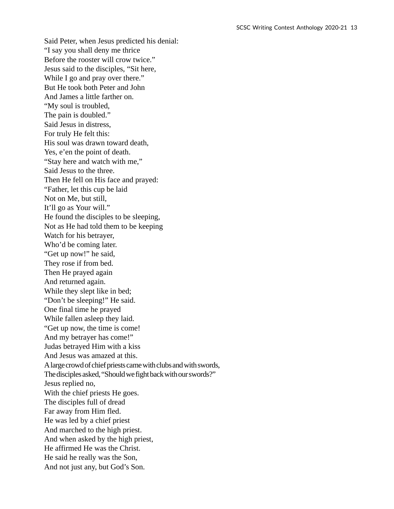Said Peter, when Jesus predicted his denial: "I say you shall deny me thrice Before the rooster will crow twice." Jesus said to the disciples, "Sit here, While I go and pray over there." But He took both Peter and John And James a little farther on. "My soul is troubled, The pain is doubled." Said Jesus in distress, For truly He felt this: His soul was drawn toward death, Yes, e'en the point of death. "Stay here and watch with me," Said Jesus to the three. Then He fell on His face and prayed: "Father, let this cup be laid Not on Me, but still, It'll go as Your will." He found the disciples to be sleeping, Not as He had told them to be keeping Watch for his betrayer, Who'd be coming later. "Get up now!" he said, They rose if from bed. Then He prayed again And returned again. While they slept like in bed; "Don't be sleeping!" He said. One final time he prayed While fallen asleep they laid. "Get up now, the time is come! And my betrayer has come!" Judas betrayed Him with a kiss And Jesus was amazed at this. A large crowd of chief priests came with clubs and with swords, The disciples asked, "Should we fight back with our swords?" Jesus replied no, With the chief priests He goes. The disciples full of dread Far away from Him fled. He was led by a chief priest And marched to the high priest. And when asked by the high priest, He affirmed He was the Christ. He said he really was the Son, And not just any, but God's Son.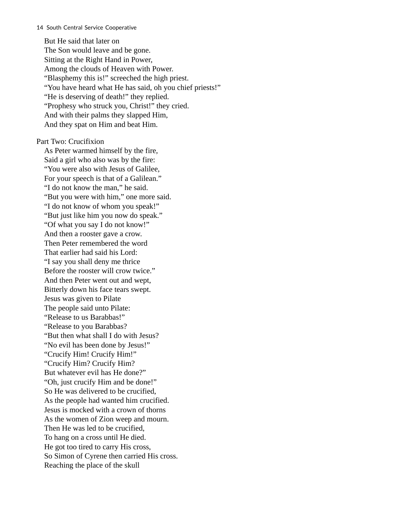But He said that later on The Son would leave and be gone. Sitting at the Right Hand in Power, Among the clouds of Heaven with Power. "Blasphemy this is!" screeched the high priest. "You have heard what He has said, oh you chief priests!" "He is deserving of death!" they replied. "Prophesy who struck you, Christ!" they cried. And with their palms they slapped Him, And they spat on Him and beat Him.

Part Two: Crucifixion

As Peter warmed himself by the fire, Said a girl who also was by the fire: "You were also with Jesus of Galilee, For your speech is that of a Galilean." "I do not know the man," he said. "But you were with him," one more said. "I do not know of whom you speak!" "But just like him you now do speak." "Of what you say I do not know!" And then a rooster gave a crow. Then Peter remembered the word That earlier had said his Lord: "I say you shall deny me thrice Before the rooster will crow twice." And then Peter went out and wept, Bitterly down his face tears swept. Jesus was given to Pilate The people said unto Pilate: "Release to us Barabbas!" "Release to you Barabbas? "But then what shall I do with Jesus? "No evil has been done by Jesus!" "Crucify Him! Crucify Him!" "Crucify Him? Crucify Him? But whatever evil has He done?" "Oh, just crucify Him and be done!" So He was delivered to be crucified, As the people had wanted him crucified. Jesus is mocked with a crown of thorns As the women of Zion weep and mourn. Then He was led to be crucified, To hang on a cross until He died. He got too tired to carry His cross, So Simon of Cyrene then carried His cross. Reaching the place of the skull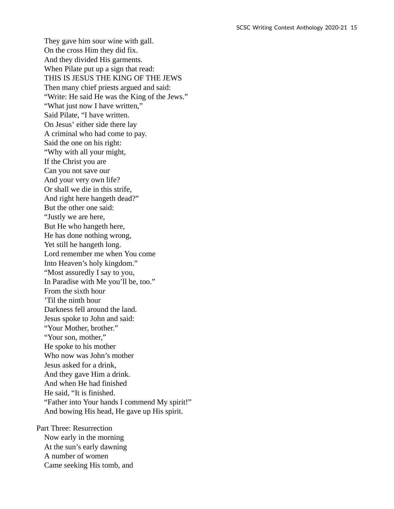They gave him sour wine with gall. On the cross Him they did fix. And they divided His garments. When Pilate put up a sign that read: THIS IS JESUS THE KING OF THE JEWS Then many chief priests argued and said: "Write: He said He was the King of the Jews." "What just now I have written," Said Pilate, "I have written. On Jesus' either side there lay A criminal who had come to pay. Said the one on his right: "Why with all your might, If the Christ you are Can you not save our And your very own life? Or shall we die in this strife, And right here hangeth dead?" But the other one said: "Justly we are here, But He who hangeth here, He has done nothing wrong, Yet still he hangeth long. Lord remember me when You come Into Heaven's holy kingdom." "Most assuredly I say to you, In Paradise with Me you'll be, too." From the sixth hour 'Til the ninth hour Darkness fell around the land. Jesus spoke to John and said: "Your Mother, brother." "Your son, mother," He spoke to his mother Who now was John's mother Jesus asked for a drink, And they gave Him a drink. And when He had finished He said, "It is finished. "Father into Your hands I commend My spirit!" And bowing His head, He gave up His spirit.

Part Three: Resurrection Now early in the morning At the sun's early dawning A number of women Came seeking His tomb, and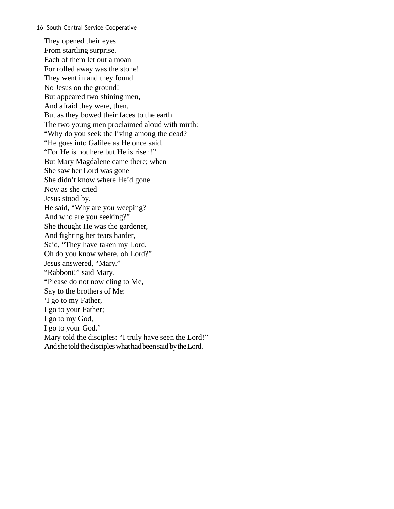They opened their eyes From startling surprise. Each of them let out a moan For rolled away was the stone! They went in and they found No Jesus on the ground! But appeared two shining men, And afraid they were, then. But as they bowed their faces to the earth. The two young men proclaimed aloud with mirth: "Why do you seek the living among the dead? "He goes into Galilee as He once said. "For He is not here but He is risen!" But Mary Magdalene came there; when She saw her Lord was gone She didn't know where He'd gone. Now as she cried Jesus stood by. He said, "Why are you weeping? And who are you seeking?" She thought He was the gardener, And fighting her tears harder, Said, "They have taken my Lord. Oh do you know where, oh Lord?" Jesus answered, "Mary." "Rabboni!" said Mary. "Please do not now cling to Me, Say to the brothers of Me: 'I go to my Father, I go to your Father; I go to my God, I go to your God.' Mary told the disciples: "I truly have seen the Lord!" And she told the disciples what had been said by the Lord.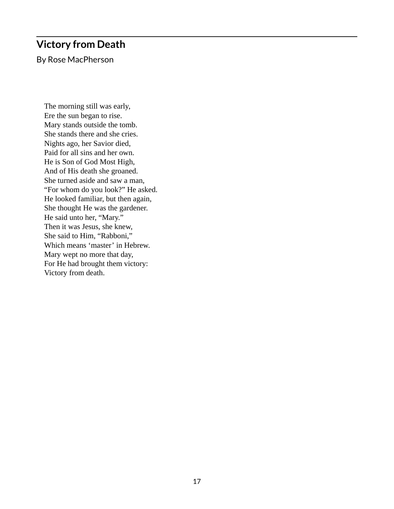## <span id="page-24-0"></span>**Victory from Death**

By Rose MacPherson

The morning still was early, Ere the sun began to rise. Mary stands outside the tomb. She stands there and she cries. Nights ago, her Savior died, Paid for all sins and her own. He is Son of God Most High, And of His death she groaned. She turned aside and saw a man, "For whom do you look?" He asked. He looked familiar, but then again, She thought He was the gardener. He said unto her, "Mary." Then it was Jesus, she knew, She said to Him, "Rabboni," Which means 'master' in Hebrew. Mary wept no more that day, For He had brought them victory: Victory from death.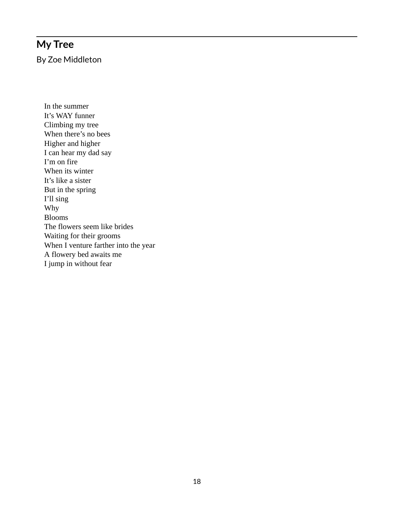# <span id="page-25-0"></span>**My Tree**

By Zoe Middleton

In the summer It's WAY funner Climbing my tree When there's no bees Higher and higher I can hear my dad say I'm on fire When its winter It's like a sister But in the spring I'll sing Why Blooms The flowers seem like brides Waiting for their grooms When I venture farther into the year A flowery bed awaits me I jump in without fear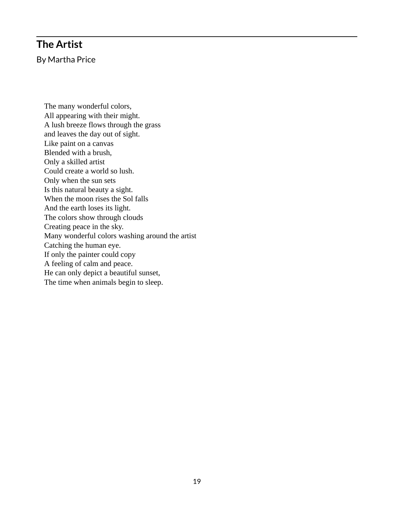### <span id="page-26-0"></span>**The Artist**

By Martha Price

The many wonderful colors, All appearing with their might. A lush breeze flows through the grass and leaves the day out of sight. Like paint on a canvas Blended with a brush, Only a skilled artist Could create a world so lush. Only when the sun sets Is this natural beauty a sight. When the moon rises the Sol falls And the earth loses its light. The colors show through clouds Creating peace in the sky. Many wonderful colors washing around the artist Catching the human eye. If only the painter could copy A feeling of calm and peace. He can only depict a beautiful sunset, The time when animals begin to sleep.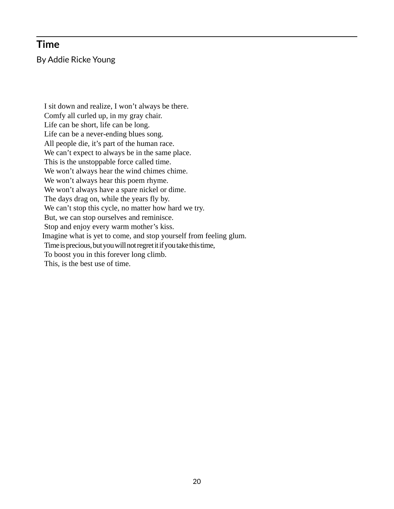### <span id="page-27-0"></span>**Time**

By Addie Ricke Young

I sit down and realize, I won't always be there. Comfy all curled up, in my gray chair. Life can be short, life can be long. Life can be a never-ending blues song. All people die, it's part of the human race. We can't expect to always be in the same place. This is the unstoppable force called time. We won't always hear the wind chimes chime. We won't always hear this poem rhyme. We won't always have a spare nickel or dime. The days drag on, while the years fly by. We can't stop this cycle, no matter how hard we try. But, we can stop ourselves and reminisce. Stop and enjoy every warm mother's kiss. Imagine what is yet to come, and stop yourself from feeling glum. Time is precious, but you will not regret it if you take this time, To boost you in this forever long climb. This, is the best use of time.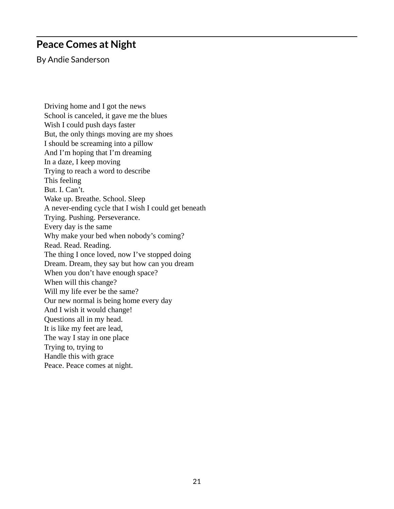### <span id="page-28-0"></span>**Peace Comes at Night**

By Andie Sanderson

Driving home and I got the news School is canceled, it gave me the blues Wish I could push days faster But, the only things moving are my shoes I should be screaming into a pillow And I'm hoping that I'm dreaming In a daze, I keep moving Trying to reach a word to describe This feeling But. I. Can't. Wake up. Breathe. School. Sleep A never-ending cycle that I wish I could get beneath Trying. Pushing. Perseverance. Every day is the same Why make your bed when nobody's coming? Read. Read. Reading. The thing I once loved, now I've stopped doing Dream. Dream, they say but how can you dream When you don't have enough space? When will this change? Will my life ever be the same? Our new normal is being home every day And I wish it would change! Questions all in my head. It is like my feet are lead, The way I stay in one place Trying to, trying to Handle this with grace Peace. Peace comes at night.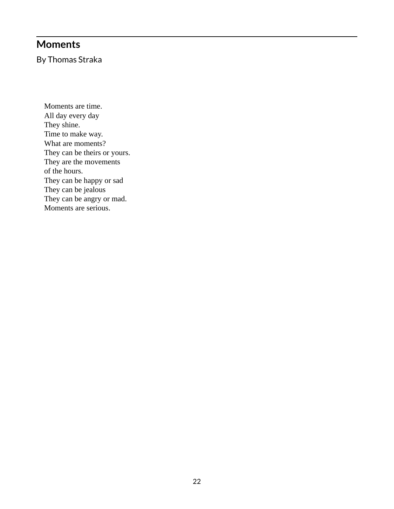### <span id="page-29-0"></span>**Moments**

By Thomas Straka

Moments are time. All day every day They shine. Time to make way. What are moments? They can be theirs or yours. They are the movements of the hours. They can be happy or sad They can be jealous They can be angry or mad. Moments are serious.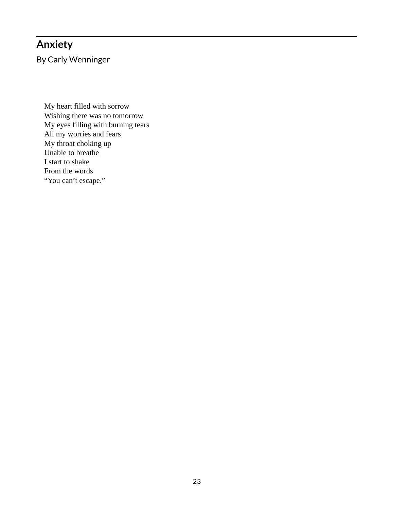## <span id="page-30-0"></span>**Anxiety**

By Carly Wenninger

My heart filled with sorrow Wishing there was no tomorrow My eyes filling with burning tears All my worries and fears My throat choking up Unable to breathe I start to shake From the words "You can't escape."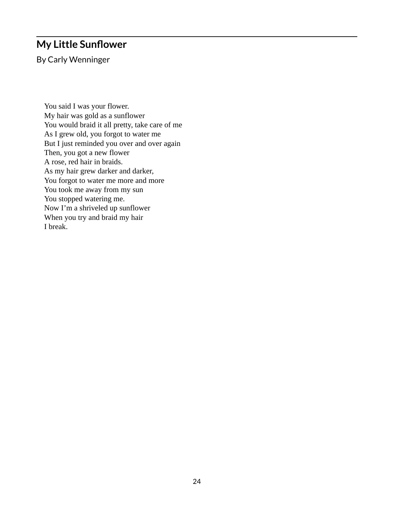### <span id="page-31-0"></span>**My Little Sunflower**

By Carly Wenninger

You said I was your flower. My hair was gold as a sunflower You would braid it all pretty, take care of me As I grew old, you forgot to water me But I just reminded you over and over again Then, you got a new flower A rose, red hair in braids. As my hair grew darker and darker, You forgot to water me more and more You took me away from my sun You stopped watering me. Now I'm a shriveled up sunflower When you try and braid my hair I break.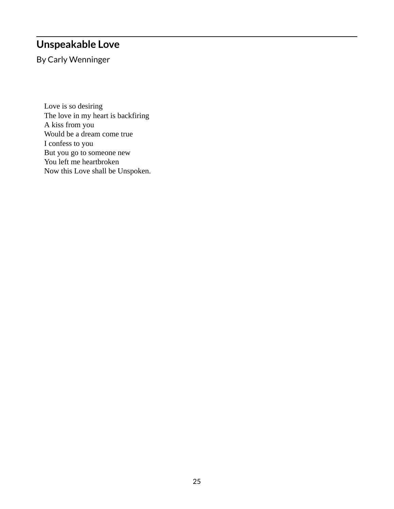## <span id="page-32-0"></span>**Unspeakable Love**

By Carly Wenninger

Love is so desiring The love in my heart is backfiring A kiss from you Would be a dream come true I confess to you But you go to someone new You left me heartbroken Now this Love shall be Unspoken.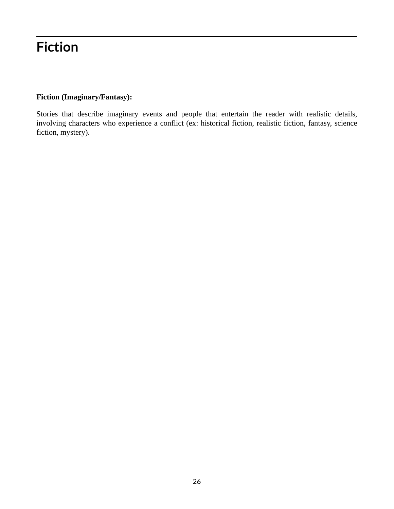# <span id="page-33-0"></span>**Fiction**

#### **Fiction (Imaginary/Fantasy):**

Stories that describe imaginary events and people that entertain the reader with realistic details, involving characters who experience a conflict (ex: historical fiction, realistic fiction, fantasy, science fiction, mystery).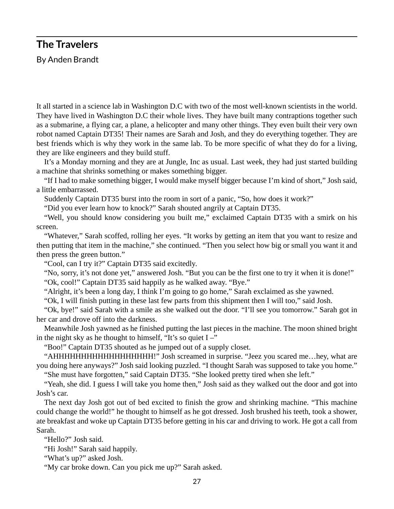### <span id="page-34-0"></span>**The Travelers**

By Anden Brandt

It all started in a science lab in Washington D.C with two of the most well-known scientists in the world. They have lived in Washington D.C their whole lives. They have built many contraptions together such as a submarine, a flying car, a plane, a helicopter and many other things. They even built their very own robot named Captain DT35! Their names are Sarah and Josh, and they do everything together. They are best friends which is why they work in the same lab. To be more specific of what they do for a living, they are like engineers and they build stuff.

It's a Monday morning and they are at Jungle, Inc as usual. Last week, they had just started building a machine that shrinks something or makes something bigger.

"If I had to make something bigger, I would make myself bigger because I'm kind of short," Josh said, a little embarrassed.

Suddenly Captain DT35 burst into the room in sort of a panic, "So, how does it work?"

"Did you ever learn how to knock?" Sarah shouted angrily at Captain DT35.

"Well, you should know considering you built me," exclaimed Captain DT35 with a smirk on his screen.

"Whatever," Sarah scoffed, rolling her eyes. "It works by getting an item that you want to resize and then putting that item in the machine," she continued. "Then you select how big or small you want it and then press the green button."

"Cool, can I try it?" Captain DT35 said excitedly.

"No, sorry, it's not done yet," answered Josh. "But you can be the first one to try it when it is done!" "Ok, cool!" Captain DT35 said happily as he walked away. "Bye."

"Alright, it's been a long day, I think I'm going to go home," Sarah exclaimed as she yawned.

"Ok, I will finish putting in these last few parts from this shipment then I will too," said Josh.

"Ok, bye!" said Sarah with a smile as she walked out the door. "I'll see you tomorrow." Sarah got in her car and drove off into the darkness.

Meanwhile Josh yawned as he finished putting the last pieces in the machine. The moon shined bright in the night sky as he thought to himself, "It's so quiet  $I -$ "

"Boo!" Captain DT35 shouted as he jumped out of a supply closet.

"AHHHHHHHHHHHHHHHHHH!" Josh screamed in surprise. "Jeez you scared me…hey, what are you doing here anyways?" Josh said looking puzzled. "I thought Sarah was supposed to take you home."

"She must have forgotten," said Captain DT35. "She looked pretty tired when she left."

"Yeah, she did. I guess I will take you home then," Josh said as they walked out the door and got into Josh's car.

The next day Josh got out of bed excited to finish the grow and shrinking machine. "This machine could change the world!" he thought to himself as he got dressed. Josh brushed his teeth, took a shower, ate breakfast and woke up Captain DT35 before getting in his car and driving to work. He got a call from Sarah.

"Hello?" Josh said.

"Hi Josh!" Sarah said happily.

"What's up?" asked Josh.

"My car broke down. Can you pick me up?" Sarah asked.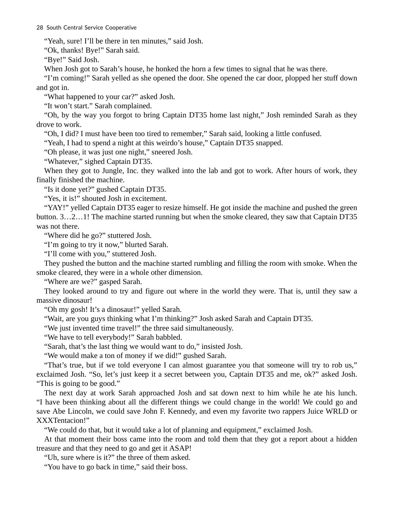"Yeah, sure! I'll be there in ten minutes," said Josh.

"Ok, thanks! Bye!" Sarah said.

"Bye!" Said Josh.

When Josh got to Sarah's house, he honked the horn a few times to signal that he was there.

"I'm coming!" Sarah yelled as she opened the door. She opened the car door, plopped her stuff down and got in.

"What happened to your car?" asked Josh.

"It won't start." Sarah complained.

"Oh, by the way you forgot to bring Captain DT35 home last night," Josh reminded Sarah as they drove to work.

"Oh, I did? I must have been too tired to remember," Sarah said, looking a little confused.

"Yeah, I had to spend a night at this weirdo's house," Captain DT35 snapped.

"Oh please, it was just one night," sneered Josh.

"Whatever," sighed Captain DT35.

When they got to Jungle, Inc. they walked into the lab and got to work. After hours of work, they finally finished the machine.

"Is it done yet?" gushed Captain DT35.

"Yes, it is!" shouted Josh in excitement.

"YAY!" yelled Captain DT35 eager to resize himself. He got inside the machine and pushed the green button. 3…2…1! The machine started running but when the smoke cleared, they saw that Captain DT35 was not there.

"Where did he go?" stuttered Josh.

"I'm going to try it now," blurted Sarah.

"I'll come with you," stuttered Josh.

They pushed the button and the machine started rumbling and filling the room with smoke. When the smoke cleared, they were in a whole other dimension.

"Where are we?" gasped Sarah.

They looked around to try and figure out where in the world they were. That is, until they saw a massive dinosaur!

"Oh my gosh! It's a dinosaur!" yelled Sarah.

"Wait, are you guys thinking what I'm thinking?" Josh asked Sarah and Captain DT35.

"We just invented time travel!" the three said simultaneously.

"We have to tell everybody!" Sarah babbled.

"Sarah, that's the last thing we would want to do," insisted Josh.

"We would make a ton of money if we did!" gushed Sarah.

"That's true, but if we told everyone I can almost guarantee you that someone will try to rob us," exclaimed Josh. "So, let's just keep it a secret between you, Captain DT35 and me, ok?" asked Josh. "This is going to be good."

The next day at work Sarah approached Josh and sat down next to him while he ate his lunch. "I have been thinking about all the different things we could change in the world! We could go and save Abe Lincoln, we could save John F. Kennedy, and even my favorite two rappers Juice WRLD or XXXTentacion!"

"We could do that, but it would take a lot of planning and equipment," exclaimed Josh.

At that moment their boss came into the room and told them that they got a report about a hidden treasure and that they need to go and get it ASAP!

"Uh, sure where is it?" the three of them asked.

"You have to go back in time," said their boss.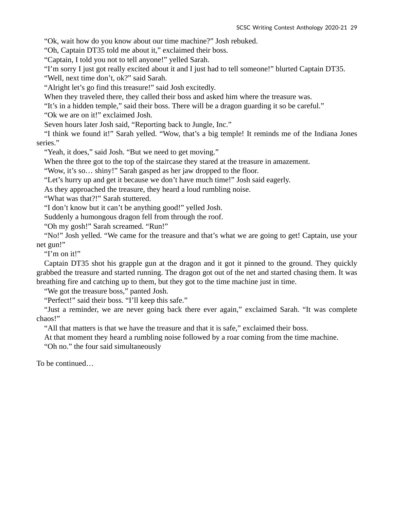"Ok, wait how do you know about our time machine?" Josh rebuked.

"Oh, Captain DT35 told me about it," exclaimed their boss.

"Captain, I told you not to tell anyone!" yelled Sarah.

"I'm sorry I just got really excited about it and I just had to tell someone!" blurted Captain DT35.

"Well, next time don't, ok?" said Sarah.

"Alright let's go find this treasure!" said Josh excitedly.

When they traveled there, they called their boss and asked him where the treasure was.

"It's in a hidden temple," said their boss. There will be a dragon guarding it so be careful."

"Ok we are on it!" exclaimed Josh.

Seven hours later Josh said, "Reporting back to Jungle, Inc."

"I think we found it!" Sarah yelled. "Wow, that's a big temple! It reminds me of the Indiana Jones series."

"Yeah, it does," said Josh. "But we need to get moving."

When the three got to the top of the staircase they stared at the treasure in amazement.

"Wow, it's so… shiny!" Sarah gasped as her jaw dropped to the floor.

"Let's hurry up and get it because we don't have much time!" Josh said eagerly.

As they approached the treasure, they heard a loud rumbling noise.

"What was that?!" Sarah stuttered.

"I don't know but it can't be anything good!" yelled Josh.

Suddenly a humongous dragon fell from through the roof.

"Oh my gosh!" Sarah screamed. "Run!"

"No!" Josh yelled. "We came for the treasure and that's what we are going to get! Captain, use your net gun!"

"I'm on it!"

Captain DT35 shot his grapple gun at the dragon and it got it pinned to the ground. They quickly grabbed the treasure and started running. The dragon got out of the net and started chasing them. It was breathing fire and catching up to them, but they got to the time machine just in time.

"We got the treasure boss," panted Josh.

"Perfect!" said their boss. "I'll keep this safe."

"Just a reminder, we are never going back there ever again," exclaimed Sarah. "It was complete chaos!"

"All that matters is that we have the treasure and that it is safe," exclaimed their boss.

At that moment they heard a rumbling noise followed by a roar coming from the time machine.

"Oh no." the four said simultaneously

To be continued…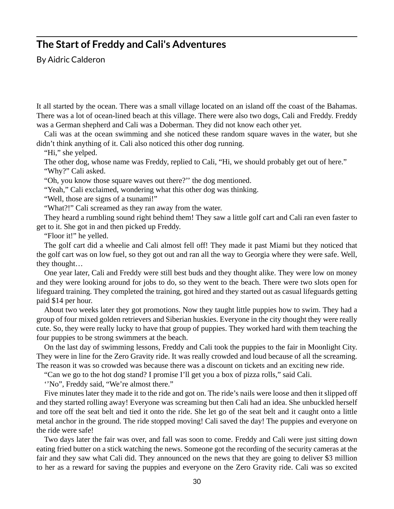## **The Start of Freddy and Cali's Adventures**

By Aidric Calderon

It all started by the ocean. There was a small village located on an island off the coast of the Bahamas. There was a lot of ocean-lined beach at this village. There were also two dogs, Cali and Freddy. Freddy was a German shepherd and Cali was a Doberman. They did not know each other yet.

Cali was at the ocean swimming and she noticed these random square waves in the water, but she didn't think anything of it. Cali also noticed this other dog running.

"Hi," she yelped.

The other dog, whose name was Freddy, replied to Cali, "Hi, we should probably get out of here." "Why?" Cali asked.

"Oh, you know those square waves out there?'' the dog mentioned.

"Yeah," Cali exclaimed, wondering what this other dog was thinking.

"Well, those are signs of a tsunami!"

"What?!" Cali screamed as they ran away from the water.

They heard a rumbling sound right behind them! They saw a little golf cart and Cali ran even faster to get to it. She got in and then picked up Freddy.

"Floor it!" he yelled.

The golf cart did a wheelie and Cali almost fell off! They made it past Miami but they noticed that the golf cart was on low fuel, so they got out and ran all the way to Georgia where they were safe. Well, they thought…

One year later, Cali and Freddy were still best buds and they thought alike. They were low on money and they were looking around for jobs to do, so they went to the beach. There were two slots open for lifeguard training. They completed the training, got hired and they started out as casual lifeguards getting paid \$14 per hour.

About two weeks later they got promotions. Now they taught little puppies how to swim. They had a group of four mixed golden retrievers and Siberian huskies. Everyone in the city thought they were really cute. So, they were really lucky to have that group of puppies. They worked hard with them teaching the four puppies to be strong swimmers at the beach.

On the last day of swimming lessons, Freddy and Cali took the puppies to the fair in Moonlight City. They were in line for the Zero Gravity ride. It was really crowded and loud because of all the screaming. The reason it was so crowded was because there was a discount on tickets and an exciting new ride.

"Can we go to the hot dog stand? I promise I'll get you a box of pizza rolls," said Cali.

''No", Freddy said, "We're almost there."

Five minutes later they made it to the ride and got on. The ride's nails were loose and then it slipped off and they started rolling away! Everyone was screaming but then Cali had an idea. She unbuckled herself and tore off the seat belt and tied it onto the ride. She let go of the seat belt and it caught onto a little metal anchor in the ground. The ride stopped moving! Cali saved the day! The puppies and everyone on the ride were safe!

Two days later the fair was over, and fall was soon to come. Freddy and Cali were just sitting down eating fried butter on a stick watching the news. Someone got the recording of the security cameras at the fair and they saw what Cali did. They announced on the news that they are going to deliver \$3 million to her as a reward for saving the puppies and everyone on the Zero Gravity ride. Cali was so excited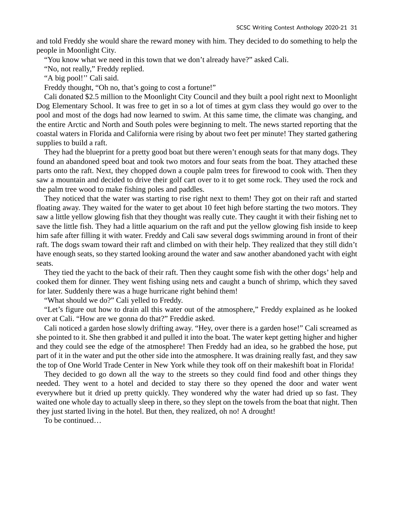and told Freddy she would share the reward money with him. They decided to do something to help the people in Moonlight City.

"You know what we need in this town that we don't already have?" asked Cali.

"No, not really," Freddy replied.

"A big pool!'' Cali said.

Freddy thought, "Oh no, that's going to cost a fortune!"

Cali donated \$2.5 million to the Moonlight City Council and they built a pool right next to Moonlight Dog Elementary School. It was free to get in so a lot of times at gym class they would go over to the pool and most of the dogs had now learned to swim. At this same time, the climate was changing, and the entire Arctic and North and South poles were beginning to melt. The news started reporting that the coastal waters in Florida and California were rising by about two feet per minute! They started gathering supplies to build a raft.

They had the blueprint for a pretty good boat but there weren't enough seats for that many dogs. They found an abandoned speed boat and took two motors and four seats from the boat. They attached these parts onto the raft. Next, they chopped down a couple palm trees for firewood to cook with. Then they saw a mountain and decided to drive their golf cart over to it to get some rock. They used the rock and the palm tree wood to make fishing poles and paddles.

They noticed that the water was starting to rise right next to them! They got on their raft and started floating away. They waited for the water to get about 10 feet high before starting the two motors. They saw a little yellow glowing fish that they thought was really cute. They caught it with their fishing net to save the little fish. They had a little aquarium on the raft and put the yellow glowing fish inside to keep him safe after filling it with water. Freddy and Cali saw several dogs swimming around in front of their raft. The dogs swam toward their raft and climbed on with their help. They realized that they still didn't have enough seats, so they started looking around the water and saw another abandoned yacht with eight seats.

They tied the yacht to the back of their raft. Then they caught some fish with the other dogs' help and cooked them for dinner. They went fishing using nets and caught a bunch of shrimp, which they saved for later. Suddenly there was a huge hurricane right behind them!

"What should we do?" Cali yelled to Freddy.

"Let's figure out how to drain all this water out of the atmosphere," Freddy explained as he looked over at Cali. "How are we gonna do that?" Freddie asked.

Cali noticed a garden hose slowly drifting away. "Hey, over there is a garden hose!" Cali screamed as she pointed to it. She then grabbed it and pulled it into the boat. The water kept getting higher and higher and they could see the edge of the atmosphere! Then Freddy had an idea, so he grabbed the hose, put part of it in the water and put the other side into the atmosphere. It was draining really fast, and they saw the top of One World Trade Center in New York while they took off on their makeshift boat in Florida!

They decided to go down all the way to the streets so they could find food and other things they needed. They went to a hotel and decided to stay there so they opened the door and water went everywhere but it dried up pretty quickly. They wondered why the water had dried up so fast. They waited one whole day to actually sleep in there, so they slept on the towels from the boat that night. Then they just started living in the hotel. But then, they realized, oh no! A drought!

To be continued…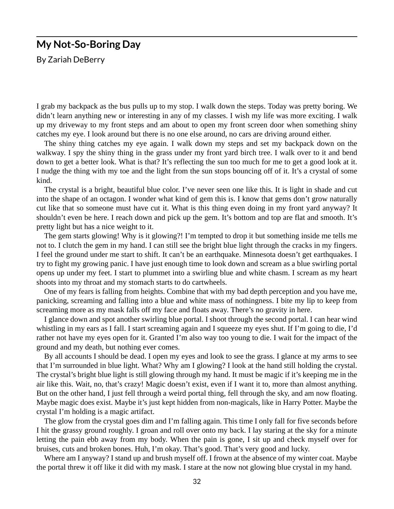#### **My Not-So-Boring Day**

By Zariah DeBerry

I grab my backpack as the bus pulls up to my stop. I walk down the steps. Today was pretty boring. We didn't learn anything new or interesting in any of my classes. I wish my life was more exciting. I walk up my driveway to my front steps and am about to open my front screen door when something shiny catches my eye. I look around but there is no one else around, no cars are driving around either.

The shiny thing catches my eye again. I walk down my steps and set my backpack down on the walkway. I spy the shiny thing in the grass under my front yard birch tree. I walk over to it and bend down to get a better look. What is that? It's reflecting the sun too much for me to get a good look at it. I nudge the thing with my toe and the light from the sun stops bouncing off of it. It's a crystal of some kind.

The crystal is a bright, beautiful blue color. I've never seen one like this. It is light in shade and cut into the shape of an octagon. I wonder what kind of gem this is. I know that gems don't grow naturally cut like that so someone must have cut it. What is this thing even doing in my front yard anyway? It shouldn't even be here. I reach down and pick up the gem. It's bottom and top are flat and smooth. It's pretty light but has a nice weight to it.

The gem starts glowing! Why is it glowing?! I'm tempted to drop it but something inside me tells me not to. I clutch the gem in my hand. I can still see the bright blue light through the cracks in my fingers. I feel the ground under me start to shift. It can't be an earthquake. Minnesota doesn't get earthquakes. I try to fight my growing panic. I have just enough time to look down and scream as a blue swirling portal opens up under my feet. I start to plummet into a swirling blue and white chasm. I scream as my heart shoots into my throat and my stomach starts to do cartwheels.

One of my fears is falling from heights. Combine that with my bad depth perception and you have me, panicking, screaming and falling into a blue and white mass of nothingness. I bite my lip to keep from screaming more as my mask falls off my face and floats away. There's no gravity in here.

I glance down and spot another swirling blue portal. I shoot through the second portal. I can hear wind whistling in my ears as I fall. I start screaming again and I squeeze my eyes shut. If I'm going to die, I'd rather not have my eyes open for it. Granted I'm also way too young to die. I wait for the impact of the ground and my death, but nothing ever comes.

By all accounts I should be dead. I open my eyes and look to see the grass. I glance at my arms to see that I'm surrounded in blue light. What? Why am I glowing? I look at the hand still holding the crystal. The crystal's bright blue light is still glowing through my hand. It must be magic if it's keeping me in the air like this. Wait, no, that's crazy! Magic doesn't exist, even if I want it to, more than almost anything. But on the other hand, I just fell through a weird portal thing, fell through the sky, and am now floating. Maybe magic does exist. Maybe it's just kept hidden from non-magicals, like in Harry Potter. Maybe the crystal I'm holding is a magic artifact.

The glow from the crystal goes dim and I'm falling again. This time I only fall for five seconds before I hit the grassy ground roughly. I groan and roll over onto my back. I lay staring at the sky for a minute letting the pain ebb away from my body. When the pain is gone, I sit up and check myself over for bruises, cuts and broken bones. Huh, I'm okay. That's good. That's very good and lucky.

Where am I anyway? I stand up and brush myself off. I frown at the absence of my winter coat. Maybe the portal threw it off like it did with my mask. I stare at the now not glowing blue crystal in my hand.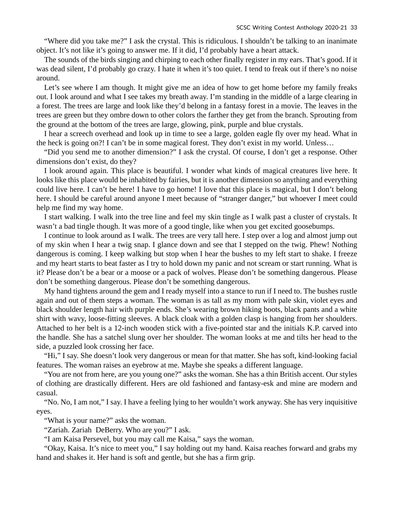"Where did you take me?" I ask the crystal. This is ridiculous. I shouldn't be talking to an inanimate object. It's not like it's going to answer me. If it did, I'd probably have a heart attack.

The sounds of the birds singing and chirping to each other finally register in my ears. That's good. If it was dead silent, I'd probably go crazy. I hate it when it's too quiet. I tend to freak out if there's no noise around.

Let's see where I am though. It might give me an idea of how to get home before my family freaks out. I look around and what I see takes my breath away. I'm standing in the middle of a large clearing in a forest. The trees are large and look like they'd belong in a fantasy forest in a movie. The leaves in the trees are green but they ombre down to other colors the farther they get from the branch. Sprouting from the ground at the bottom of the trees are large, glowing, pink, purple and blue crystals.

I hear a screech overhead and look up in time to see a large, golden eagle fly over my head. What in the heck is going on?! I can't be in some magical forest. They don't exist in my world. Unless…

"Did you send me to another dimension?" I ask the crystal. Of course, I don't get a response. Other dimensions don't exist, do they?

I look around again. This place is beautiful. I wonder what kinds of magical creatures live here. It looks like this place would be inhabited by fairies, but it is another dimension so anything and everything could live here. I can't be here! I have to go home! I love that this place is magical, but I don't belong here. I should be careful around anyone I meet because of "stranger danger," but whoever I meet could help me find my way home.

I start walking. I walk into the tree line and feel my skin tingle as I walk past a cluster of crystals. It wasn't a bad tingle though. It was more of a good tingle, like when you get excited goosebumps.

I continue to look around as I walk. The trees are very tall here. I step over a log and almost jump out of my skin when I hear a twig snap. I glance down and see that I stepped on the twig. Phew! Nothing dangerous is coming. I keep walking but stop when I hear the bushes to my left start to shake. I freeze and my heart starts to beat faster as I try to hold down my panic and not scream or start running. What is it? Please don't be a bear or a moose or a pack of wolves. Please don't be something dangerous. Please don't be something dangerous. Please don't be something dangerous.

My hand tightens around the gem and I ready myself into a stance to run if I need to. The bushes rustle again and out of them steps a woman. The woman is as tall as my mom with pale skin, violet eyes and black shoulder length hair with purple ends. She's wearing brown hiking boots, black pants and a white shirt with wavy, loose-fitting sleeves. A black cloak with a golden clasp is hanging from her shoulders. Attached to her belt is a 12-inch wooden stick with a five-pointed star and the initials K.P. carved into the handle. She has a satchel slung over her shoulder. The woman looks at me and tilts her head to the side, a puzzled look crossing her face.

"Hi," I say. She doesn't look very dangerous or mean for that matter. She has soft, kind-looking facial features. The woman raises an eyebrow at me. Maybe she speaks a different language.

"You are not from here, are you young one?" asks the woman. She has a thin British accent. Our styles of clothing are drastically different. Hers are old fashioned and fantasy-esk and mine are modern and casual.

"No. No, I am not," I say. I have a feeling lying to her wouldn't work anyway. She has very inquisitive eyes.

"What is your name?" asks the woman.

"Zariah. Zariah DeBerry. Who are you?" I ask.

"I am Kaisa Persevel, but you may call me Kaisa," says the woman.

"Okay, Kaisa. It's nice to meet you," I say holding out my hand. Kaisa reaches forward and grabs my hand and shakes it. Her hand is soft and gentle, but she has a firm grip.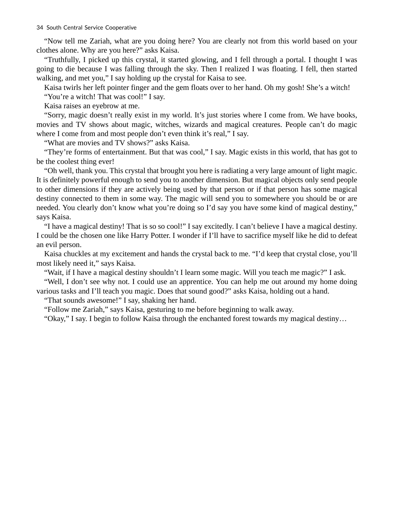"Now tell me Zariah, what are you doing here? You are clearly not from this world based on your clothes alone. Why are you here?" asks Kaisa.

"Truthfully, I picked up this crystal, it started glowing, and I fell through a portal. I thought I was going to die because I was falling through the sky. Then I realized I was floating. I fell, then started walking, and met you," I say holding up the crystal for Kaisa to see.

Kaisa twirls her left pointer finger and the gem floats over to her hand. Oh my gosh! She's a witch! "You're a witch! That was cool!" I say.

Kaisa raises an eyebrow at me.

"Sorry, magic doesn't really exist in my world. It's just stories where I come from. We have books, movies and TV shows about magic, witches, wizards and magical creatures. People can't do magic where I come from and most people don't even think it's real," I say.

"What are movies and TV shows?" asks Kaisa.

"They're forms of entertainment. But that was cool," I say. Magic exists in this world, that has got to be the coolest thing ever!

"Oh well, thank you. This crystal that brought you here is radiating a very large amount of light magic. It is definitely powerful enough to send you to another dimension. But magical objects only send people to other dimensions if they are actively being used by that person or if that person has some magical destiny connected to them in some way. The magic will send you to somewhere you should be or are needed. You clearly don't know what you're doing so I'd say you have some kind of magical destiny," says Kaisa.

"I have a magical destiny! That is so so cool!" I say excitedly. I can't believe I have a magical destiny. I could be the chosen one like Harry Potter. I wonder if I'll have to sacrifice myself like he did to defeat an evil person.

Kaisa chuckles at my excitement and hands the crystal back to me. "I'd keep that crystal close, you'll most likely need it," says Kaisa.

"Wait, if I have a magical destiny shouldn't I learn some magic. Will you teach me magic?" I ask.

"Well, I don't see why not. I could use an apprentice. You can help me out around my home doing various tasks and I'll teach you magic. Does that sound good?" asks Kaisa, holding out a hand.

"That sounds awesome!" I say, shaking her hand.

"Follow me Zariah," says Kaisa, gesturing to me before beginning to walk away.

"Okay," I say. I begin to follow Kaisa through the enchanted forest towards my magical destiny…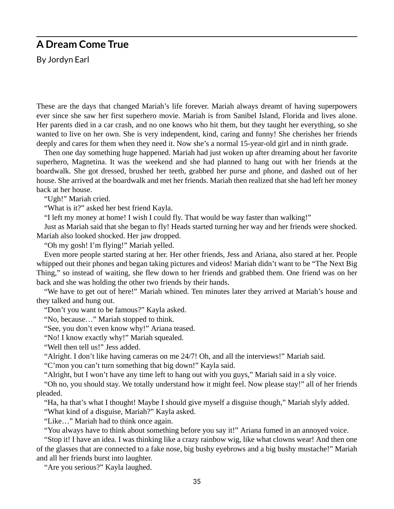### **A Dream Come True**

By Jordyn Earl

These are the days that changed Mariah's life forever. Mariah always dreamt of having superpowers ever since she saw her first superhero movie. Mariah is from Sanibel Island, Florida and lives alone. Her parents died in a car crash, and no one knows who hit them, but they taught her everything, so she wanted to live on her own. She is very independent, kind, caring and funny! She cherishes her friends deeply and cares for them when they need it. Now she's a normal 15-year-old girl and in ninth grade.

Then one day something huge happened. Mariah had just woken up after dreaming about her favorite superhero, Magnetina. It was the weekend and she had planned to hang out with her friends at the boardwalk. She got dressed, brushed her teeth, grabbed her purse and phone, and dashed out of her house. She arrived at the boardwalk and met her friends. Mariah then realized that she had left her money back at her house.

"Ugh!" Mariah cried.

"What is it?" asked her best friend Kayla.

"I left my money at home! I wish I could fly. That would be way faster than walking!"

Just as Mariah said that she began to fly! Heads started turning her way and her friends were shocked. Mariah also looked shocked. Her jaw dropped.

"Oh my gosh! I'm flying!" Mariah yelled.

Even more people started staring at her. Her other friends, Jess and Ariana, also stared at her. People whipped out their phones and began taking pictures and videos! Mariah didn't want to be "The Next Big Thing," so instead of waiting, she flew down to her friends and grabbed them. One friend was on her back and she was holding the other two friends by their hands.

"We have to get out of here!" Mariah whined. Ten minutes later they arrived at Mariah's house and they talked and hung out.

"Don't you want to be famous?" Kayla asked.

"No, because…" Mariah stopped to think.

"See, you don't even know why!" Ariana teased.

"No! I know exactly why!" Mariah squealed.

"Well then tell us!" Jess added.

"Alright. I don't like having cameras on me 24/7! Oh, and all the interviews!" Mariah said.

"C'mon you can't turn something that big down!" Kayla said.

"Alright, but I won't have any time left to hang out with you guys," Mariah said in a sly voice.

"Oh no, you should stay. We totally understand how it might feel. Now please stay!" all of her friends pleaded.

"Ha, ha that's what I thought! Maybe I should give myself a disguise though," Mariah slyly added. "What kind of a disguise, Mariah?" Kayla asked.

"Like…" Mariah had to think once again.

"You always have to think about something before you say it!" Ariana fumed in an annoyed voice.

"Stop it! I have an idea. I was thinking like a crazy rainbow wig, like what clowns wear! And then one of the glasses that are connected to a fake nose, big bushy eyebrows and a big bushy mustache!" Mariah and all her friends burst into laughter.

"Are you serious?" Kayla laughed.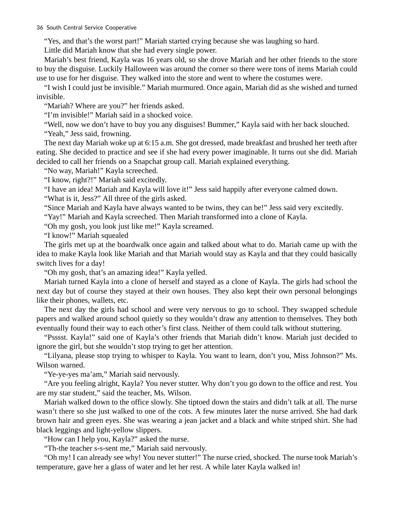"Yes, and that's the worst part!" Mariah started crying because she was laughing so hard.

Little did Mariah know that she had every single power.

Mariah's best friend, Kayla was 16 years old, so she drove Mariah and her other friends to the store to buy the disguise. Luckily Halloween was around the corner so there were tons of items Mariah could use to use for her disguise. They walked into the store and went to where the costumes were.

"I wish I could just be invisible." Mariah murmured. Once again, Mariah did as she wished and turned invisible.

"Mariah? Where are you?" her friends asked.

"I'm invisible!" Mariah said in a shocked voice.

"Well, now we don't have to buy you any disguises! Bummer," Kayla said with her back slouched.

"Yeah," Jess said, frowning.

The next day Mariah woke up at 6:15 a.m. She got dressed, made breakfast and brushed her teeth after eating. She decided to practice and see if she had every power imaginable. It turns out she did. Mariah decided to call her friends on a Snapchat group call. Mariah explained everything.

"No way, Mariah!" Kayla screeched.

"I know, right?!" Mariah said excitedly.

"I have an idea! Mariah and Kayla will love it!" Jess said happily after everyone calmed down. "What is it, Jess?" All three of the girls asked.

"Since Mariah and Kayla have always wanted to be twins, they can be!" Jess said very excitedly.

"Yay!" Mariah and Kayla screeched. Then Mariah transformed into a clone of Kayla.

"Oh my gosh, you look just like me!" Kayla screamed.

"I know!" Mariah squealed

The girls met up at the boardwalk once again and talked about what to do. Mariah came up with the idea to make Kayla look like Mariah and that Mariah would stay as Kayla and that they could basically switch lives for a day!

"Oh my gosh, that's an amazing idea!" Kayla yelled.

Mariah turned Kayla into a clone of herself and stayed as a clone of Kayla. The girls had school the next day but of course they stayed at their own houses. They also kept their own personal belongings like their phones, wallets, etc.

The next day the girls had school and were very nervous to go to school. They swapped schedule papers and walked around school quietly so they wouldn't draw any attention to themselves. They both eventually found their way to each other's first class. Neither of them could talk without stuttering.

"Psssst. Kayla!" said one of Kayla's other friends that Mariah didn't know. Mariah just decided to ignore the girl, but she wouldn't stop trying to get her attention.

"Lilyana, please stop trying to whisper to Kayla. You want to learn, don't you, Miss Johnson?" Ms. Wilson warned.

"Ye-ye-yes ma'am," Mariah said nervously.

"Are you feeling alright, Kayla? You never stutter. Why don't you go down to the office and rest. You are my star student," said the teacher, Ms. Wilson.

Mariah walked down to the office slowly. She tiptoed down the stairs and didn't talk at all. The nurse wasn't there so she just walked to one of the cots. A few minutes later the nurse arrived. She had dark brown hair and green eyes. She was wearing a jean jacket and a black and white striped shirt. She had black leggings and light-yellow slippers.

"How can I help you, Kayla?" asked the nurse.

"Th-the teacher s-s-sent me," Mariah said nervously.

"Oh my! I can already see why! You never stutter!" The nurse cried, shocked. The nurse took Mariah's temperature, gave her a glass of water and let her rest. A while later Kayla walked in!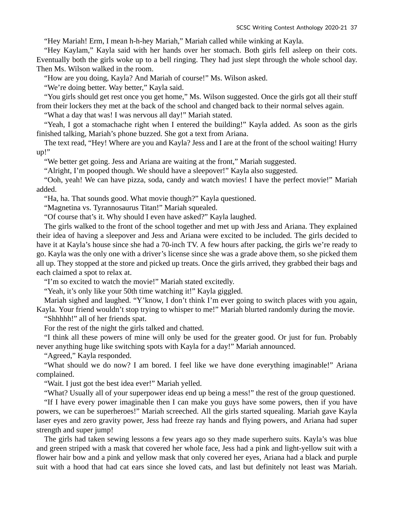"Hey Mariah! Erm, I mean h-h-hey Mariah," Mariah called while winking at Kayla.

"Hey Kaylam," Kayla said with her hands over her stomach. Both girls fell asleep on their cots. Eventually both the girls woke up to a bell ringing. They had just slept through the whole school day. Then Ms. Wilson walked in the room.

"How are you doing, Kayla? And Mariah of course!" Ms. Wilson asked.

"We're doing better. Way better," Kayla said.

"You girls should get rest once you get home," Ms. Wilson suggested. Once the girls got all their stuff from their lockers they met at the back of the school and changed back to their normal selves again.

"What a day that was! I was nervous all day!" Mariah stated.

"Yeah, I got a stomachache right when I entered the building!" Kayla added. As soon as the girls finished talking, Mariah's phone buzzed. She got a text from Ariana.

The text read, "Hey! Where are you and Kayla? Jess and I are at the front of the school waiting! Hurry up!"

"We better get going. Jess and Ariana are waiting at the front," Mariah suggested.

"Alright, I'm pooped though. We should have a sleepover!" Kayla also suggested.

"Ooh, yeah! We can have pizza, soda, candy and watch movies! I have the perfect movie!" Mariah added.

"Ha, ha. That sounds good. What movie though?" Kayla questioned.

"Magnetina vs. Tyrannosaurus Titan!" Mariah squealed.

"Of course that's it. Why should I even have asked?" Kayla laughed.

The girls walked to the front of the school together and met up with Jess and Ariana. They explained their idea of having a sleepover and Jess and Ariana were excited to be included. The girls decided to have it at Kayla's house since she had a 70-inch TV. A few hours after packing, the girls we're ready to go. Kayla was the only one with a driver's license since she was a grade above them, so she picked them all up. They stopped at the store and picked up treats. Once the girls arrived, they grabbed their bags and each claimed a spot to relax at.

"I'm so excited to watch the movie!" Mariah stated excitedly.

"Yeah, it's only like your 50th time watching it!" Kayla giggled.

Mariah sighed and laughed. "Y'know, I don't think I'm ever going to switch places with you again, Kayla. Your friend wouldn't stop trying to whisper to me!" Mariah blurted randomly during the movie.

"Shhhhh!" all of her friends spat.

For the rest of the night the girls talked and chatted.

"I think all these powers of mine will only be used for the greater good. Or just for fun. Probably never anything huge like switching spots with Kayla for a day!" Mariah announced.

"Agreed," Kayla responded.

"What should we do now? I am bored. I feel like we have done everything imaginable!" Ariana complained.

"Wait. I just got the best idea ever!" Mariah yelled.

"What? Usually all of your superpower ideas end up being a mess!" the rest of the group questioned.

"If I have every power imaginable then I can make you guys have some powers, then if you have powers, we can be superheroes!" Mariah screeched. All the girls started squealing. Mariah gave Kayla laser eyes and zero gravity power, Jess had freeze ray hands and flying powers, and Ariana had super strength and super jump!

The girls had taken sewing lessons a few years ago so they made superhero suits. Kayla's was blue and green striped with a mask that covered her whole face, Jess had a pink and light-yellow suit with a flower hair bow and a pink and yellow mask that only covered her eyes, Ariana had a black and purple suit with a hood that had cat ears since she loved cats, and last but definitely not least was Mariah.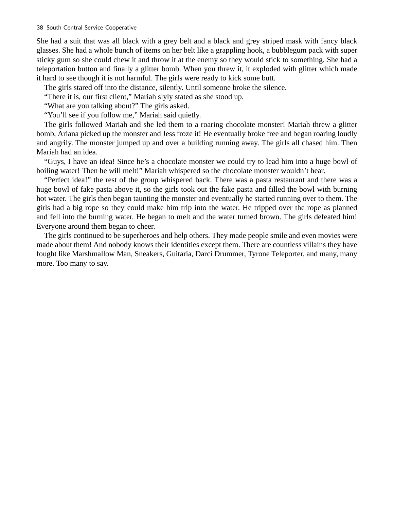She had a suit that was all black with a grey belt and a black and grey striped mask with fancy black glasses. She had a whole bunch of items on her belt like a grappling hook, a bubblegum pack with super sticky gum so she could chew it and throw it at the enemy so they would stick to something. She had a teleportation button and finally a glitter bomb. When you threw it, it exploded with glitter which made it hard to see though it is not harmful. The girls were ready to kick some butt.

The girls stared off into the distance, silently. Until someone broke the silence.

"There it is, our first client," Mariah slyly stated as she stood up.

"What are you talking about?" The girls asked.

"You'll see if you follow me," Mariah said quietly.

The girls followed Mariah and she led them to a roaring chocolate monster! Mariah threw a glitter bomb, Ariana picked up the monster and Jess froze it! He eventually broke free and began roaring loudly and angrily. The monster jumped up and over a building running away. The girls all chased him. Then Mariah had an idea.

"Guys, I have an idea! Since he's a chocolate monster we could try to lead him into a huge bowl of boiling water! Then he will melt!" Mariah whispered so the chocolate monster wouldn't hear.

"Perfect idea!" the rest of the group whispered back. There was a pasta restaurant and there was a huge bowl of fake pasta above it, so the girls took out the fake pasta and filled the bowl with burning hot water. The girls then began taunting the monster and eventually he started running over to them. The girls had a big rope so they could make him trip into the water. He tripped over the rope as planned and fell into the burning water. He began to melt and the water turned brown. The girls defeated him! Everyone around them began to cheer.

The girls continued to be superheroes and help others. They made people smile and even movies were made about them! And nobody knows their identities except them. There are countless villains they have fought like Marshmallow Man, Sneakers, Guitaria, Darci Drummer, Tyrone Teleporter, and many, many more. Too many to say.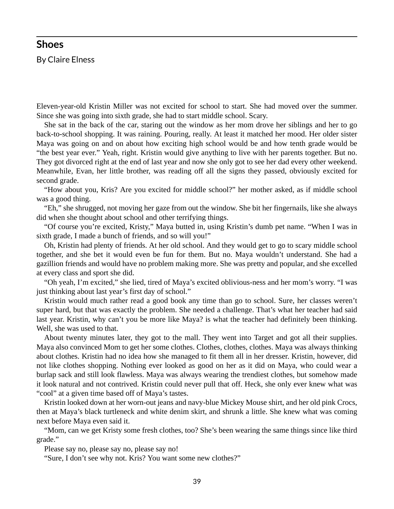#### **Shoes**

By Claire Elness

Eleven-year-old Kristin Miller was not excited for school to start. She had moved over the summer. Since she was going into sixth grade, she had to start middle school. Scary.

She sat in the back of the car, staring out the window as her mom drove her siblings and her to go back-to-school shopping. It was raining. Pouring, really. At least it matched her mood. Her older sister Maya was going on and on about how exciting high school would be and how tenth grade would be "the best year ever." Yeah, right. Kristin would give anything to live with her parents together. But no. They got divorced right at the end of last year and now she only got to see her dad every other weekend. Meanwhile, Evan, her little brother, was reading off all the signs they passed, obviously excited for second grade.

"How about you, Kris? Are you excited for middle school?" her mother asked, as if middle school was a good thing.

"Eh," she shrugged, not moving her gaze from out the window. She bit her fingernails, like she always did when she thought about school and other terrifying things.

"Of course you're excited, Kristy," Maya butted in, using Kristin's dumb pet name. "When I was in sixth grade, I made a bunch of friends, and so will you!"

Oh, Kristin had plenty of friends. At her old school. And they would get to go to scary middle school together, and she bet it would even be fun for them. But no. Maya wouldn't understand. She had a gazillion friends and would have no problem making more. She was pretty and popular, and she excelled at every class and sport she did.

"Oh yeah, I'm excited," she lied, tired of Maya's excited oblivious-ness and her mom's worry. "I was just thinking about last year's first day of school."

Kristin would much rather read a good book any time than go to school. Sure, her classes weren't super hard, but that was exactly the problem. She needed a challenge. That's what her teacher had said last year. Kristin, why can't you be more like Maya? is what the teacher had definitely been thinking. Well, she was used to that.

About twenty minutes later, they got to the mall. They went into Target and got all their supplies. Maya also convinced Mom to get her some clothes. Clothes, clothes, clothes. Maya was always thinking about clothes. Kristin had no idea how she managed to fit them all in her dresser. Kristin, however, did not like clothes shopping. Nothing ever looked as good on her as it did on Maya, who could wear a burlap sack and still look flawless. Maya was always wearing the trendiest clothes, but somehow made it look natural and not contrived. Kristin could never pull that off. Heck, she only ever knew what was "cool" at a given time based off of Maya's tastes.

Kristin looked down at her worn-out jeans and navy-blue Mickey Mouse shirt, and her old pink Crocs, then at Maya's black turtleneck and white denim skirt, and shrunk a little. She knew what was coming next before Maya even said it.

"Mom, can we get Kristy some fresh clothes, too? She's been wearing the same things since like third grade."

Please say no, please say no, please say no!

"Sure, I don't see why not. Kris? You want some new clothes?"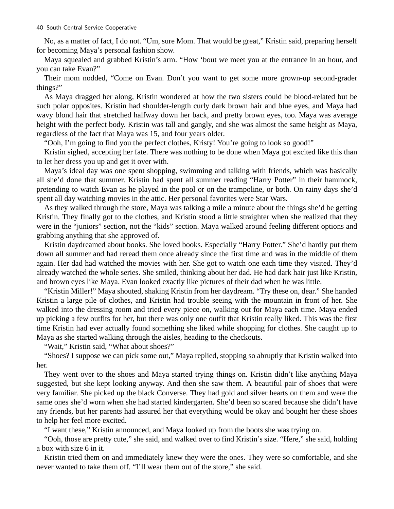No, as a matter of fact, I do not. "Um, sure Mom. That would be great," Kristin said, preparing herself for becoming Maya's personal fashion show.

Maya squealed and grabbed Kristin's arm. "How 'bout we meet you at the entrance in an hour, and you can take Evan?"

Their mom nodded, "Come on Evan. Don't you want to get some more grown-up second-grader things?"

As Maya dragged her along, Kristin wondered at how the two sisters could be blood-related but be such polar opposites. Kristin had shoulder-length curly dark brown hair and blue eyes, and Maya had wavy blond hair that stretched halfway down her back, and pretty brown eyes, too. Maya was average height with the perfect body. Kristin was tall and gangly, and she was almost the same height as Maya, regardless of the fact that Maya was 15, and four years older.

"Ooh, I'm going to find you the perfect clothes, Kristy! You're going to look so good!"

Kristin sighed, accepting her fate. There was nothing to be done when Maya got excited like this than to let her dress you up and get it over with.

Maya's ideal day was one spent shopping, swimming and talking with friends, which was basically all she'd done that summer. Kristin had spent all summer reading "Harry Potter" in their hammock, pretending to watch Evan as he played in the pool or on the trampoline, or both. On rainy days she'd spent all day watching movies in the attic. Her personal favorites were Star Wars.

As they walked through the store, Maya was talking a mile a minute about the things she'd be getting Kristin. They finally got to the clothes, and Kristin stood a little straighter when she realized that they were in the "juniors" section, not the "kids" section. Maya walked around feeling different options and grabbing anything that she approved of.

Kristin daydreamed about books. She loved books. Especially "Harry Potter." She'd hardly put them down all summer and had reread them once already since the first time and was in the middle of them again. Her dad had watched the movies with her. She got to watch one each time they visited. They'd already watched the whole series. She smiled, thinking about her dad. He had dark hair just like Kristin, and brown eyes like Maya. Evan looked exactly like pictures of their dad when he was little.

"Kristin Miller!" Maya shouted, shaking Kristin from her daydream. "Try these on, dear." She handed Kristin a large pile of clothes, and Kristin had trouble seeing with the mountain in front of her. She walked into the dressing room and tried every piece on, walking out for Maya each time. Maya ended up picking a few outfits for her, but there was only one outfit that Kristin really liked. This was the first time Kristin had ever actually found something she liked while shopping for clothes. She caught up to Maya as she started walking through the aisles, heading to the checkouts.

"Wait," Kristin said, "What about shoes?"

"Shoes? I suppose we can pick some out," Maya replied, stopping so abruptly that Kristin walked into her.

They went over to the shoes and Maya started trying things on. Kristin didn't like anything Maya suggested, but she kept looking anyway. And then she saw them. A beautiful pair of shoes that were very familiar. She picked up the black Converse. They had gold and silver hearts on them and were the same ones she'd worn when she had started kindergarten. She'd been so scared because she didn't have any friends, but her parents had assured her that everything would be okay and bought her these shoes to help her feel more excited.

"I want these," Kristin announced, and Maya looked up from the boots she was trying on.

"Ooh, those are pretty cute," she said, and walked over to find Kristin's size. "Here," she said, holding a box with size 6 in it.

Kristin tried them on and immediately knew they were the ones. They were so comfortable, and she never wanted to take them off. "I'll wear them out of the store," she said.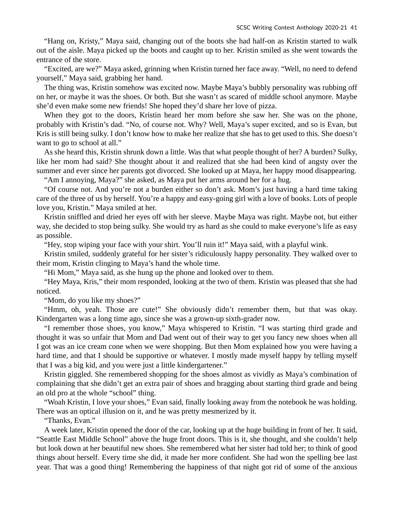"Hang on, Kristy," Maya said, changing out of the boots she had half-on as Kristin started to walk out of the aisle. Maya picked up the boots and caught up to her. Kristin smiled as she went towards the entrance of the store.

"Excited, are we?" Maya asked, grinning when Kristin turned her face away. "Well, no need to defend yourself," Maya said, grabbing her hand.

The thing was, Kristin somehow was excited now. Maybe Maya's bubbly personality was rubbing off on her, or maybe it was the shoes. Or both. But she wasn't as scared of middle school anymore. Maybe she'd even make some new friends! She hoped they'd share her love of pizza.

When they got to the doors, Kristin heard her mom before she saw her. She was on the phone, probably with Kristin's dad. "No, of course not. Why? Well, Maya's super excited, and so is Evan, but Kris is still being sulky. I don't know how to make her realize that she has to get used to this. She doesn't want to go to school at all."

As she heard this, Kristin shrunk down a little. Was that what people thought of her? A burden? Sulky, like her mom had said? She thought about it and realized that she had been kind of angsty over the summer and ever since her parents got divorced. She looked up at Maya, her happy mood disappearing.

"Am I annoying, Maya?" she asked, as Maya put her arms around her for a hug.

"Of course not. And you're not a burden either so don't ask. Mom's just having a hard time taking care of the three of us by herself. You're a happy and easy-going girl with a love of books. Lots of people love you, Kristin." Maya smiled at her.

Kristin sniffled and dried her eyes off with her sleeve. Maybe Maya was right. Maybe not, but either way, she decided to stop being sulky. She would try as hard as she could to make everyone's life as easy as possible.

"Hey, stop wiping your face with your shirt. You'll ruin it!" Maya said, with a playful wink.

Kristin smiled, suddenly grateful for her sister's ridiculously happy personality. They walked over to their mom, Kristin clinging to Maya's hand the whole time.

"Hi Mom," Maya said, as she hung up the phone and looked over to them.

"Hey Maya, Kris," their mom responded, looking at the two of them. Kristin was pleased that she had noticed.

"Mom, do you like my shoes?"

"Hmm, oh, yeah. Those are cute!" She obviously didn't remember them, but that was okay. Kindergarten was a long time ago, since she was a grown-up sixth-grader now.

"I remember those shoes, you know," Maya whispered to Kristin. "I was starting third grade and thought it was so unfair that Mom and Dad went out of their way to get you fancy new shoes when all I got was an ice cream cone when we were shopping. But then Mom explained how you were having a hard time, and that I should be supportive or whatever. I mostly made myself happy by telling myself that I was a big kid, and you were just a little kindergartener."

Kristin giggled. She remembered shopping for the shoes almost as vividly as Maya's combination of complaining that she didn't get an extra pair of shoes and bragging about starting third grade and being an old pro at the whole "school" thing.

"Woah Kristin, I love your shoes," Evan said, finally looking away from the notebook he was holding. There was an optical illusion on it, and he was pretty mesmerized by it.

"Thanks, Evan."

A week later, Kristin opened the door of the car, looking up at the huge building in front of her. It said, "Seattle East Middle School" above the huge front doors. This is it, she thought, and she couldn't help but look down at her beautiful new shoes. She remembered what her sister had told her; to think of good things about herself. Every time she did, it made her more confident. She had won the spelling bee last year. That was a good thing! Remembering the happiness of that night got rid of some of the anxious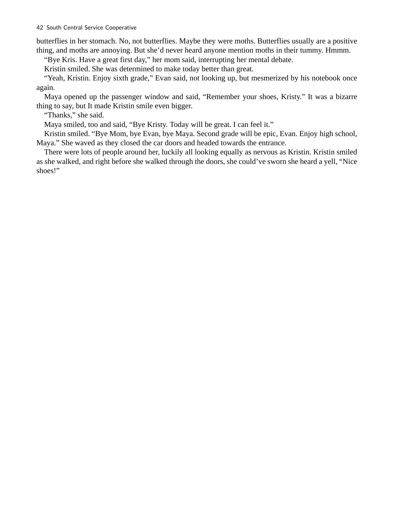butterflies in her stomach. No, not butterflies. Maybe they were moths. Butterflies usually are a positive thing, and moths are annoying. But she'd never heard anyone mention moths in their tummy. Hmmm.

"Bye Kris. Have a great first day," her mom said, interrupting her mental debate.

Kristin smiled. She was determined to make today better than great.

"Yeah, Kristin. Enjoy sixth grade," Evan said, not looking up, but mesmerized by his notebook once again.

Maya opened up the passenger window and said, "Remember your shoes, Kristy." It was a bizarre thing to say, but It made Kristin smile even bigger.

"Thanks," she said.

Maya smiled, too and said, "Bye Kristy. Today will be great. I can feel it."

Kristin smiled. "Bye Mom, bye Evan, bye Maya. Second grade will be epic, Evan. Enjoy high school, Maya." She waved as they closed the car doors and headed towards the entrance.

There were lots of people around her, luckily all looking equally as nervous as Kristin. Kristin smiled as she walked, and right before she walked through the doors, she could've sworn she heard a yell, "Nice shoes!"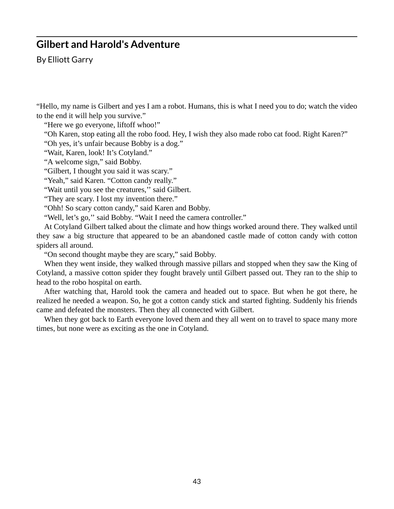### **Gilbert and Harold's Adventure**

By Elliott Garry

"Hello, my name is Gilbert and yes I am a robot. Humans, this is what I need you to do; watch the video to the end it will help you survive."

"Here we go everyone, liftoff whoo!"

"Oh Karen, stop eating all the robo food. Hey, I wish they also made robo cat food. Right Karen?" "Oh yes, it's unfair because Bobby is a dog."

"Wait, Karen, look! It's Cotyland."

"A welcome sign," said Bobby.

"Gilbert, I thought you said it was scary."

"Yeah," said Karen. "Cotton candy really."

"Wait until you see the creatures,'' said Gilbert.

"They are scary. I lost my invention there."

"Ohh! So scary cotton candy," said Karen and Bobby.

"Well, let's go," said Bobby. "Wait I need the camera controller."

At Cotyland Gilbert talked about the climate and how things worked around there. They walked until they saw a big structure that appeared to be an abandoned castle made of cotton candy with cotton spiders all around.

"On second thought maybe they are scary," said Bobby.

When they went inside, they walked through massive pillars and stopped when they saw the King of Cotyland, a massive cotton spider they fought bravely until Gilbert passed out. They ran to the ship to head to the robo hospital on earth.

After watching that, Harold took the camera and headed out to space. But when he got there, he realized he needed a weapon. So, he got a cotton candy stick and started fighting. Suddenly his friends came and defeated the monsters. Then they all connected with Gilbert.

When they got back to Earth everyone loved them and they all went on to travel to space many more times, but none were as exciting as the one in Cotyland.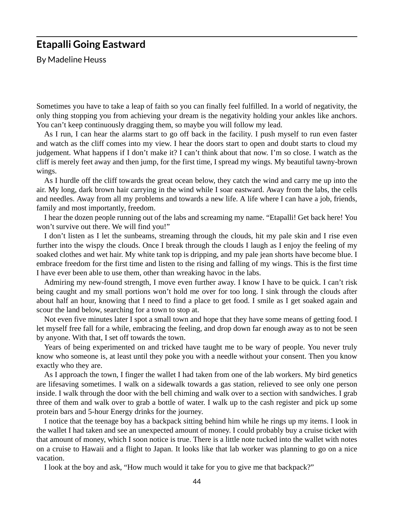### **Etapalli Going Eastward**

By Madeline Heuss

Sometimes you have to take a leap of faith so you can finally feel fulfilled. In a world of negativity, the only thing stopping you from achieving your dream is the negativity holding your ankles like anchors. You can't keep continuously dragging them, so maybe you will follow my lead.

As I run, I can hear the alarms start to go off back in the facility. I push myself to run even faster and watch as the cliff comes into my view. I hear the doors start to open and doubt starts to cloud my judgement. What happens if I don't make it? I can't think about that now. I'm so close. I watch as the cliff is merely feet away and then jump, for the first time, I spread my wings. My beautiful tawny-brown wings.

As I hurdle off the cliff towards the great ocean below, they catch the wind and carry me up into the air. My long, dark brown hair carrying in the wind while I soar eastward. Away from the labs, the cells and needles. Away from all my problems and towards a new life. A life where I can have a job, friends, family and most importantly, freedom.

I hear the dozen people running out of the labs and screaming my name. "Etapalli! Get back here! You won't survive out there. We will find you!"

I don't listen as I let the sunbeams, streaming through the clouds, hit my pale skin and I rise even further into the wispy the clouds. Once I break through the clouds I laugh as I enjoy the feeling of my soaked clothes and wet hair. My white tank top is dripping, and my pale jean shorts have become blue. I embrace freedom for the first time and listen to the rising and falling of my wings. This is the first time I have ever been able to use them, other than wreaking havoc in the labs.

Admiring my new-found strength, I move even further away. I know I have to be quick. I can't risk being caught and my small portions won't hold me over for too long. I sink through the clouds after about half an hour, knowing that I need to find a place to get food. I smile as I get soaked again and scour the land below, searching for a town to stop at.

Not even five minutes later I spot a small town and hope that they have some means of getting food. I let myself free fall for a while, embracing the feeling, and drop down far enough away as to not be seen by anyone. With that, I set off towards the town.

Years of being experimented on and tricked have taught me to be wary of people. You never truly know who someone is, at least until they poke you with a needle without your consent. Then you know exactly who they are.

As I approach the town, I finger the wallet I had taken from one of the lab workers. My bird genetics are lifesaving sometimes. I walk on a sidewalk towards a gas station, relieved to see only one person inside. I walk through the door with the bell chiming and walk over to a section with sandwiches. I grab three of them and walk over to grab a bottle of water. I walk up to the cash register and pick up some protein bars and 5-hour Energy drinks for the journey.

I notice that the teenage boy has a backpack sitting behind him while he rings up my items. I look in the wallet I had taken and see an unexpected amount of money. I could probably buy a cruise ticket with that amount of money, which I soon notice is true. There is a little note tucked into the wallet with notes on a cruise to Hawaii and a flight to Japan. It looks like that lab worker was planning to go on a nice vacation.

I look at the boy and ask, "How much would it take for you to give me that backpack?"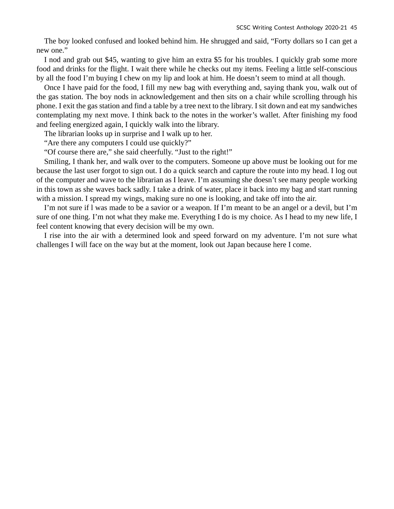The boy looked confused and looked behind him. He shrugged and said, "Forty dollars so I can get a new one."

I nod and grab out \$45, wanting to give him an extra \$5 for his troubles. I quickly grab some more food and drinks for the flight. I wait there while he checks out my items. Feeling a little self-conscious by all the food I'm buying I chew on my lip and look at him. He doesn't seem to mind at all though.

Once I have paid for the food, I fill my new bag with everything and, saying thank you, walk out of the gas station. The boy nods in acknowledgement and then sits on a chair while scrolling through his phone. I exit the gas station and find a table by a tree next to the library. I sit down and eat my sandwiches contemplating my next move. I think back to the notes in the worker's wallet. After finishing my food and feeling energized again, I quickly walk into the library.

The librarian looks up in surprise and I walk up to her.

"Are there any computers I could use quickly?"

"Of course there are," she said cheerfully. "Just to the right!"

Smiling, I thank her, and walk over to the computers. Someone up above must be looking out for me because the last user forgot to sign out. I do a quick search and capture the route into my head. I log out of the computer and wave to the librarian as I leave. I'm assuming she doesn't see many people working in this town as she waves back sadly. I take a drink of water, place it back into my bag and start running with a mission. I spread my wings, making sure no one is looking, and take off into the air.

I'm not sure if l was made to be a savior or a weapon. If I'm meant to be an angel or a devil, but I'm sure of one thing. I'm not what they make me. Everything I do is my choice. As I head to my new life, I feel content knowing that every decision will be my own.

I rise into the air with a determined look and speed forward on my adventure. I'm not sure what challenges I will face on the way but at the moment, look out Japan because here I come.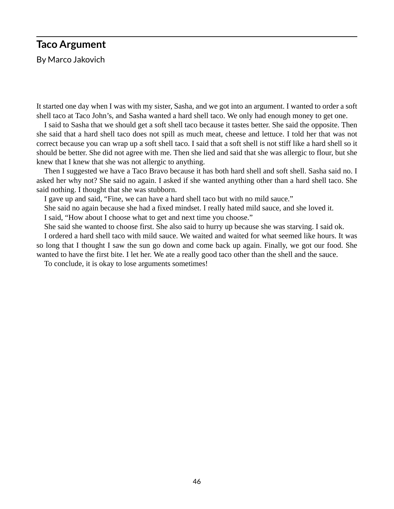## **Taco Argument**

By Marco Jakovich

It started one day when I was with my sister, Sasha, and we got into an argument. I wanted to order a soft shell taco at Taco John's, and Sasha wanted a hard shell taco. We only had enough money to get one.

I said to Sasha that we should get a soft shell taco because it tastes better. She said the opposite. Then she said that a hard shell taco does not spill as much meat, cheese and lettuce. I told her that was not correct because you can wrap up a soft shell taco. I said that a soft shell is not stiff like a hard shell so it should be better. She did not agree with me. Then she lied and said that she was allergic to flour, but she knew that I knew that she was not allergic to anything.

Then I suggested we have a Taco Bravo because it has both hard shell and soft shell. Sasha said no. I asked her why not? She said no again. I asked if she wanted anything other than a hard shell taco. She said nothing. I thought that she was stubborn.

I gave up and said, "Fine, we can have a hard shell taco but with no mild sauce."

She said no again because she had a fixed mindset. I really hated mild sauce, and she loved it.

I said, "How about I choose what to get and next time you choose."

She said she wanted to choose first. She also said to hurry up because she was starving. I said ok.

I ordered a hard shell taco with mild sauce. We waited and waited for what seemed like hours. It was so long that I thought I saw the sun go down and come back up again. Finally, we got our food. She wanted to have the first bite. I let her. We ate a really good taco other than the shell and the sauce.

To conclude, it is okay to lose arguments sometimes!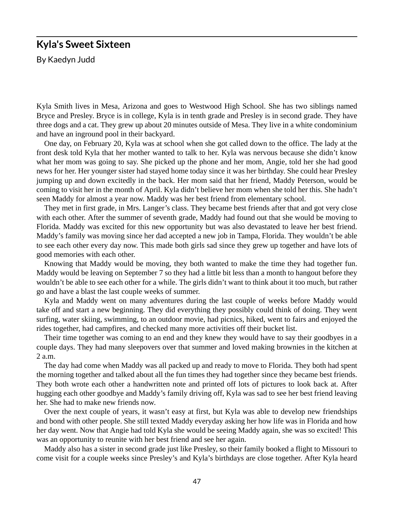#### **Kyla's Sweet Sixteen**

By Kaedyn Judd

Kyla Smith lives in Mesa, Arizona and goes to Westwood High School. She has two siblings named Bryce and Presley. Bryce is in college, Kyla is in tenth grade and Presley is in second grade. They have three dogs and a cat. They grew up about 20 minutes outside of Mesa. They live in a white condominium and have an inground pool in their backyard.

One day, on February 20, Kyla was at school when she got called down to the office. The lady at the front desk told Kyla that her mother wanted to talk to her. Kyla was nervous because she didn't know what her mom was going to say. She picked up the phone and her mom, Angie, told her she had good news for her. Her younger sister had stayed home today since it was her birthday. She could hear Presley jumping up and down excitedly in the back. Her mom said that her friend, Maddy Peterson, would be coming to visit her in the month of April. Kyla didn't believe her mom when she told her this. She hadn't seen Maddy for almost a year now. Maddy was her best friend from elementary school.

They met in first grade, in Mrs. Langer's class. They became best friends after that and got very close with each other. After the summer of seventh grade, Maddy had found out that she would be moving to Florida. Maddy was excited for this new opportunity but was also devastated to leave her best friend. Maddy's family was moving since her dad accepted a new job in Tampa, Florida. They wouldn't be able to see each other every day now. This made both girls sad since they grew up together and have lots of good memories with each other.

Knowing that Maddy would be moving, they both wanted to make the time they had together fun. Maddy would be leaving on September 7 so they had a little bit less than a month to hangout before they wouldn't be able to see each other for a while. The girls didn't want to think about it too much, but rather go and have a blast the last couple weeks of summer.

Kyla and Maddy went on many adventures during the last couple of weeks before Maddy would take off and start a new beginning. They did everything they possibly could think of doing. They went surfing, water skiing, swimming, to an outdoor movie, had picnics, hiked, went to fairs and enjoyed the rides together, had campfires, and checked many more activities off their bucket list.

Their time together was coming to an end and they knew they would have to say their goodbyes in a couple days. They had many sleepovers over that summer and loved making brownies in the kitchen at 2 a.m.

The day had come when Maddy was all packed up and ready to move to Florida. They both had spent the morning together and talked about all the fun times they had together since they became best friends. They both wrote each other a handwritten note and printed off lots of pictures to look back at. After hugging each other goodbye and Maddy's family driving off, Kyla was sad to see her best friend leaving her. She had to make new friends now.

Over the next couple of years, it wasn't easy at first, but Kyla was able to develop new friendships and bond with other people. She still texted Maddy everyday asking her how life was in Florida and how her day went. Now that Angie had told Kyla she would be seeing Maddy again, she was so excited! This was an opportunity to reunite with her best friend and see her again.

Maddy also has a sister in second grade just like Presley, so their family booked a flight to Missouri to come visit for a couple weeks since Presley's and Kyla's birthdays are close together. After Kyla heard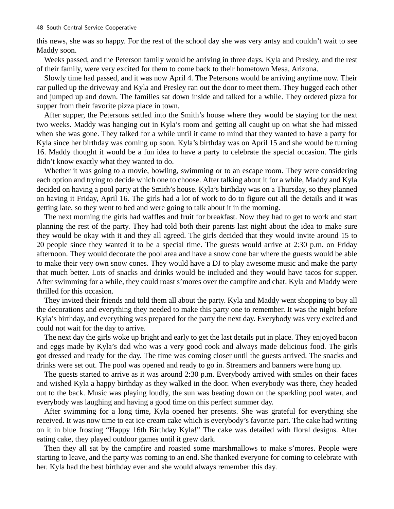this news, she was so happy. For the rest of the school day she was very antsy and couldn't wait to see Maddy soon.

Weeks passed, and the Peterson family would be arriving in three days. Kyla and Presley, and the rest of their family, were very excited for them to come back to their hometown Mesa, Arizona.

Slowly time had passed, and it was now April 4. The Petersons would be arriving anytime now. Their car pulled up the driveway and Kyla and Presley ran out the door to meet them. They hugged each other and jumped up and down. The families sat down inside and talked for a while. They ordered pizza for supper from their favorite pizza place in town.

After supper, the Petersons settled into the Smith's house where they would be staying for the next two weeks. Maddy was hanging out in Kyla's room and getting all caught up on what she had missed when she was gone. They talked for a while until it came to mind that they wanted to have a party for Kyla since her birthday was coming up soon. Kyla's birthday was on April 15 and she would be turning 16. Maddy thought it would be a fun idea to have a party to celebrate the special occasion. The girls didn't know exactly what they wanted to do.

Whether it was going to a movie, bowling, swimming or to an escape room. They were considering each option and trying to decide which one to choose. After talking about it for a while, Maddy and Kyla decided on having a pool party at the Smith's house. Kyla's birthday was on a Thursday, so they planned on having it Friday, April 16. The girls had a lot of work to do to figure out all the details and it was getting late, so they went to bed and were going to talk about it in the morning.

The next morning the girls had waffles and fruit for breakfast. Now they had to get to work and start planning the rest of the party. They had told both their parents last night about the idea to make sure they would be okay with it and they all agreed. The girls decided that they would invite around 15 to 20 people since they wanted it to be a special time. The guests would arrive at 2:30 p.m. on Friday afternoon. They would decorate the pool area and have a snow cone bar where the guests would be able to make their very own snow cones. They would have a DJ to play awesome music and make the party that much better. Lots of snacks and drinks would be included and they would have tacos for supper. After swimming for a while, they could roast s'mores over the campfire and chat. Kyla and Maddy were thrilled for this occasion.

They invited their friends and told them all about the party. Kyla and Maddy went shopping to buy all the decorations and everything they needed to make this party one to remember. It was the night before Kyla's birthday, and everything was prepared for the party the next day. Everybody was very excited and could not wait for the day to arrive.

The next day the girls woke up bright and early to get the last details put in place. They enjoyed bacon and eggs made by Kyla's dad who was a very good cook and always made delicious food. The girls got dressed and ready for the day. The time was coming closer until the guests arrived. The snacks and drinks were set out. The pool was opened and ready to go in. Streamers and banners were hung up.

The guests started to arrive as it was around 2:30 p.m. Everybody arrived with smiles on their faces and wished Kyla a happy birthday as they walked in the door. When everybody was there, they headed out to the back. Music was playing loudly, the sun was beating down on the sparkling pool water, and everybody was laughing and having a good time on this perfect summer day.

After swimming for a long time, Kyla opened her presents. She was grateful for everything she received. It was now time to eat ice cream cake which is everybody's favorite part. The cake had writing on it in blue frosting "Happy 16th Birthday Kyla!" The cake was detailed with floral designs. After eating cake, they played outdoor games until it grew dark.

Then they all sat by the campfire and roasted some marshmallows to make s'mores. People were starting to leave, and the party was coming to an end. She thanked everyone for coming to celebrate with her. Kyla had the best birthday ever and she would always remember this day.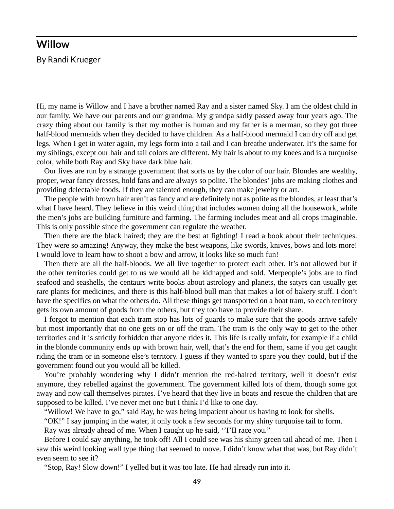#### **Willow**

By Randi Krueger

Hi, my name is Willow and I have a brother named Ray and a sister named Sky. I am the oldest child in our family. We have our parents and our grandma. My grandpa sadly passed away four years ago. The crazy thing about our family is that my mother is human and my father is a merman, so they got three half-blood mermaids when they decided to have children. As a half-blood mermaid I can dry off and get legs. When I get in water again, my legs form into a tail and I can breathe underwater. It's the same for my siblings, except our hair and tail colors are different. My hair is about to my knees and is a turquoise color, while both Ray and Sky have dark blue hair.

Our lives are run by a strange government that sorts us by the color of our hair. Blondes are wealthy, proper, wear fancy dresses, hold fans and are always so polite. The blondes' jobs are making clothes and providing delectable foods. If they are talented enough, they can make jewelry or art.

The people with brown hair aren't as fancy and are definitely not as polite as the blondes, at least that's what I have heard. They believe in this weird thing that includes women doing all the housework, while the men's jobs are building furniture and farming. The farming includes meat and all crops imaginable. This is only possible since the government can regulate the weather.

Then there are the black haired; they are the best at fighting! I read a book about their techniques. They were so amazing! Anyway, they make the best weapons, like swords, knives, bows and lots more! I would love to learn how to shoot a bow and arrow, it looks like so much fun!

Then there are all the half-bloods. We all live together to protect each other. It's not allowed but if the other territories could get to us we would all be kidnapped and sold. Merpeople's jobs are to find seafood and seashells, the centaurs write books about astrology and planets, the satyrs can usually get rare plants for medicines, and there is this half-blood bull man that makes a lot of bakery stuff. I don't have the specifics on what the others do. All these things get transported on a boat tram, so each territory gets its own amount of goods from the others, but they too have to provide their share.

I forgot to mention that each tram stop has lots of guards to make sure that the goods arrive safely but most importantly that no one gets on or off the tram. The tram is the only way to get to the other territories and it is strictly forbidden that anyone rides it. This life is really unfair, for example if a child in the blonde community ends up with brown hair, well, that's the end for them, same if you get caught riding the tram or in someone else's territory. I guess if they wanted to spare you they could, but if the government found out you would all be killed.

You're probably wondering why I didn't mention the red-haired territory, well it doesn't exist anymore, they rebelled against the government. The government killed lots of them, though some got away and now call themselves pirates. I've heard that they live in boats and rescue the children that are supposed to be killed. I've never met one but I think I'd like to one day.

"Willow! We have to go," said Ray, he was being impatient about us having to look for shells.

"OK!" I say jumping in the water, it only took a few seconds for my shiny turquoise tail to form.

Ray was already ahead of me. When I caught up he said, ''I'II race you."

Before I could say anything, he took off! All I could see was his shiny green tail ahead of me. Then I saw this weird looking wall type thing that seemed to move. I didn't know what that was, but Ray didn't even seem to see it?

"Stop, Ray! Slow down!" I yelled but it was too late. He had already run into it.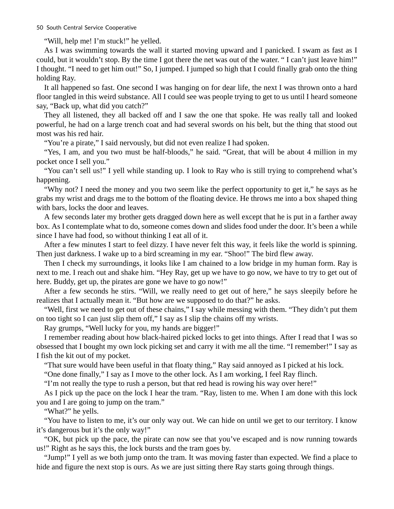"Will, help me! I'm stuck!" he yelled.

As I was swimming towards the wall it started moving upward and I panicked. I swam as fast as I could, but it wouldn't stop. By the time I got there the net was out of the water. " I can't just leave him!" I thought. "I need to get him out!" So, I jumped. I jumped so high that I could finally grab onto the thing holding Ray.

It all happened so fast. One second I was hanging on for dear life, the next I was thrown onto a hard floor tangled in this weird substance. All I could see was people trying to get to us until I heard someone say, "Back up, what did you catch?"

They all listened, they all backed off and I saw the one that spoke. He was really tall and looked powerful, he had on a large trench coat and had several swords on his belt, but the thing that stood out most was his red hair.

"You're a pirate," I said nervously, but did not even realize I had spoken.

"Yes, I am, and you two must be half-bloods," he said. "Great, that will be about 4 million in my pocket once I sell you."

"You can't sell us!" I yell while standing up. I look to Ray who is still trying to comprehend what's happening.

"Why not? I need the money and you two seem like the perfect opportunity to get it," he says as he grabs my wrist and drags me to the bottom of the floating device. He throws me into a box shaped thing with bars, locks the door and leaves.

A few seconds later my brother gets dragged down here as well except that he is put in a farther away box. As I contemplate what to do, someone comes down and slides food under the door. It's been a while since I have had food, so without thinking I eat all of it.

After a few minutes I start to feel dizzy. I have never felt this way, it feels like the world is spinning. Then just darkness. I wake up to a bird screaming in my ear. "Shoo!" The bird flew away.

Then I check my surroundings, it looks like I am chained to a low bridge in my human form. Ray is next to me. I reach out and shake him. "Hey Ray, get up we have to go now, we have to try to get out of here. Buddy, get up, the pirates are gone we have to go now!"

After a few seconds he stirs. "Will, we really need to get out of here," he says sleepily before he realizes that I actually mean it. "But how are we supposed to do that?" he asks.

"Well, first we need to get out of these chains," I say while messing with them. "They didn't put them on too tight so I can just slip them off," I say as I slip the chains off my wrists.

Ray grumps, "Well lucky for you, my hands are bigger!"

I remember reading about how black-haired picked locks to get into things. After I read that I was so obsessed that I bought my own lock picking set and carry it with me all the time. "I remember!" I say as I fish the kit out of my pocket.

"That sure would have been useful in that floaty thing," Ray said annoyed as I picked at his lock.

"One done finally," I say as I move to the other lock. As I am working, I feel Ray flinch.

"I'm not really the type to rush a person, but that red head is rowing his way over here!"

As I pick up the pace on the lock I hear the tram. "Ray, listen to me. When I am done with this lock you and I are going to jump on the tram."

"What?" he yells.

"You have to listen to me, it's our only way out. We can hide on until we get to our territory. I know it's dangerous but it's the only way!"

"OK, but pick up the pace, the pirate can now see that you've escaped and is now running towards us!" Right as he says this, the lock bursts and the tram goes by.

"Jump!" I yell as we both jump onto the tram. It was moving faster than expected. We find a place to hide and figure the next stop is ours. As we are just sitting there Ray starts going through things.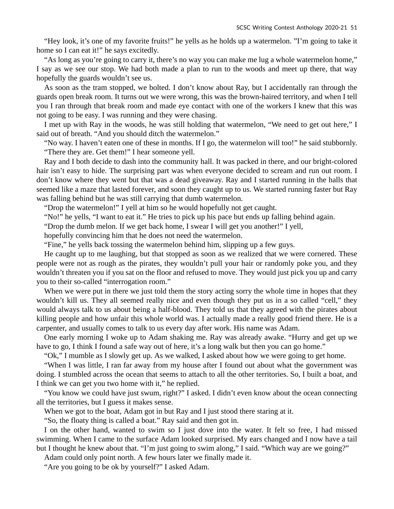"Hey look, it's one of my favorite fruits!" he yells as he holds up a watermelon. "I'm going to take it home so I can eat it!" he says excitedly.

"As long as you're going to carry it, there's no way you can make me lug a whole watermelon home," I say as we see our stop. We had both made a plan to run to the woods and meet up there, that way hopefully the guards wouldn't see us.

As soon as the tram stopped, we bolted. I don't know about Ray, but I accidentally ran through the guards open break room. It turns out we were wrong, this was the brown-haired territory, and when I tell you I ran through that break room and made eye contact with one of the workers I knew that this was not going to be easy. I was running and they were chasing.

I met up with Ray in the woods, he was still holding that watermelon, "We need to get out here," I said out of breath. "And you should ditch the watermelon."

"No way. I haven't eaten one of these in months. If I go, the watermelon will too!" he said stubbornly. "There they are. Get them!" I hear someone yell.

Ray and I both decide to dash into the community hall. It was packed in there, and our bright-colored hair isn't easy to hide. The surprising part was when everyone decided to scream and run out room. I don't know where they went but that was a dead giveaway. Ray and I started running in the halls that seemed like a maze that lasted forever, and soon they caught up to us. We started running faster but Ray was falling behind but he was still carrying that dumb watermelon.

"Drop the watermelon!" I yell at him so he would hopefully not get caught.

"No!" he yells, "I want to eat it." He tries to pick up his pace but ends up falling behind again.

"Drop the dumb melon. If we get back home, I swear I will get you another!" I yell,

hopefully convincing him that he does not need the watermelon.

"Fine," he yells back tossing the watermelon behind him, slipping up a few guys.

He caught up to me laughing, but that stopped as soon as we realized that we were cornered. These people were not as rough as the pirates, they wouldn't pull your hair or randomly poke you, and they wouldn't threaten you if you sat on the floor and refused to move. They would just pick you up and carry you to their so-called "interrogation room."

When we were put in there we just told them the story acting sorry the whole time in hopes that they wouldn't kill us. They all seemed really nice and even though they put us in a so called "cell," they would always talk to us about being a half-blood. They told us that they agreed with the pirates about killing people and how unfair this whole world was. I actually made a really good friend there. He is a carpenter, and usually comes to talk to us every day after work. His name was Adam.

One early morning I woke up to Adam shaking me. Ray was already awake. "Hurry and get up we have to go, I think I found a safe way out of here, it's a long walk but then you can go home."

"Ok," I mumble as I slowly get up. As we walked, I asked about how we were going to get home.

"When I was little, I ran far away from my house after I found out about what the government was doing. I stumbled across the ocean that seems to attach to all the other territories. So, I built a boat, and I think we can get you two home with it," he replied.

"You know we could have just swum, right?" I asked. I didn't even know about the ocean connecting all the territories, but I guess it makes sense.

When we got to the boat, Adam got in but Ray and I just stood there staring at it.

"So, the floaty thing is called a boat." Ray said and then got in.

I on the other hand, wanted to swim so I just dove into the water. It felt so free, I had missed swimming. When I came to the surface Adam looked surprised. My ears changed and I now have a tail but I thought he knew about that. "I'm just going to swim along," I said. "Which way are we going?"

Adam could only point north. A few hours later we finally made it.

"Are you going to be ok by yourself?" I asked Adam.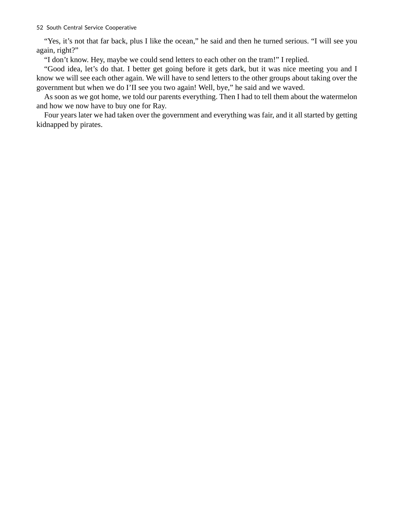"Yes, it's not that far back, plus I like the ocean," he said and then he turned serious. "I will see you again, right?"

"I don't know. Hey, maybe we could send letters to each other on the tram!" I replied.

"Good idea, let's do that. I better get going before it gets dark, but it was nice meeting you and I know we will see each other again. We will have to send letters to the other groups about taking over the government but when we do I'II see you two again! Well, bye," he said and we waved.

As soon as we got home, we told our parents everything. Then I had to tell them about the watermelon and how we now have to buy one for Ray.

Four years later we had taken over the government and everything was fair, and it all started by getting kidnapped by pirates.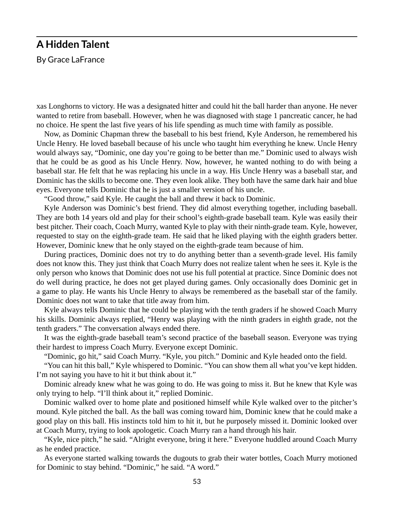### **A Hidden Talent**

By Grace LaFrance

xas Longhorns to victory. He was a designated hitter and could hit the ball harder than anyone. He never wanted to retire from baseball. However, when he was diagnosed with stage 1 pancreatic cancer, he had no choice. He spent the last five years of his life spending as much time with family as possible.

Now, as Dominic Chapman threw the baseball to his best friend, Kyle Anderson, he remembered his Uncle Henry. He loved baseball because of his uncle who taught him everything he knew. Uncle Henry would always say, "Dominic, one day you're going to be better than me." Dominic used to always wish that he could be as good as his Uncle Henry. Now, however, he wanted nothing to do with being a baseball star. He felt that he was replacing his uncle in a way. His Uncle Henry was a baseball star, and Dominic has the skills to become one. They even look alike. They both have the same dark hair and blue eyes. Everyone tells Dominic that he is just a smaller version of his uncle.

"Good throw," said Kyle. He caught the ball and threw it back to Dominic.

Kyle Anderson was Dominic's best friend. They did almost everything together, including baseball. They are both 14 years old and play for their school's eighth-grade baseball team. Kyle was easily their best pitcher. Their coach, Coach Murry, wanted Kyle to play with their ninth-grade team. Kyle, however, requested to stay on the eighth-grade team. He said that he liked playing with the eighth graders better. However, Dominic knew that he only stayed on the eighth-grade team because of him.

During practices, Dominic does not try to do anything better than a seventh-grade level. His family does not know this. They just think that Coach Murry does not realize talent when he sees it. Kyle is the only person who knows that Dominic does not use his full potential at practice. Since Dominic does not do well during practice, he does not get played during games. Only occasionally does Dominic get in a game to play. He wants his Uncle Henry to always be remembered as the baseball star of the family. Dominic does not want to take that title away from him.

Kyle always tells Dominic that he could be playing with the tenth graders if he showed Coach Murry his skills. Dominic always replied, "Henry was playing with the ninth graders in eighth grade, not the tenth graders." The conversation always ended there.

It was the eighth-grade baseball team's second practice of the baseball season. Everyone was trying their hardest to impress Coach Murry. Everyone except Dominic.

"Dominic, go hit," said Coach Murry. "Kyle, you pitch." Dominic and Kyle headed onto the field.

"You can hit this ball," Kyle whispered to Dominic. "You can show them all what you've kept hidden. I'm not saying you have to hit it but think about it."

Dominic already knew what he was going to do. He was going to miss it. But he knew that Kyle was only trying to help. "I'll think about it," replied Dominic.

Dominic walked over to home plate and positioned himself while Kyle walked over to the pitcher's mound. Kyle pitched the ball. As the ball was coming toward him, Dominic knew that he could make a good play on this ball. His instincts told him to hit it, but he purposely missed it. Dominic looked over at Coach Murry, trying to look apologetic. Coach Murry ran a hand through his hair.

"Kyle, nice pitch," he said. "Alright everyone, bring it here." Everyone huddled around Coach Murry as he ended practice.

As everyone started walking towards the dugouts to grab their water bottles, Coach Murry motioned for Dominic to stay behind. "Dominic," he said. "A word."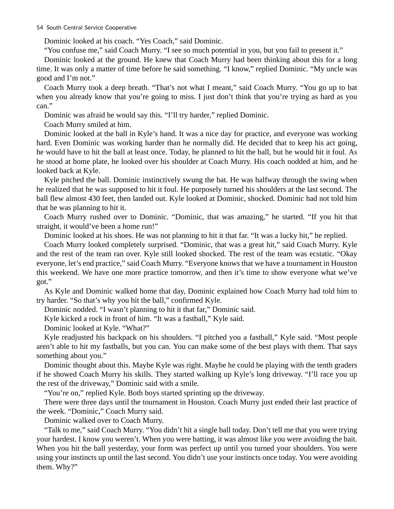Dominic looked at his coach. "Yes Coach," said Dominic.

"You confuse me," said Coach Murry. "I see so much potential in you, but you fail to present it."

Dominic looked at the ground. He knew that Coach Murry had been thinking about this for a long time. It was only a matter of time before he said something. "I know," replied Dominic. "My uncle was good and I'm not."

Coach Murry took a deep breath. "That's not what I meant," said Coach Murry. "You go up to bat when you already know that you're going to miss. I just don't think that you're trying as hard as you can."

Dominic was afraid he would say this. "I'll try harder," replied Dominic.

Coach Murry smiled at him.

Dominic looked at the ball in Kyle's hand. It was a nice day for practice, and everyone was working hard. Even Dominic was working harder than he normally did. He decided that to keep his act going, he would have to hit the ball at least once. Today, he planned to hit the ball, but he would hit it foul. As he stood at home plate, he looked over his shoulder at Coach Murry. His coach nodded at him, and he looked back at Kyle.

Kyle pitched the ball. Dominic instinctively swung the bat. He was halfway through the swing when he realized that he was supposed to hit it foul. He purposely turned his shoulders at the last second. The ball flew almost 430 feet, then landed out. Kyle looked at Dominic, shocked. Dominic had not told him that he was planning to hit it.

Coach Murry rushed over to Dominic. "Dominic, that was amazing," he started. "If you hit that straight, it would've been a home run!"

Dominic looked at his shoes. He was not planning to hit it that far. "It was a lucky hit," he replied.

Coach Murry looked completely surprised. "Dominic, that was a great hit," said Coach Murry. Kyle and the rest of the team ran over. Kyle still looked shocked. The rest of the team was ecstatic. "Okay everyone, let's end practice," said Coach Murry. "Everyone knows that we have a tournament in Houston this weekend. We have one more practice tomorrow, and then it's time to show everyone what we've got."

As Kyle and Dominic walked home that day, Dominic explained how Coach Murry had told him to try harder. "So that's why you hit the ball," confirmed Kyle.

Dominic nodded. "I wasn't planning to hit it that far," Dominic said.

Kyle kicked a rock in front of him. "It was a fastball," Kyle said.

Dominic looked at Kyle. "What?"

Kyle readjusted his backpack on his shoulders. "I pitched you a fastball," Kyle said. "Most people aren't able to hit my fastballs, but you can. You can make some of the best plays with them. That says something about you."

Dominic thought about this. Maybe Kyle was right. Maybe he could be playing with the tenth graders if he showed Coach Murry his skills. They started walking up Kyle's long driveway. "I'll race you up the rest of the driveway," Dominic said with a smile.

"You're on," replied Kyle. Both boys started sprinting up the driveway.

There were three days until the tournament in Houston. Coach Murry just ended their last practice of the week. "Dominic," Coach Murry said.

Dominic walked over to Coach Murry.

"Talk to me," said Coach Murry. "You didn't hit a single ball today. Don't tell me that you were trying your hardest. I know you weren't. When you were batting, it was almost like you were avoiding the bait. When you hit the ball yesterday, your form was perfect up until you turned your shoulders. You were using your instincts up until the last second. You didn't use your instincts once today. You were avoiding them. Why?"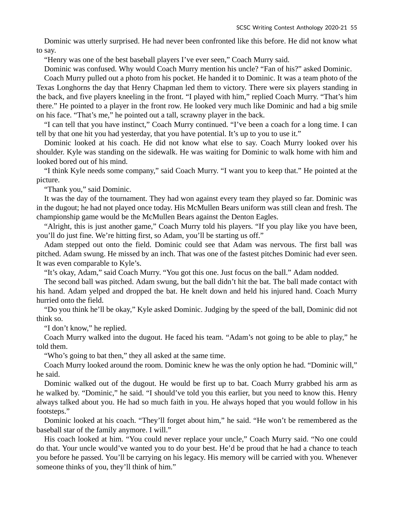Dominic was utterly surprised. He had never been confronted like this before. He did not know what to say.

"Henry was one of the best baseball players I've ever seen," Coach Murry said.

Dominic was confused. Why would Coach Murry mention his uncle? "Fan of his?" asked Dominic.

Coach Murry pulled out a photo from his pocket. He handed it to Dominic. It was a team photo of the Texas Longhorns the day that Henry Chapman led them to victory. There were six players standing in the back, and five players kneeling in the front. "I played with him," replied Coach Murry. "That's him there." He pointed to a player in the front row. He looked very much like Dominic and had a big smile on his face. "That's me," he pointed out a tall, scrawny player in the back.

"I can tell that you have instinct," Coach Murry continued. "I've been a coach for a long time. I can tell by that one hit you had yesterday, that you have potential. It's up to you to use it."

Dominic looked at his coach. He did not know what else to say. Coach Murry looked over his shoulder. Kyle was standing on the sidewalk. He was waiting for Dominic to walk home with him and looked bored out of his mind.

"I think Kyle needs some company," said Coach Murry. "I want you to keep that." He pointed at the picture.

"Thank you," said Dominic.

It was the day of the tournament. They had won against every team they played so far. Dominic was in the dugout; he had not played once today. His McMullen Bears uniform was still clean and fresh. The championship game would be the McMullen Bears against the Denton Eagles.

"Alright, this is just another game," Coach Murry told his players. "If you play like you have been, you'll do just fine. We're hitting first, so Adam, you'll be starting us off."

Adam stepped out onto the field. Dominic could see that Adam was nervous. The first ball was pitched. Adam swung. He missed by an inch. That was one of the fastest pitches Dominic had ever seen. It was even comparable to Kyle's.

"It's okay, Adam," said Coach Murry. "You got this one. Just focus on the ball." Adam nodded.

The second ball was pitched. Adam swung, but the ball didn't hit the bat. The ball made contact with his hand. Adam yelped and dropped the bat. He knelt down and held his injured hand. Coach Murry hurried onto the field.

"Do you think he'll be okay," Kyle asked Dominic. Judging by the speed of the ball, Dominic did not think so.

"I don't know," he replied.

Coach Murry walked into the dugout. He faced his team. "Adam's not going to be able to play," he told them.

"Who's going to bat then," they all asked at the same time.

Coach Murry looked around the room. Dominic knew he was the only option he had. "Dominic will," he said.

Dominic walked out of the dugout. He would be first up to bat. Coach Murry grabbed his arm as he walked by. "Dominic," he said. "I should've told you this earlier, but you need to know this. Henry always talked about you. He had so much faith in you. He always hoped that you would follow in his footsteps."

Dominic looked at his coach. "They'll forget about him," he said. "He won't be remembered as the baseball star of the family anymore. I will."

His coach looked at him. "You could never replace your uncle," Coach Murry said. "No one could do that. Your uncle would've wanted you to do your best. He'd be proud that he had a chance to teach you before he passed. You'll be carrying on his legacy. His memory will be carried with you. Whenever someone thinks of you, they'll think of him."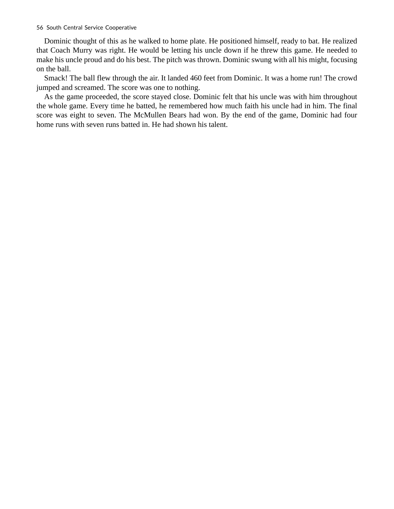Dominic thought of this as he walked to home plate. He positioned himself, ready to bat. He realized that Coach Murry was right. He would be letting his uncle down if he threw this game. He needed to make his uncle proud and do his best. The pitch was thrown. Dominic swung with all his might, focusing on the ball.

Smack! The ball flew through the air. It landed 460 feet from Dominic. It was a home run! The crowd jumped and screamed. The score was one to nothing.

As the game proceeded, the score stayed close. Dominic felt that his uncle was with him throughout the whole game. Every time he batted, he remembered how much faith his uncle had in him. The final score was eight to seven. The McMullen Bears had won. By the end of the game, Dominic had four home runs with seven runs batted in. He had shown his talent.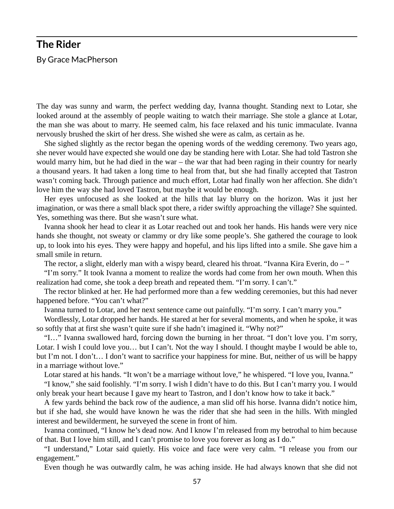# **The Rider**  By Grace MacPherson

The day was sunny and warm, the perfect wedding day, Ivanna thought. Standing next to Lotar, she looked around at the assembly of people waiting to watch their marriage. She stole a glance at Lotar, the man she was about to marry. He seemed calm, his face relaxed and his tunic immaculate. Ivanna nervously brushed the skirt of her dress. She wished she were as calm, as certain as he.

She sighed slightly as the rector began the opening words of the wedding ceremony. Two years ago, she never would have expected she would one day be standing here with Lotar. She had told Tastron she would marry him, but he had died in the war – the war that had been raging in their country for nearly a thousand years. It had taken a long time to heal from that, but she had finally accepted that Tastron wasn't coming back. Through patience and much effort, Lotar had finally won her affection. She didn't love him the way she had loved Tastron, but maybe it would be enough.

Her eyes unfocused as she looked at the hills that lay blurry on the horizon. Was it just her imagination, or was there a small black spot there, a rider swiftly approaching the village? She squinted. Yes, something was there. But she wasn't sure what.

Ivanna shook her head to clear it as Lotar reached out and took her hands. His hands were very nice hands she thought, not sweaty or clammy or dry like some people's. She gathered the courage to look up, to look into his eyes. They were happy and hopeful, and his lips lifted into a smile. She gave him a small smile in return.

The rector, a slight, elderly man with a wispy beard, cleared his throat. "Ivanna Kira Everin, do – "

"I'm sorry." It took Ivanna a moment to realize the words had come from her own mouth. When this realization had come, she took a deep breath and repeated them. "I'm sorry. I can't."

The rector blinked at her. He had performed more than a few wedding ceremonies, but this had never happened before. "You can't what?"

Ivanna turned to Lotar, and her next sentence came out painfully. "I'm sorry. I can't marry you."

Wordlessly, Lotar dropped her hands. He stared at her for several moments, and when he spoke, it was so softly that at first she wasn't quite sure if she hadn't imagined it. "Why not?"

"I…" Ivanna swallowed hard, forcing down the burning in her throat. "I don't love you. I'm sorry, Lotar. I wish I could love you... but I can't. Not the way I should. I thought maybe I would be able to, but I'm not. I don't… I don't want to sacrifice your happiness for mine. But, neither of us will be happy in a marriage without love."

Lotar stared at his hands. "It won't be a marriage without love," he whispered. "I love you, Ivanna."

"I know," she said foolishly. "I'm sorry. I wish I didn't have to do this. But I can't marry you. I would only break your heart because I gave my heart to Tastron, and I don't know how to take it back."

A few yards behind the back row of the audience, a man slid off his horse. Ivanna didn't notice him, but if she had, she would have known he was the rider that she had seen in the hills. With mingled interest and bewilderment, he surveyed the scene in front of him.

Ivanna continued, "I know he's dead now. And I know I'm released from my betrothal to him because of that. But I love him still, and I can't promise to love you forever as long as I do."

"I understand," Lotar said quietly. His voice and face were very calm. "I release you from our engagement."

Even though he was outwardly calm, he was aching inside. He had always known that she did not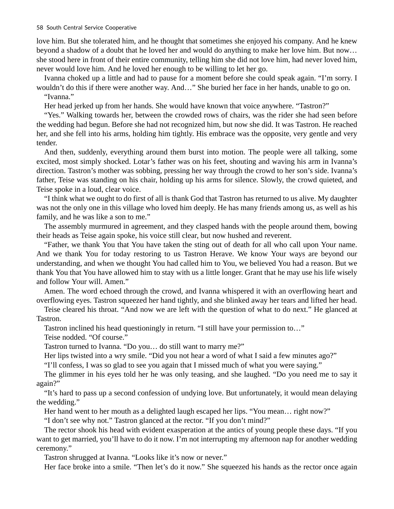love him. But she tolerated him, and he thought that sometimes she enjoyed his company. And he knew beyond a shadow of a doubt that he loved her and would do anything to make her love him. But now… she stood here in front of their entire community, telling him she did not love him, had never loved him, never would love him. And he loved her enough to be willing to let her go.

Ivanna choked up a little and had to pause for a moment before she could speak again. "I'm sorry. I wouldn't do this if there were another way. And…" She buried her face in her hands, unable to go on. "Ivanna."

Her head jerked up from her hands. She would have known that voice anywhere. "Tastron?"

"Yes." Walking towards her, between the crowded rows of chairs, was the rider she had seen before the wedding had begun. Before she had not recognized him, but now she did. It was Tastron. He reached her, and she fell into his arms, holding him tightly. His embrace was the opposite, very gentle and very tender.

And then, suddenly, everything around them burst into motion. The people were all talking, some excited, most simply shocked. Lotar's father was on his feet, shouting and waving his arm in Ivanna's direction. Tastron's mother was sobbing, pressing her way through the crowd to her son's side. Ivanna's father, Teise was standing on his chair, holding up his arms for silence. Slowly, the crowd quieted, and Teise spoke in a loud, clear voice.

"I think what we ought to do first of all is thank God that Tastron has returned to us alive. My daughter was not the only one in this village who loved him deeply. He has many friends among us, as well as his family, and he was like a son to me."

The assembly murmured in agreement, and they clasped hands with the people around them, bowing their heads as Teise again spoke, his voice still clear, but now hushed and reverent.

"Father, we thank You that You have taken the sting out of death for all who call upon Your name. And we thank You for today restoring to us Tastron Herave. We know Your ways are beyond our understanding, and when we thought You had called him to You, we believed You had a reason. But we thank You that You have allowed him to stay with us a little longer. Grant that he may use his life wisely and follow Your will. Amen."

Amen. The word echoed through the crowd, and Ivanna whispered it with an overflowing heart and overflowing eyes. Tastron squeezed her hand tightly, and she blinked away her tears and lifted her head.

Teise cleared his throat. "And now we are left with the question of what to do next." He glanced at Tastron.

Tastron inclined his head questioningly in return. "I still have your permission to…"

Teise nodded. "Of course."

Tastron turned to Ivanna. "Do you… do still want to marry me?"

Her lips twisted into a wry smile. "Did you not hear a word of what I said a few minutes ago?"

"I'll confess, I was so glad to see you again that I missed much of what you were saying."

The glimmer in his eyes told her he was only teasing, and she laughed. "Do you need me to say it again?"

"It's hard to pass up a second confession of undying love. But unfortunately, it would mean delaying the wedding."

Her hand went to her mouth as a delighted laugh escaped her lips. "You mean... right now?"

"I don't see why not." Tastron glanced at the rector. "If you don't mind?"

The rector shook his head with evident exasperation at the antics of young people these days. "If you want to get married, you'll have to do it now. I'm not interrupting my afternoon nap for another wedding ceremony."

Tastron shrugged at Ivanna. "Looks like it's now or never."

Her face broke into a smile. "Then let's do it now." She squeezed his hands as the rector once again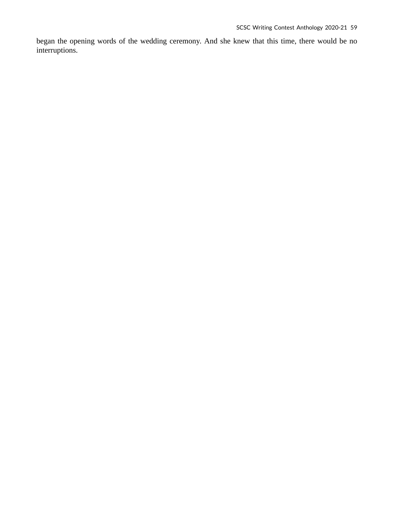began the opening words of the wedding ceremony. And she knew that this time, there would be no interruptions.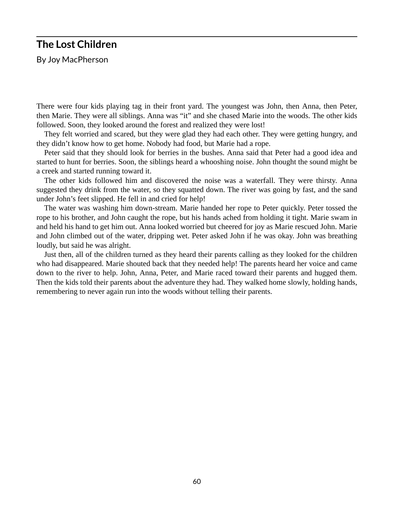### **The Lost Children**

By Joy MacPherson

There were four kids playing tag in their front yard. The youngest was John, then Anna, then Peter, then Marie. They were all siblings. Anna was "it" and she chased Marie into the woods. The other kids followed. Soon, they looked around the forest and realized they were lost!

They felt worried and scared, but they were glad they had each other. They were getting hungry, and they didn't know how to get home. Nobody had food, but Marie had a rope.

Peter said that they should look for berries in the bushes. Anna said that Peter had a good idea and started to hunt for berries. Soon, the siblings heard a whooshing noise. John thought the sound might be a creek and started running toward it.

The other kids followed him and discovered the noise was a waterfall. They were thirsty. Anna suggested they drink from the water, so they squatted down. The river was going by fast, and the sand under John's feet slipped. He fell in and cried for help!

The water was washing him down-stream. Marie handed her rope to Peter quickly. Peter tossed the rope to his brother, and John caught the rope, but his hands ached from holding it tight. Marie swam in and held his hand to get him out. Anna looked worried but cheered for joy as Marie rescued John. Marie and John climbed out of the water, dripping wet. Peter asked John if he was okay. John was breathing loudly, but said he was alright.

Just then, all of the children turned as they heard their parents calling as they looked for the children who had disappeared. Marie shouted back that they needed help! The parents heard her voice and came down to the river to help. John, Anna, Peter, and Marie raced toward their parents and hugged them. Then the kids told their parents about the adventure they had. They walked home slowly, holding hands, remembering to never again run into the woods without telling their parents.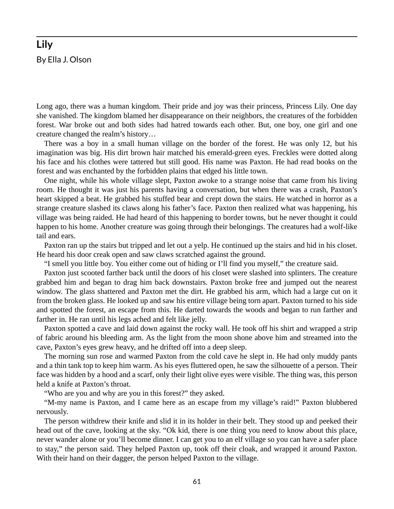# **Lily**  By Ella J. Olson

Long ago, there was a human kingdom. Their pride and joy was their princess, Princess Lily. One day she vanished. The kingdom blamed her disappearance on their neighbors, the creatures of the forbidden forest. War broke out and both sides had hatred towards each other. But, one boy, one girl and one creature changed the realm's history…

There was a boy in a small human village on the border of the forest. He was only 12, but his imagination was big. His dirt brown hair matched his emerald-green eyes. Freckles were dotted along his face and his clothes were tattered but still good. His name was Paxton. He had read books on the forest and was enchanted by the forbidden plains that edged his little town.

One night, while his whole village slept, Paxton awoke to a strange noise that came from his living room. He thought it was just his parents having a conversation, but when there was a crash, Paxton's heart skipped a beat. He grabbed his stuffed bear and crept down the stairs. He watched in horror as a strange creature slashed its claws along his father's face. Paxton then realized what was happening, his village was being raided. He had heard of this happening to border towns, but he never thought it could happen to his home. Another creature was going through their belongings. The creatures had a wolf-like tail and ears.

Paxton ran up the stairs but tripped and let out a yelp. He continued up the stairs and hid in his closet. He heard his door creak open and saw claws scratched against the ground.

"I smell you little boy. You either come out of hiding or I'll find you myself," the creature said.

Paxton just scooted farther back until the doors of his closet were slashed into splinters. The creature grabbed him and began to drag him back downstairs. Paxton broke free and jumped out the nearest window. The glass shattered and Paxton met the dirt. He grabbed his arm, which had a large cut on it from the broken glass. He looked up and saw his entire village being torn apart. Paxton turned to his side and spotted the forest, an escape from this. He darted towards the woods and began to run farther and farther in. He ran until his legs ached and felt like jelly.

Paxton spotted a cave and laid down against the rocky wall. He took off his shirt and wrapped a strip of fabric around his bleeding arm. As the light from the moon shone above him and streamed into the cave, Paxton's eyes grew heavy, and he drifted off into a deep sleep.

The morning sun rose and warmed Paxton from the cold cave he slept in. He had only muddy pants and a thin tank top to keep him warm. As his eyes fluttered open, he saw the silhouette of a person. Their face was hidden by a hood and a scarf, only their light olive eyes were visible. The thing was, this person held a knife at Paxton's throat.

"Who are you and why are you in this forest?" they asked.

"M-my name is Paxton, and I came here as an escape from my village's raid!" Paxton blubbered nervously.

The person withdrew their knife and slid it in its holder in their belt. They stood up and peeked their head out of the cave, looking at the sky. "Ok kid, there is one thing you need to know about this place, never wander alone or you'll become dinner. I can get you to an elf village so you can have a safer place to stay," the person said. They helped Paxton up, took off their cloak, and wrapped it around Paxton. With their hand on their dagger, the person helped Paxton to the village.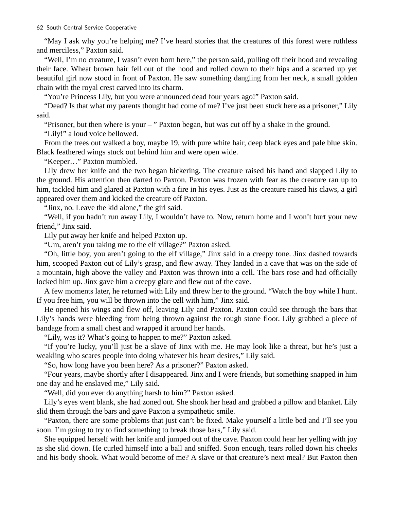"May I ask why you're helping me? I've heard stories that the creatures of this forest were ruthless and merciless," Paxton said.

"Well, I'm no creature, I wasn't even born here," the person said, pulling off their hood and revealing their face. Wheat brown hair fell out of the hood and rolled down to their hips and a scarred up yet beautiful girl now stood in front of Paxton. He saw something dangling from her neck, a small golden chain with the royal crest carved into its charm.

"You're Princess Lily, but you were announced dead four years ago!" Paxton said.

"Dead? Is that what my parents thought had come of me? I've just been stuck here as a prisoner," Lily said.

"Prisoner, but then where is your – " Paxton began, but was cut off by a shake in the ground.

"Lily!" a loud voice bellowed.

From the trees out walked a boy, maybe 19, with pure white hair, deep black eyes and pale blue skin. Black feathered wings stuck out behind him and were open wide.

"Keeper…" Paxton mumbled.

Lily drew her knife and the two began bickering. The creature raised his hand and slapped Lily to the ground. His attention then darted to Paxton. Paxton was frozen with fear as the creature ran up to him, tackled him and glared at Paxton with a fire in his eyes. Just as the creature raised his claws, a girl appeared over them and kicked the creature off Paxton.

"Jinx, no. Leave the kid alone," the girl said.

"Well, if you hadn't run away Lily, I wouldn't have to. Now, return home and I won't hurt your new friend," Jinx said.

Lily put away her knife and helped Paxton up.

"Um, aren't you taking me to the elf village?" Paxton asked.

"Oh, little boy, you aren't going to the elf village," Jinx said in a creepy tone. Jinx dashed towards him, scooped Paxton out of Lily's grasp, and flew away. They landed in a cave that was on the side of a mountain, high above the valley and Paxton was thrown into a cell. The bars rose and had officially locked him up. Jinx gave him a creepy glare and flew out of the cave.

A few moments later, he returned with Lily and threw her to the ground. "Watch the boy while I hunt. If you free him, you will be thrown into the cell with him," Jinx said.

He opened his wings and flew off, leaving Lily and Paxton. Paxton could see through the bars that Lily's hands were bleeding from being thrown against the rough stone floor. Lily grabbed a piece of bandage from a small chest and wrapped it around her hands.

"Lily, was it? What's going to happen to me?" Paxton asked.

"If you're lucky, you'll just be a slave of Jinx with me. He may look like a threat, but he's just a weakling who scares people into doing whatever his heart desires," Lily said.

"So, how long have you been here? As a prisoner?" Paxton asked.

"Four years, maybe shortly after I disappeared. Jinx and I were friends, but something snapped in him one day and he enslaved me," Lily said.

"Well, did you ever do anything harsh to him?" Paxton asked.

Lily's eyes went blank, she had zoned out. She shook her head and grabbed a pillow and blanket. Lily slid them through the bars and gave Paxton a sympathetic smile.

"Paxton, there are some problems that just can't be fixed. Make yourself a little bed and I'll see you soon. I'm going to try to find something to break those bars," Lily said.

She equipped herself with her knife and jumped out of the cave. Paxton could hear her yelling with joy as she slid down. He curled himself into a ball and sniffed. Soon enough, tears rolled down his cheeks and his body shook. What would become of me? A slave or that creature's next meal? But Paxton then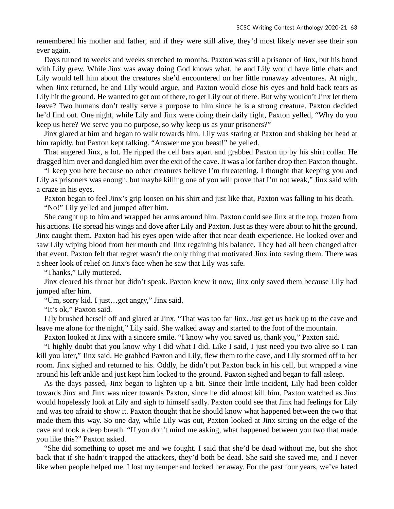remembered his mother and father, and if they were still alive, they'd most likely never see their son ever again.

Days turned to weeks and weeks stretched to months. Paxton was still a prisoner of Jinx, but his bond with Lily grew. While Jinx was away doing God knows what, he and Lily would have little chats and Lily would tell him about the creatures she'd encountered on her little runaway adventures. At night, when Jinx returned, he and Lily would argue, and Paxton would close his eyes and hold back tears as Lily hit the ground. He wanted to get out of there, to get Lily out of there. But why wouldn't Jinx let them leave? Two humans don't really serve a purpose to him since he is a strong creature. Paxton decided he'd find out. One night, while Lily and Jinx were doing their daily fight, Paxton yelled, "Why do you keep us here? We serve you no purpose, so why keep us as your prisoners?"

Jinx glared at him and began to walk towards him. Lily was staring at Paxton and shaking her head at him rapidly, but Paxton kept talking. "Answer me you beast!" he yelled.

That angered Jinx, a lot. He ripped the cell bars apart and grabbed Paxton up by his shirt collar. He dragged him over and dangled him over the exit of the cave. It was a lot farther drop then Paxton thought.

"I keep you here because no other creatures believe I'm threatening. I thought that keeping you and Lily as prisoners was enough, but maybe killing one of you will prove that I'm not weak," Jinx said with a craze in his eyes.

Paxton began to feel Jinx's grip loosen on his shirt and just like that, Paxton was falling to his death. "No!" Lily yelled and jumped after him.

She caught up to him and wrapped her arms around him. Paxton could see Jinx at the top, frozen from his actions. He spread his wings and dove after Lily and Paxton. Just as they were about to hit the ground, Jinx caught them. Paxton had his eyes open wide after that near death experience. He looked over and saw Lily wiping blood from her mouth and Jinx regaining his balance. They had all been changed after that event. Paxton felt that regret wasn't the only thing that motivated Jinx into saving them. There was a sheer look of relief on Jinx's face when he saw that Lily was safe.

"Thanks," Lily muttered.

Jinx cleared his throat but didn't speak. Paxton knew it now, Jinx only saved them because Lily had jumped after him.

"Um, sorry kid. I just…got angry," Jinx said.

"It's ok," Paxton said.

Lily brushed herself off and glared at Jinx. "That was too far Jinx. Just get us back up to the cave and leave me alone for the night," Lily said. She walked away and started to the foot of the mountain.

Paxton looked at Jinx with a sincere smile. "I know why you saved us, thank you," Paxton said.

"I highly doubt that you know why I did what I did. Like I said, I just need you two alive so I can kill you later," Jinx said. He grabbed Paxton and Lily, flew them to the cave, and Lily stormed off to her room. Jinx sighed and returned to his. Oddly, he didn't put Paxton back in his cell, but wrapped a vine around his left ankle and just kept him locked to the ground. Paxton sighed and began to fall asleep.

As the days passed, Jinx began to lighten up a bit. Since their little incident, Lily had been colder towards Jinx and Jinx was nicer towards Paxton, since he did almost kill him. Paxton watched as Jinx would hopelessly look at Lily and sigh to himself sadly. Paxton could see that Jinx had feelings for Lily and was too afraid to show it. Paxton thought that he should know what happened between the two that made them this way. So one day, while Lily was out, Paxton looked at Jinx sitting on the edge of the cave and took a deep breath. "If you don't mind me asking, what happened between you two that made you like this?" Paxton asked.

"She did something to upset me and we fought. I said that she'd be dead without me, but she shot back that if she hadn't trapped the attackers, they'd both be dead. She said she saved me, and I never like when people helped me. I lost my temper and locked her away. For the past four years, we've hated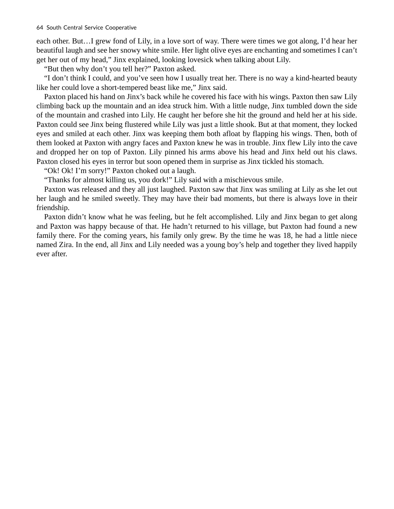each other. But…I grew fond of Lily, in a love sort of way. There were times we got along, I'd hear her beautiful laugh and see her snowy white smile. Her light olive eyes are enchanting and sometimes I can't get her out of my head," Jinx explained, looking lovesick when talking about Lily.

"But then why don't you tell her?" Paxton asked.

"I don't think I could, and you've seen how I usually treat her. There is no way a kind-hearted beauty like her could love a short-tempered beast like me," Jinx said.

Paxton placed his hand on Jinx's back while he covered his face with his wings. Paxton then saw Lily climbing back up the mountain and an idea struck him. With a little nudge, Jinx tumbled down the side of the mountain and crashed into Lily. He caught her before she hit the ground and held her at his side. Paxton could see Jinx being flustered while Lily was just a little shook. But at that moment, they locked eyes and smiled at each other. Jinx was keeping them both afloat by flapping his wings. Then, both of them looked at Paxton with angry faces and Paxton knew he was in trouble. Jinx flew Lily into the cave and dropped her on top of Paxton. Lily pinned his arms above his head and Jinx held out his claws. Paxton closed his eyes in terror but soon opened them in surprise as Jinx tickled his stomach.

"Ok! Ok! I'm sorry!" Paxton choked out a laugh.

"Thanks for almost killing us, you dork!" Lily said with a mischievous smile.

Paxton was released and they all just laughed. Paxton saw that Jinx was smiling at Lily as she let out her laugh and he smiled sweetly. They may have their bad moments, but there is always love in their friendship.

Paxton didn't know what he was feeling, but he felt accomplished. Lily and Jinx began to get along and Paxton was happy because of that. He hadn't returned to his village, but Paxton had found a new family there. For the coming years, his family only grew. By the time he was 18, he had a little niece named Zira. In the end, all Jinx and Lily needed was a young boy's help and together they lived happily ever after.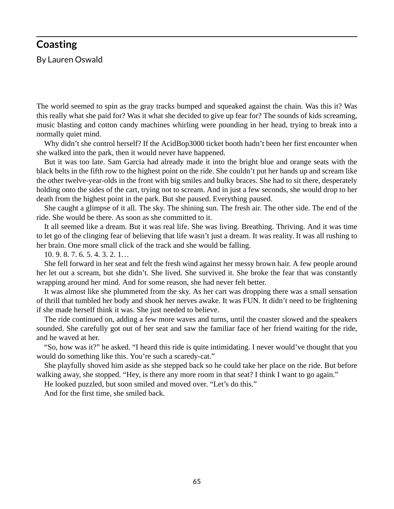#### **Coasting**

By Lauren Oswald

The world seemed to spin as the gray tracks bumped and squeaked against the chain. Was this it? Was this really what she paid for? Was it what she decided to give up fear for? The sounds of kids screaming, music blasting and cotton candy machines whirling were pounding in her head, trying to break into a normally quiet mind.

Why didn't she control herself? If the AcidBop3000 ticket booth hadn't been her first encounter when she walked into the park, then it would never have happened.

But it was too late. Sam Garcia had already made it into the bright blue and orange seats with the black belts in the fifth row to the highest point on the ride. She couldn't put her hands up and scream like the other twelve-year-olds in the front with big smiles and bulky braces. She had to sit there, desperately holding onto the sides of the cart, trying not to scream. And in just a few seconds, she would drop to her death from the highest point in the park. But she paused. Everything paused.

She caught a glimpse of it all. The sky. The shining sun. The fresh air. The other side. The end of the ride. She would be there. As soon as she committed to it.

It all seemed like a dream. But it was real life. She was living. Breathing. Thriving. And it was time to let go of the clinging fear of believing that life wasn't just a dream. It was reality. It was all rushing to her brain. One more small click of the track and she would be falling.

10. 9. 8. 7. 6. 5. 4. 3. 2. 1…

She fell forward in her seat and felt the fresh wind against her messy brown hair. A few people around her let out a scream, but she didn't. She lived. She survived it. She broke the fear that was constantly wrapping around her mind. And for some reason, she had never felt better.

It was almost like she plummeted from the sky. As her cart was dropping there was a small sensation of thrill that tumbled her body and shook her nerves awake. It was FUN. It didn't need to be frightening if she made herself think it was. She just needed to believe.

The ride continued on, adding a few more waves and turns, until the coaster slowed and the speakers sounded. She carefully got out of her seat and saw the familiar face of her friend waiting for the ride, and he waved at her.

"So, how was it?" he asked. "I heard this ride is quite intimidating. I never would've thought that you would do something like this. You're such a scaredy-cat."

She playfully shoved him aside as she stepped back so he could take her place on the ride. But before walking away, she stopped. "Hey, is there any more room in that seat? I think I want to go again."

He looked puzzled, but soon smiled and moved over. "Let's do this."

And for the first time, she smiled back.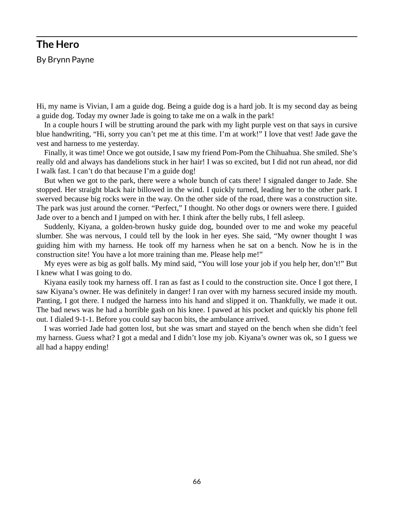#### **The Hero**

By Brynn Payne

Hi, my name is Vivian, I am a guide dog. Being a guide dog is a hard job. It is my second day as being a guide dog. Today my owner Jade is going to take me on a walk in the park!

In a couple hours I will be strutting around the park with my light purple vest on that says in cursive blue handwriting, "Hi, sorry you can't pet me at this time. I'm at work!" I love that vest! Jade gave the vest and harness to me yesterday.

Finally, it was time! Once we got outside, I saw my friend Pom-Pom the Chihuahua. She smiled. She's really old and always has dandelions stuck in her hair! I was so excited, but I did not run ahead, nor did I walk fast. I can't do that because I'm a guide dog!

But when we got to the park, there were a whole bunch of cats there! I signaled danger to Jade. She stopped. Her straight black hair billowed in the wind. I quickly turned, leading her to the other park. I swerved because big rocks were in the way. On the other side of the road, there was a construction site. The park was just around the corner. "Perfect," I thought. No other dogs or owners were there. I guided Jade over to a bench and I jumped on with her. I think after the belly rubs, I fell asleep.

Suddenly, Kiyana, a golden-brown husky guide dog, bounded over to me and woke my peaceful slumber. She was nervous, I could tell by the look in her eyes. She said, "My owner thought I was guiding him with my harness. He took off my harness when he sat on a bench. Now he is in the construction site! You have a lot more training than me. Please help me!"

My eyes were as big as golf balls. My mind said, "You will lose your job if you help her, don't!" But I knew what I was going to do.

Kiyana easily took my harness off. I ran as fast as I could to the construction site. Once I got there, I saw Kiyana's owner. He was definitely in danger! I ran over with my harness secured inside my mouth. Panting, I got there. I nudged the harness into his hand and slipped it on. Thankfully, we made it out. The bad news was he had a horrible gash on his knee. I pawed at his pocket and quickly his phone fell out. I dialed 9-1-1. Before you could say bacon bits, the ambulance arrived.

I was worried Jade had gotten lost, but she was smart and stayed on the bench when she didn't feel my harness. Guess what? I got a medal and I didn't lose my job. Kiyana's owner was ok, so I guess we all had a happy ending!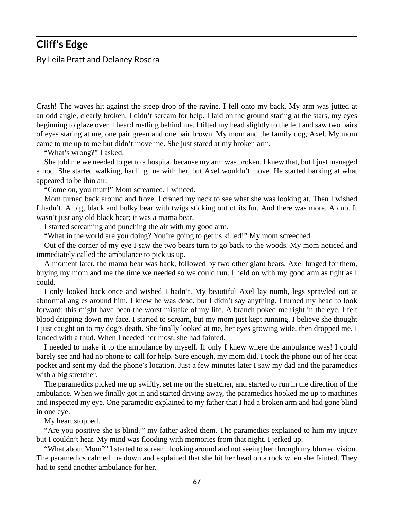#### **Cliff's Edge**

By Leila Pratt and Delaney Rosera

Crash! The waves hit against the steep drop of the ravine. I fell onto my back. My arm was jutted at an odd angle, clearly broken. I didn't scream for help. I laid on the ground staring at the stars, my eyes beginning to glaze over. I heard rustling behind me. I tilted my head slightly to the left and saw two pairs of eyes staring at me, one pair green and one pair brown. My mom and the family dog, Axel. My mom came to me up to me but didn't move me. She just stared at my broken arm.

"What's wrong?" I asked.

She told me we needed to get to a hospital because my arm was broken. I knew that, but I just managed a nod. She started walking, hauling me with her, but Axel wouldn't move. He started barking at what appeared to be thin air.

"Come on, you mutt!" Mom screamed. I winced.

Mom turned back around and froze. I craned my neck to see what she was looking at. Then I wished I hadn't. A big, black and bulky bear with twigs sticking out of its fur. And there was more. A cub. It wasn't just any old black bear; it was a mama bear.

I started screaming and punching the air with my good arm.

"What in the world are you doing? You're going to get us killed!" My mom screeched.

Out of the corner of my eye I saw the two bears turn to go back to the woods. My mom noticed and immediately called the ambulance to pick us up.

A moment later, the mama bear was back, followed by two other giant bears. Axel lunged for them, buying my mom and me the time we needed so we could run. I held on with my good arm as tight as I could.

I only looked back once and wished I hadn't. My beautiful Axel lay numb, legs sprawled out at abnormal angles around him. I knew he was dead, but I didn't say anything. I turned my head to look forward; this might have been the worst mistake of my life. A branch poked me right in the eye. I felt blood dripping down my face. I started to scream, but my mom just kept running. I believe she thought I just caught on to my dog's death. She finally looked at me, her eyes growing wide, then dropped me. I landed with a thud. When I needed her most, she had fainted.

I needed to make it to the ambulance by myself. If only I knew where the ambulance was! I could barely see and had no phone to call for help. Sure enough, my mom did. I took the phone out of her coat pocket and sent my dad the phone's location. Just a few minutes later I saw my dad and the paramedics with a big stretcher.

The paramedics picked me up swiftly, set me on the stretcher, and started to run in the direction of the ambulance. When we finally got in and started driving away, the paramedics hooked me up to machines and inspected my eye. One paramedic explained to my father that I had a broken arm and had gone blind in one eye.

My heart stopped.

"Are you positive she is blind?" my father asked them. The paramedics explained to him my injury but I couldn't hear. My mind was flooding with memories from that night. I jerked up.

"What about Mom?" I started to scream, looking around and not seeing her through my blurred vision. The paramedics calmed me down and explained that she hit her head on a rock when she fainted. They had to send another ambulance for her.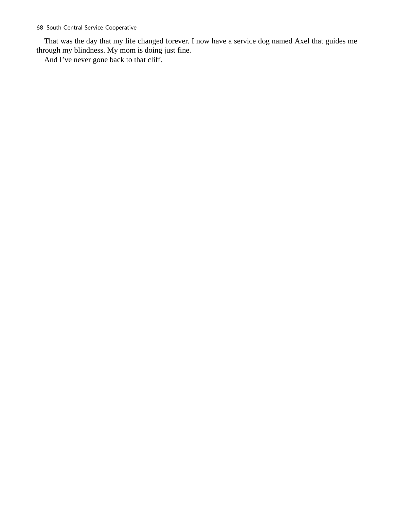That was the day that my life changed forever. I now have a service dog named Axel that guides me through my blindness. My mom is doing just fine.

And I've never gone back to that cliff.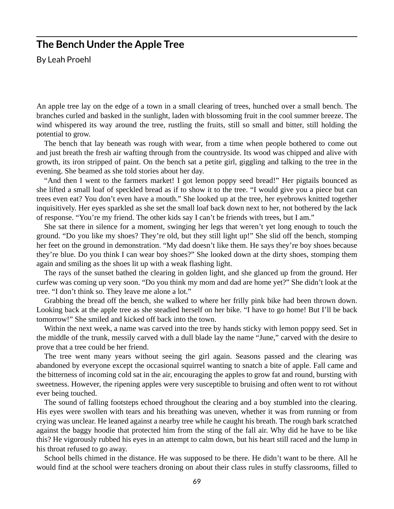#### **The Bench Under the Apple Tree**

By Leah Proehl

An apple tree lay on the edge of a town in a small clearing of trees, hunched over a small bench. The branches curled and basked in the sunlight, laden with blossoming fruit in the cool summer breeze. The wind whispered its way around the tree, rustling the fruits, still so small and bitter, still holding the potential to grow.

The bench that lay beneath was rough with wear, from a time when people bothered to come out and just breath the fresh air wafting through from the countryside. Its wood was chipped and alive with growth, its iron stripped of paint. On the bench sat a petite girl, giggling and talking to the tree in the evening. She beamed as she told stories about her day.

"And then I went to the farmers market! I got lemon poppy seed bread!" Her pigtails bounced as she lifted a small loaf of speckled bread as if to show it to the tree. "I would give you a piece but can trees even eat? You don't even have a mouth." She looked up at the tree, her eyebrows knitted together inquisitively. Her eyes sparkled as she set the small loaf back down next to her, not bothered by the lack of response. "You're my friend. The other kids say I can't be friends with trees, but I am."

She sat there in silence for a moment, swinging her legs that weren't yet long enough to touch the ground. "Do you like my shoes? They're old, but they still light up!" She slid off the bench, stomping her feet on the ground in demonstration. "My dad doesn't like them. He says they're boy shoes because they're blue. Do you think I can wear boy shoes?" She looked down at the dirty shoes, stomping them again and smiling as the shoes lit up with a weak flashing light.

The rays of the sunset bathed the clearing in golden light, and she glanced up from the ground. Her curfew was coming up very soon. "Do you think my mom and dad are home yet?" She didn't look at the tree. "I don't think so. They leave me alone a lot."

Grabbing the bread off the bench, she walked to where her frilly pink bike had been thrown down. Looking back at the apple tree as she steadied herself on her bike. "I have to go home! But I'll be back tomorrow!" She smiled and kicked off back into the town.

Within the next week, a name was carved into the tree by hands sticky with lemon poppy seed. Set in the middle of the trunk, messily carved with a dull blade lay the name "June," carved with the desire to prove that a tree could be her friend.

The tree went many years without seeing the girl again. Seasons passed and the clearing was abandoned by everyone except the occasional squirrel wanting to snatch a bite of apple. Fall came and the bitterness of incoming cold sat in the air, encouraging the apples to grow fat and round, bursting with sweetness. However, the ripening apples were very susceptible to bruising and often went to rot without ever being touched.

The sound of falling footsteps echoed throughout the clearing and a boy stumbled into the clearing. His eyes were swollen with tears and his breathing was uneven, whether it was from running or from crying was unclear. He leaned against a nearby tree while he caught his breath. The rough bark scratched against the baggy hoodie that protected him from the sting of the fall air. Why did he have to be like this? He vigorously rubbed his eyes in an attempt to calm down, but his heart still raced and the lump in his throat refused to go away.

School bells chimed in the distance. He was supposed to be there. He didn't want to be there. All he would find at the school were teachers droning on about their class rules in stuffy classrooms, filled to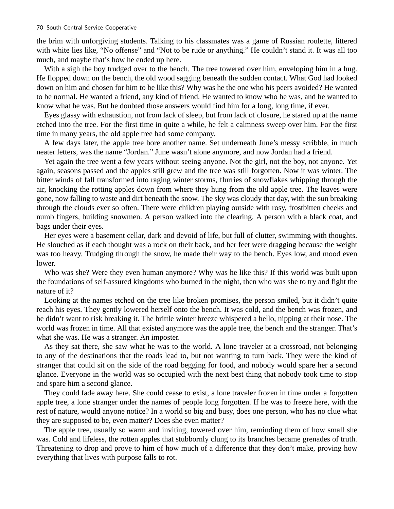the brim with unforgiving students. Talking to his classmates was a game of Russian roulette, littered with white lies like, "No offense" and "Not to be rude or anything." He couldn't stand it. It was all too much, and maybe that's how he ended up here.

With a sigh the boy trudged over to the bench. The tree towered over him, enveloping him in a hug. He flopped down on the bench, the old wood sagging beneath the sudden contact. What God had looked down on him and chosen for him to be like this? Why was he the one who his peers avoided? He wanted to be normal. He wanted a friend, any kind of friend. He wanted to know who he was, and he wanted to know what he was. But he doubted those answers would find him for a long, long time, if ever.

Eyes glassy with exhaustion, not from lack of sleep, but from lack of closure, he stared up at the name etched into the tree. For the first time in quite a while, he felt a calmness sweep over him. For the first time in many years, the old apple tree had some company.

A few days later, the apple tree bore another name. Set underneath June's messy scribble, in much neater letters, was the name "Jordan." June wasn't alone anymore, and now Jordan had a friend.

Yet again the tree went a few years without seeing anyone. Not the girl, not the boy, not anyone. Yet again, seasons passed and the apples still grew and the tree was still forgotten. Now it was winter. The bitter winds of fall transformed into raging winter storms, flurries of snowflakes whipping through the air, knocking the rotting apples down from where they hung from the old apple tree. The leaves were gone, now falling to waste and dirt beneath the snow. The sky was cloudy that day, with the sun breaking through the clouds ever so often. There were children playing outside with rosy, frostbitten cheeks and numb fingers, building snowmen. A person walked into the clearing. A person with a black coat, and bags under their eyes.

Her eyes were a basement cellar, dark and devoid of life, but full of clutter, swimming with thoughts. He slouched as if each thought was a rock on their back, and her feet were dragging because the weight was too heavy. Trudging through the snow, he made their way to the bench. Eyes low, and mood even lower.

Who was she? Were they even human anymore? Why was he like this? If this world was built upon the foundations of self-assured kingdoms who burned in the night, then who was she to try and fight the nature of it?

Looking at the names etched on the tree like broken promises, the person smiled, but it didn't quite reach his eyes. They gently lowered herself onto the bench. It was cold, and the bench was frozen, and he didn't want to risk breaking it. The brittle winter breeze whispered a hello, nipping at their nose. The world was frozen in time. All that existed anymore was the apple tree, the bench and the stranger. That's what she was. He was a stranger. An imposter.

As they sat there, she saw what he was to the world. A lone traveler at a crossroad, not belonging to any of the destinations that the roads lead to, but not wanting to turn back. They were the kind of stranger that could sit on the side of the road begging for food, and nobody would spare her a second glance. Everyone in the world was so occupied with the next best thing that nobody took time to stop and spare him a second glance.

They could fade away here. She could cease to exist, a lone traveler frozen in time under a forgotten apple tree, a lone stranger under the names of people long forgotten. If he was to freeze here, with the rest of nature, would anyone notice? In a world so big and busy, does one person, who has no clue what they are supposed to be, even matter? Does she even matter?

The apple tree, usually so warm and inviting, towered over him, reminding them of how small she was. Cold and lifeless, the rotten apples that stubbornly clung to its branches became grenades of truth. Threatening to drop and prove to him of how much of a difference that they don't make, proving how everything that lives with purpose falls to rot.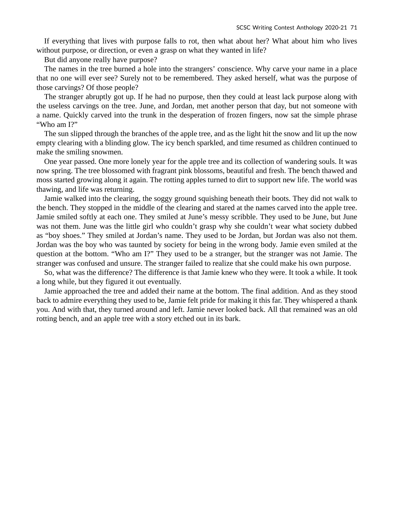If everything that lives with purpose falls to rot, then what about her? What about him who lives without purpose, or direction, or even a grasp on what they wanted in life?

But did anyone really have purpose?

The names in the tree burned a hole into the strangers' conscience. Why carve your name in a place that no one will ever see? Surely not to be remembered. They asked herself, what was the purpose of those carvings? Of those people?

The stranger abruptly got up. If he had no purpose, then they could at least lack purpose along with the useless carvings on the tree. June, and Jordan, met another person that day, but not someone with a name. Quickly carved into the trunk in the desperation of frozen fingers, now sat the simple phrase "Who am I?"

The sun slipped through the branches of the apple tree, and as the light hit the snow and lit up the now empty clearing with a blinding glow. The icy bench sparkled, and time resumed as children continued to make the smiling snowmen.

One year passed. One more lonely year for the apple tree and its collection of wandering souls. It was now spring. The tree blossomed with fragrant pink blossoms, beautiful and fresh. The bench thawed and moss started growing along it again. The rotting apples turned to dirt to support new life. The world was thawing, and life was returning.

Jamie walked into the clearing, the soggy ground squishing beneath their boots. They did not walk to the bench. They stopped in the middle of the clearing and stared at the names carved into the apple tree. Jamie smiled softly at each one. They smiled at June's messy scribble. They used to be June, but June was not them. June was the little girl who couldn't grasp why she couldn't wear what society dubbed as "boy shoes." They smiled at Jordan's name. They used to be Jordan, but Jordan was also not them. Jordan was the boy who was taunted by society for being in the wrong body. Jamie even smiled at the question at the bottom. "Who am I?" They used to be a stranger, but the stranger was not Jamie. The stranger was confused and unsure. The stranger failed to realize that she could make his own purpose.

So, what was the difference? The difference is that Jamie knew who they were. It took a while. It took a long while, but they figured it out eventually.

Jamie approached the tree and added their name at the bottom. The final addition. And as they stood back to admire everything they used to be, Jamie felt pride for making it this far. They whispered a thank you. And with that, they turned around and left. Jamie never looked back. All that remained was an old rotting bench, and an apple tree with a story etched out in its bark.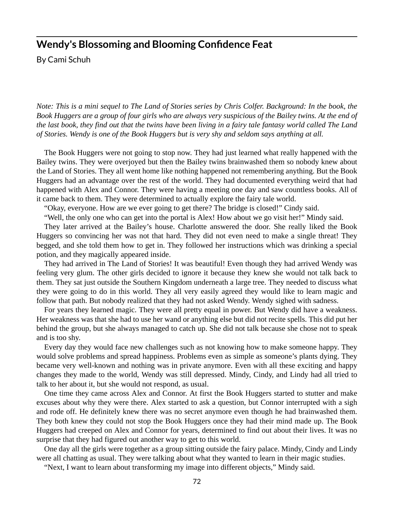#### **Wendy's Blossoming and Blooming Confidence Feat**

By Cami Schuh

*Note: This is a mini sequel to The Land of Stories series by Chris Colfer. Background: In the book, the Book Huggers are a group of four girls who are always very suspicious of the Bailey twins. At the end of the last book, they find out that the twins have been living in a fairy tale fantasy world called The Land of Stories. Wendy is one of the Book Huggers but is very shy and seldom says anything at all.* 

The Book Huggers were not going to stop now. They had just learned what really happened with the Bailey twins. They were overjoyed but then the Bailey twins brainwashed them so nobody knew about the Land of Stories. They all went home like nothing happened not remembering anything. But the Book Huggers had an advantage over the rest of the world. They had documented everything weird that had happened with Alex and Connor. They were having a meeting one day and saw countless books. All of it came back to them. They were determined to actually explore the fairy tale world.

"Okay, everyone. How are we ever going to get there? The bridge is closed!" Cindy said.

"Well, the only one who can get into the portal is Alex! How about we go visit her!" Mindy said.

They later arrived at the Bailey's house. Charlotte answered the door. She really liked the Book Huggers so convincing her was not that hard. They did not even need to make a single threat! They begged, and she told them how to get in. They followed her instructions which was drinking a special potion, and they magically appeared inside.

They had arrived in The Land of Stories! It was beautiful! Even though they had arrived Wendy was feeling very glum. The other girls decided to ignore it because they knew she would not talk back to them. They sat just outside the Southern Kingdom underneath a large tree. They needed to discuss what they were going to do in this world. They all very easily agreed they would like to learn magic and follow that path. But nobody realized that they had not asked Wendy. Wendy sighed with sadness.

For years they learned magic. They were all pretty equal in power. But Wendy did have a weakness. Her weakness was that she had to use her wand or anything else but did not recite spells. This did put her behind the group, but she always managed to catch up. She did not talk because she chose not to speak and is too shy.

Every day they would face new challenges such as not knowing how to make someone happy. They would solve problems and spread happiness. Problems even as simple as someone's plants dying. They became very well-known and nothing was in private anymore. Even with all these exciting and happy changes they made to the world, Wendy was still depressed. Mindy, Cindy, and Lindy had all tried to talk to her about it, but she would not respond, as usual.

One time they came across Alex and Connor. At first the Book Huggers started to stutter and make excuses about why they were there. Alex started to ask a question, but Connor interrupted with a sigh and rode off. He definitely knew there was no secret anymore even though he had brainwashed them. They both knew they could not stop the Book Huggers once they had their mind made up. The Book Huggers had creeped on Alex and Connor for years, determined to find out about their lives. It was no surprise that they had figured out another way to get to this world.

One day all the girls were together as a group sitting outside the fairy palace. Mindy, Cindy and Lindy were all chatting as usual. They were talking about what they wanted to learn in their magic studies.

"Next, I want to learn about transforming my image into different objects," Mindy said.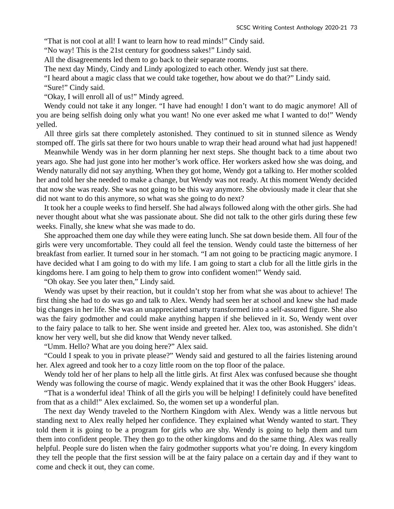"That is not cool at all! I want to learn how to read minds!" Cindy said.

"No way! This is the 21st century for goodness sakes!" Lindy said.

All the disagreements led them to go back to their separate rooms.

The next day Mindy, Cindy and Lindy apologized to each other. Wendy just sat there.

"I heard about a magic class that we could take together, how about we do that?" Lindy said.

"Sure!" Cindy said.

"Okay, I will enroll all of us!" Mindy agreed.

Wendy could not take it any longer. "I have had enough! I don't want to do magic anymore! All of you are being selfish doing only what you want! No one ever asked me what I wanted to do!" Wendy yelled.

All three girls sat there completely astonished. They continued to sit in stunned silence as Wendy stomped off. The girls sat there for two hours unable to wrap their head around what had just happened!

Meanwhile Wendy was in her dorm planning her next steps. She thought back to a time about two years ago. She had just gone into her mother's work office. Her workers asked how she was doing, and Wendy naturally did not say anything. When they got home, Wendy got a talking to. Her mother scolded her and told her she needed to make a change, but Wendy was not ready. At this moment Wendy decided that now she was ready. She was not going to be this way anymore. She obviously made it clear that she did not want to do this anymore, so what was she going to do next?

It took her a couple weeks to find herself. She had always followed along with the other girls. She had never thought about what she was passionate about. She did not talk to the other girls during these few weeks. Finally, she knew what she was made to do.

She approached them one day while they were eating lunch. She sat down beside them. All four of the girls were very uncomfortable. They could all feel the tension. Wendy could taste the bitterness of her breakfast from earlier. It turned sour in her stomach. "I am not going to be practicing magic anymore. I have decided what I am going to do with my life. I am going to start a club for all the little girls in the kingdoms here. I am going to help them to grow into confident women!" Wendy said.

"Oh okay. See you later then," Lindy said.

Wendy was upset by their reaction, but it couldn't stop her from what she was about to achieve! The first thing she had to do was go and talk to Alex. Wendy had seen her at school and knew she had made big changes in her life. She was an unappreciated smarty transformed into a self-assured figure. She also was the fairy godmother and could make anything happen if she believed in it. So, Wendy went over to the fairy palace to talk to her. She went inside and greeted her. Alex too, was astonished. She didn't know her very well, but she did know that Wendy never talked.

"Umm. Hello? What are you doing here?" Alex said.

"Could I speak to you in private please?" Wendy said and gestured to all the fairies listening around her. Alex agreed and took her to a cozy little room on the top floor of the palace.

Wendy told her of her plans to help all the little girls. At first Alex was confused because she thought Wendy was following the course of magic. Wendy explained that it was the other Book Huggers' ideas.

"That is a wonderful idea! Think of all the girls you will be helping! I definitely could have benefited from that as a child!" Alex exclaimed. So, the women set up a wonderful plan.

The next day Wendy traveled to the Northern Kingdom with Alex. Wendy was a little nervous but standing next to Alex really helped her confidence. They explained what Wendy wanted to start. They told them it is going to be a program for girls who are shy. Wendy is going to help them and turn them into confident people. They then go to the other kingdoms and do the same thing. Alex was really helpful. People sure do listen when the fairy godmother supports what you're doing. In every kingdom they tell the people that the first session will be at the fairy palace on a certain day and if they want to come and check it out, they can come.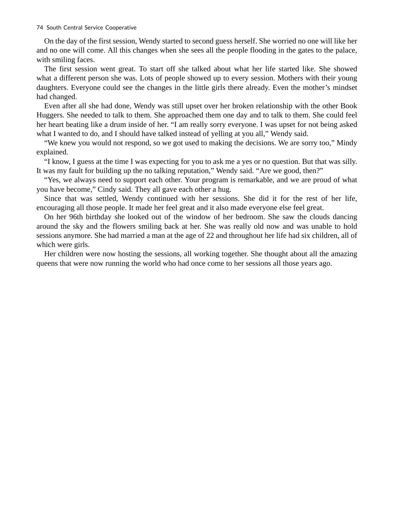On the day of the first session, Wendy started to second guess herself. She worried no one will like her and no one will come. All this changes when she sees all the people flooding in the gates to the palace, with smiling faces.

The first session went great. To start off she talked about what her life started like. She showed what a different person she was. Lots of people showed up to every session. Mothers with their young daughters. Everyone could see the changes in the little girls there already. Even the mother's mindset had changed.

Even after all she had done, Wendy was still upset over her broken relationship with the other Book Huggers. She needed to talk to them. She approached them one day and to talk to them. She could feel her heart beating like a drum inside of her. "I am really sorry everyone. I was upset for not being asked what I wanted to do, and I should have talked instead of yelling at you all," Wendy said.

"We knew you would not respond, so we got used to making the decisions. We are sorry too," Mindy explained.

"I know, I guess at the time I was expecting for you to ask me a yes or no question. But that was silly. It was my fault for building up the no talking reputation," Wendy said. "Are we good, then?"

"Yes, we always need to support each other. Your program is remarkable, and we are proud of what you have become," Cindy said. They all gave each other a hug.

Since that was settled, Wendy continued with her sessions. She did it for the rest of her life, encouraging all those people. It made her feel great and it also made everyone else feel great.

On her 96th birthday she looked out of the window of her bedroom. She saw the clouds dancing around the sky and the flowers smiling back at her. She was really old now and was unable to hold sessions anymore. She had married a man at the age of 22 and throughout her life had six children, all of which were girls.

Her children were now hosting the sessions, all working together. She thought about all the amazing queens that were now running the world who had once come to her sessions all those years ago.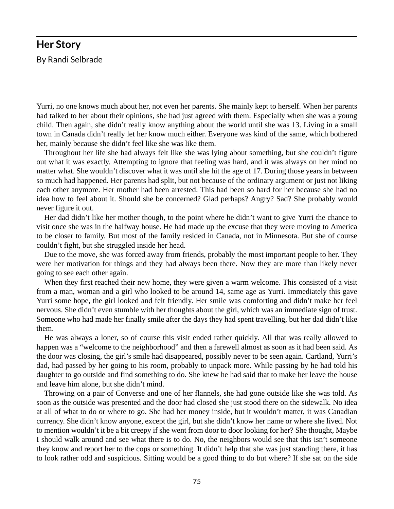#### **Her Story**  By Randi Selbrade

Yurri, no one knows much about her, not even her parents. She mainly kept to herself. When her parents had talked to her about their opinions, she had just agreed with them. Especially when she was a young child. Then again, she didn't really know anything about the world until she was 13. Living in a small town in Canada didn't really let her know much either. Everyone was kind of the same, which bothered her, mainly because she didn't feel like she was like them.

Throughout her life she had always felt like she was lying about something, but she couldn't figure out what it was exactly. Attempting to ignore that feeling was hard, and it was always on her mind no matter what. She wouldn't discover what it was until she hit the age of 17. During those years in between so much had happened. Her parents had split, but not because of the ordinary argument or just not liking each other anymore. Her mother had been arrested. This had been so hard for her because she had no idea how to feel about it. Should she be concerned? Glad perhaps? Angry? Sad? She probably would never figure it out.

Her dad didn't like her mother though, to the point where he didn't want to give Yurri the chance to visit once she was in the halfway house. He had made up the excuse that they were moving to America to be closer to family. But most of the family resided in Canada, not in Minnesota. But she of course couldn't fight, but she struggled inside her head.

Due to the move, she was forced away from friends, probably the most important people to her. They were her motivation for things and they had always been there. Now they are more than likely never going to see each other again.

When they first reached their new home, they were given a warm welcome. This consisted of a visit from a man, woman and a girl who looked to be around 14, same age as Yurri. Immediately this gave Yurri some hope, the girl looked and felt friendly. Her smile was comforting and didn't make her feel nervous. She didn't even stumble with her thoughts about the girl, which was an immediate sign of trust. Someone who had made her finally smile after the days they had spent travelling, but her dad didn't like them.

He was always a loner, so of course this visit ended rather quickly. All that was really allowed to happen was a "welcome to the neighborhood" and then a farewell almost as soon as it had been said. As the door was closing, the girl's smile had disappeared, possibly never to be seen again. Cartland, Yurri's dad, had passed by her going to his room, probably to unpack more. While passing by he had told his daughter to go outside and find something to do. She knew he had said that to make her leave the house and leave him alone, but she didn't mind.

Throwing on a pair of Converse and one of her flannels, she had gone outside like she was told. As soon as the outside was presented and the door had closed she just stood there on the sidewalk. No idea at all of what to do or where to go. She had her money inside, but it wouldn't matter, it was Canadian currency. She didn't know anyone, except the girl, but she didn't know her name or where she lived. Not to mention wouldn't it be a bit creepy if she went from door to door looking for her? She thought, Maybe I should walk around and see what there is to do. No, the neighbors would see that this isn't someone they know and report her to the cops or something. It didn't help that she was just standing there, it has to look rather odd and suspicious. Sitting would be a good thing to do but where? If she sat on the side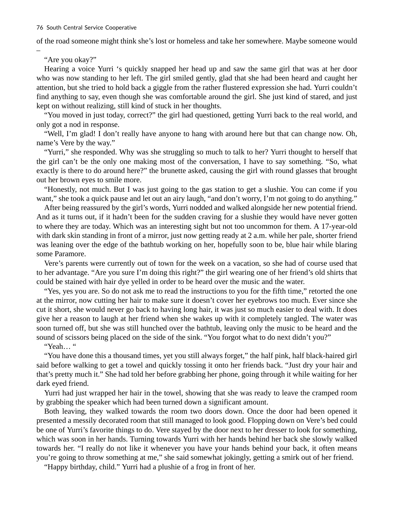of the road someone might think she's lost or homeless and take her somewhere. Maybe someone would

"Are you okay?"

–

Hearing a voice Yurri 's quickly snapped her head up and saw the same girl that was at her door who was now standing to her left. The girl smiled gently, glad that she had been heard and caught her attention, but she tried to hold back a giggle from the rather flustered expression she had. Yurri couldn't find anything to say, even though she was comfortable around the girl. She just kind of stared, and just kept on without realizing, still kind of stuck in her thoughts.

"You moved in just today, correct?" the girl had questioned, getting Yurri back to the real world, and only got a nod in response.

"Well, I'm glad! I don't really have anyone to hang with around here but that can change now. Oh, name's Vere by the way."

"Yurri," she responded. Why was she struggling so much to talk to her? Yurri thought to herself that the girl can't be the only one making most of the conversation, I have to say something. "So, what exactly is there to do around here?" the brunette asked, causing the girl with round glasses that brought out her brown eyes to smile more.

"Honestly, not much. But I was just going to the gas station to get a slushie. You can come if you want," she took a quick pause and let out an airy laugh, "and don't worry, I'm not going to do anything."

After being reassured by the girl's words, Yurri nodded and walked alongside her new potential friend. And as it turns out, if it hadn't been for the sudden craving for a slushie they would have never gotten to where they are today. Which was an interesting sight but not too uncommon for them. A 17-year-old with dark skin standing in front of a mirror, just now getting ready at 2 a.m. while her pale, shorter friend was leaning over the edge of the bathtub working on her, hopefully soon to be, blue hair while blaring some Paramore.

Vere's parents were currently out of town for the week on a vacation, so she had of course used that to her advantage. "Are you sure I'm doing this right?" the girl wearing one of her friend's old shirts that could be stained with hair dye yelled in order to be heard over the music and the water.

"Yes, yes you are. So do not ask me to read the instructions to you for the fifth time," retorted the one at the mirror, now cutting her hair to make sure it doesn't cover her eyebrows too much. Ever since she cut it short, she would never go back to having long hair, it was just so much easier to deal with. It does give her a reason to laugh at her friend when she wakes up with it completely tangled. The water was soon turned off, but she was still hunched over the bathtub, leaving only the music to be heard and the sound of scissors being placed on the side of the sink. "You forgot what to do next didn't you?"

"Yeah… "

"You have done this a thousand times, yet you still always forget," the half pink, half black-haired girl said before walking to get a towel and quickly tossing it onto her friends back. "Just dry your hair and that's pretty much it." She had told her before grabbing her phone, going through it while waiting for her dark eyed friend.

Yurri had just wrapped her hair in the towel, showing that she was ready to leave the cramped room by grabbing the speaker which had been turned down a significant amount.

Both leaving, they walked towards the room two doors down. Once the door had been opened it presented a messily decorated room that still managed to look good. Flopping down on Vere's bed could be one of Yurri's favorite things to do. Vere stayed by the door next to her dresser to look for something, which was soon in her hands. Turning towards Yurri with her hands behind her back she slowly walked towards her. "I really do not like it whenever you have your hands behind your back, it often means you're going to throw something at me," she said somewhat jokingly, getting a smirk out of her friend.

"Happy birthday, child." Yurri had a plushie of a frog in front of her.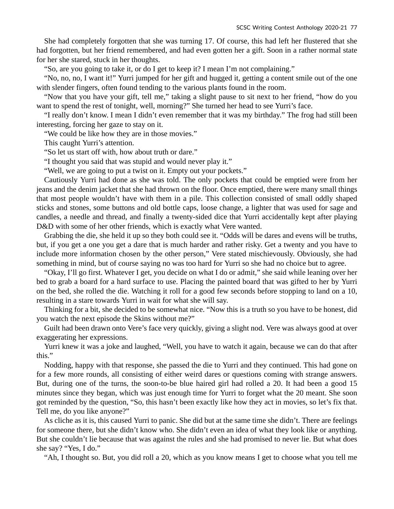She had completely forgotten that she was turning 17. Of course, this had left her flustered that she had forgotten, but her friend remembered, and had even gotten her a gift. Soon in a rather normal state for her she stared, stuck in her thoughts.

"So, are you going to take it, or do I get to keep it? I mean I'm not complaining."

"No, no, no, I want it!" Yurri jumped for her gift and hugged it, getting a content smile out of the one with slender fingers, often found tending to the various plants found in the room.

"Now that you have your gift, tell me," taking a slight pause to sit next to her friend, "how do you want to spend the rest of tonight, well, morning?" She turned her head to see Yurri's face.

"I really don't know. I mean I didn't even remember that it was my birthday." The frog had still been interesting, forcing her gaze to stay on it.

"We could be like how they are in those movies."

This caught Yurri's attention.

"So let us start off with, how about truth or dare."

"I thought you said that was stupid and would never play it."

"Well, we are going to put a twist on it. Empty out your pockets."

Cautiously Yurri had done as she was told. The only pockets that could be emptied were from her jeans and the denim jacket that she had thrown on the floor. Once emptied, there were many small things that most people wouldn't have with them in a pile. This collection consisted of small oddly shaped sticks and stones, some buttons and old bottle caps, loose change, a lighter that was used for sage and candles, a needle and thread, and finally a twenty-sided dice that Yurri accidentally kept after playing D&D with some of her other friends, which is exactly what Vere wanted.

Grabbing the die, she held it up so they both could see it. "Odds will be dares and evens will be truths, but, if you get a one you get a dare that is much harder and rather risky. Get a twenty and you have to include more information chosen by the other person," Vere stated mischievously. Obviously, she had something in mind, but of course saying no was too hard for Yurri so she had no choice but to agree.

"Okay, I'll go first. Whatever I get, you decide on what I do or admit," she said while leaning over her bed to grab a board for a hard surface to use. Placing the painted board that was gifted to her by Yurri on the bed, she rolled the die. Watching it roll for a good few seconds before stopping to land on a 10, resulting in a stare towards Yurri in wait for what she will say.

Thinking for a bit, she decided to be somewhat nice. "Now this is a truth so you have to be honest, did you watch the next episode the Skins without me?"

Guilt had been drawn onto Vere's face very quickly, giving a slight nod. Vere was always good at over exaggerating her expressions.

Yurri knew it was a joke and laughed, "Well, you have to watch it again, because we can do that after this."

Nodding, happy with that response, she passed the die to Yurri and they continued. This had gone on for a few more rounds, all consisting of either weird dares or questions coming with strange answers. But, during one of the turns, the soon-to-be blue haired girl had rolled a 20. It had been a good 15 minutes since they began, which was just enough time for Yurri to forget what the 20 meant. She soon got reminded by the question, "So, this hasn't been exactly like how they act in movies, so let's fix that. Tell me, do you like anyone?"

As cliche as it is, this caused Yurri to panic. She did but at the same time she didn't. There are feelings for someone there, but she didn't know who. She didn't even an idea of what they look like or anything. But she couldn't lie because that was against the rules and she had promised to never lie. But what does she say? "Yes, I do."

"Ah, I thought so. But, you did roll a 20, which as you know means I get to choose what you tell me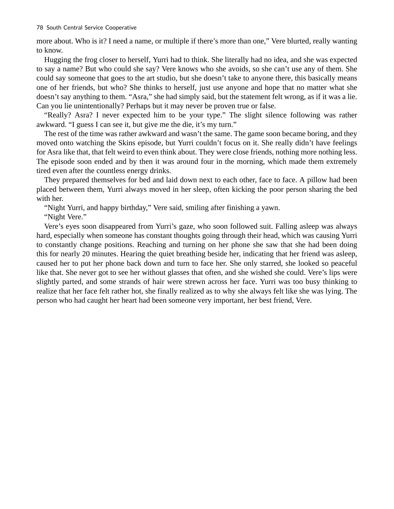more about. Who is it? I need a name, or multiple if there's more than one," Vere blurted, really wanting to know.

Hugging the frog closer to herself, Yurri had to think. She literally had no idea, and she was expected to say a name? But who could she say? Vere knows who she avoids, so she can't use any of them. She could say someone that goes to the art studio, but she doesn't take to anyone there, this basically means one of her friends, but who? She thinks to herself, just use anyone and hope that no matter what she doesn't say anything to them. "Asra," she had simply said, but the statement felt wrong, as if it was a lie. Can you lie unintentionally? Perhaps but it may never be proven true or false.

"Really? Asra? I never expected him to be your type." The slight silence following was rather awkward. "I guess I can see it, but give me the die, it's my turn."

The rest of the time was rather awkward and wasn't the same. The game soon became boring, and they moved onto watching the Skins episode, but Yurri couldn't focus on it. She really didn't have feelings for Asra like that, that felt weird to even think about. They were close friends, nothing more nothing less. The episode soon ended and by then it was around four in the morning, which made them extremely tired even after the countless energy drinks.

They prepared themselves for bed and laid down next to each other, face to face. A pillow had been placed between them, Yurri always moved in her sleep, often kicking the poor person sharing the bed with her.

"Night Yurri, and happy birthday," Vere said, smiling after finishing a yawn.

"Night Vere."

Vere's eyes soon disappeared from Yurri's gaze, who soon followed suit. Falling asleep was always hard, especially when someone has constant thoughts going through their head, which was causing Yurri to constantly change positions. Reaching and turning on her phone she saw that she had been doing this for nearly 20 minutes. Hearing the quiet breathing beside her, indicating that her friend was asleep, caused her to put her phone back down and turn to face her. She only starred, she looked so peaceful like that. She never got to see her without glasses that often, and she wished she could. Vere's lips were slightly parted, and some strands of hair were strewn across her face. Yurri was too busy thinking to realize that her face felt rather hot, she finally realized as to why she always felt like she was lying. The person who had caught her heart had been someone very important, her best friend, Vere.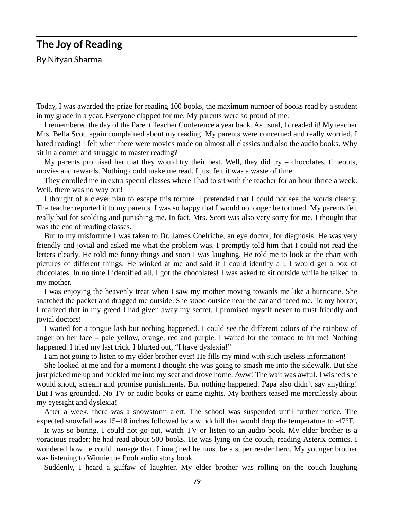## **The Joy of Reading**

By Nityan Sharma

Today, I was awarded the prize for reading 100 books, the maximum number of books read by a student in my grade in a year. Everyone clapped for me. My parents were so proud of me.

I remembered the day of the Parent Teacher Conference a year back. As usual, I dreaded it! My teacher Mrs. Bella Scott again complained about my reading. My parents were concerned and really worried. I hated reading! I felt when there were movies made on almost all classics and also the audio books. Why sit in a corner and struggle to master reading?

My parents promised her that they would try their best. Well, they did try  $-$  chocolates, timeouts, movies and rewards. Nothing could make me read. I just felt it was a waste of time.

They enrolled me in extra special classes where I had to sit with the teacher for an hour thrice a week. Well, there was no way out!

I thought of a clever plan to escape this torture. I pretended that I could not see the words clearly. The teacher reported it to my parents. I was so happy that I would no longer be tortured. My parents felt really bad for scolding and punishing me. In fact, Mrs. Scott was also very sorry for me. I thought that was the end of reading classes.

But to my misfortune I was taken to Dr. James Coelriche, an eye doctor, for diagnosis. He was very friendly and jovial and asked me what the problem was. I promptly told him that I could not read the letters clearly. He told me funny things and soon I was laughing. He told me to look at the chart with pictures of different things. He winked at me and said if I could identify all, I would get a box of chocolates. In no time I identified all. I got the chocolates! I was asked to sit outside while he talked to my mother.

I was enjoying the heavenly treat when I saw my mother moving towards me like a hurricane. She snatched the packet and dragged me outside. She stood outside near the car and faced me. To my horror, I realized that in my greed I had given away my secret. I promised myself never to trust friendly and jovial doctors!

I waited for a tongue lash but nothing happened. I could see the different colors of the rainbow of anger on her face – pale yellow, orange, red and purple. I waited for the tornado to hit me! Nothing happened. I tried my last trick. I blurted out, "I have dyslexia!"

I am not going to listen to my elder brother ever! He fills my mind with such useless information!

She looked at me and for a moment I thought she was going to smash me into the sidewalk. But she just picked me up and buckled me into my seat and drove home. Aww! The wait was awful. I wished she would shout, scream and promise punishments. But nothing happened. Papa also didn't say anything! But I was grounded. No TV or audio books or game nights. My brothers teased me mercilessly about my eyesight and dyslexia!

After a week, there was a snowstorm alert. The school was suspended until further notice. The expected snowfall was 15–18 inches followed by a windchill that would drop the temperature to -47°F.

It was so boring. I could not go out, watch TV or listen to an audio book. My elder brother is a voracious reader; he had read about 500 books. He was lying on the couch, reading Asterix comics. I wondered how he could manage that. I imagined he must be a super reader hero. My younger brother was listening to Winnie the Pooh audio story book.

Suddenly, I heard a guffaw of laughter. My elder brother was rolling on the couch laughing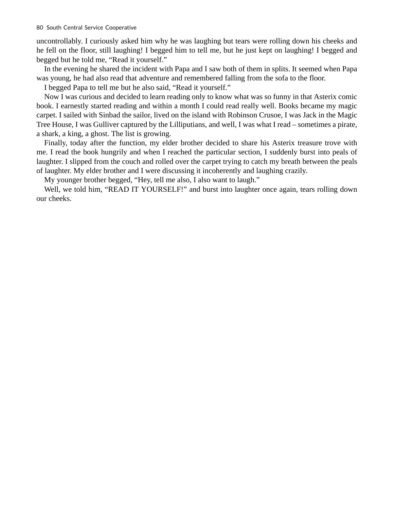uncontrollably. I curiously asked him why he was laughing but tears were rolling down his cheeks and he fell on the floor, still laughing! I begged him to tell me, but he just kept on laughing! I begged and begged but he told me, "Read it yourself."

In the evening he shared the incident with Papa and I saw both of them in splits. It seemed when Papa was young, he had also read that adventure and remembered falling from the sofa to the floor.

I begged Papa to tell me but he also said, "Read it yourself."

Now I was curious and decided to learn reading only to know what was so funny in that Asterix comic book. I earnestly started reading and within a month I could read really well. Books became my magic carpet. I sailed with Sinbad the sailor, lived on the island with Robinson Crusoe, I was Jack in the Magic Tree House, I was Gulliver captured by the Lilliputians, and well, I was what I read – sometimes a pirate, a shark, a king, a ghost. The list is growing.

Finally, today after the function, my elder brother decided to share his Asterix treasure trove with me. I read the book hungrily and when I reached the particular section, I suddenly burst into peals of laughter. I slipped from the couch and rolled over the carpet trying to catch my breath between the peals of laughter. My elder brother and I were discussing it incoherently and laughing crazily.

My younger brother begged, "Hey, tell me also, I also want to laugh."

Well, we told him, "READ IT YOURSELF!" and burst into laughter once again, tears rolling down our cheeks.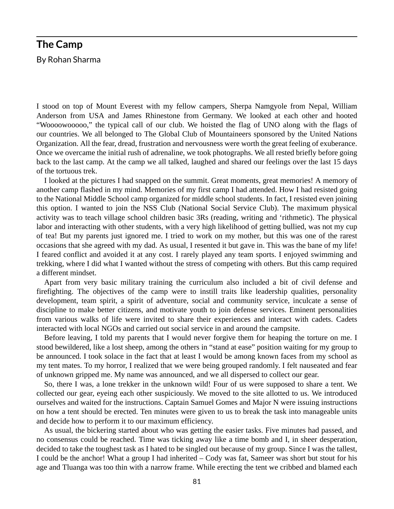# **The Camp**

By Rohan Sharma

I stood on top of Mount Everest with my fellow campers, Sherpa Namgyole from Nepal, William Anderson from USA and James Rhinestone from Germany. We looked at each other and hooted "Woooowooooo," the typical call of our club. We hoisted the flag of UNO along with the flags of our countries. We all belonged to The Global Club of Mountaineers sponsored by the United Nations Organization. All the fear, dread, frustration and nervousness were worth the great feeling of exuberance. Once we overcame the initial rush of adrenaline, we took photographs. We all rested briefly before going back to the last camp. At the camp we all talked, laughed and shared our feelings over the last 15 days of the tortuous trek.

I looked at the pictures I had snapped on the summit. Great moments, great memories! A memory of another camp flashed in my mind. Memories of my first camp I had attended. How I had resisted going to the National Middle School camp organized for middle school students. In fact, I resisted even joining this option. I wanted to join the NSS Club (National Social Service Club). The maximum physical activity was to teach village school children basic 3Rs (reading, writing and 'rithmetic). The physical labor and interacting with other students, with a very high likelihood of getting bullied, was not my cup of tea! But my parents just ignored me. I tried to work on my mother, but this was one of the rarest occasions that she agreed with my dad. As usual, I resented it but gave in. This was the bane of my life! I feared conflict and avoided it at any cost. I rarely played any team sports. I enjoyed swimming and trekking, where I did what I wanted without the stress of competing with others. But this camp required a different mindset.

Apart from very basic military training the curriculum also included a bit of civil defense and firefighting. The objectives of the camp were to instill traits like leadership qualities, personality development, team spirit, a spirit of adventure, social and community service, inculcate a sense of discipline to make better citizens, and motivate youth to join defense services. Eminent personalities from various walks of life were invited to share their experiences and interact with cadets. Cadets interacted with local NGOs and carried out social service in and around the campsite.

Before leaving, I told my parents that I would never forgive them for heaping the torture on me. I stood bewildered, like a lost sheep, among the others in "stand at ease" position waiting for my group to be announced. I took solace in the fact that at least I would be among known faces from my school as my tent mates. To my horror, I realized that we were being grouped randomly. I felt nauseated and fear of unknown gripped me. My name was announced, and we all dispersed to collect our gear.

So, there I was, a lone trekker in the unknown wild! Four of us were supposed to share a tent. We collected our gear, eyeing each other suspiciously. We moved to the site allotted to us. We introduced ourselves and waited for the instructions. Captain Samuel Gomes and Major N were issuing instructions on how a tent should be erected. Ten minutes were given to us to break the task into manageable units and decide how to perform it to our maximum efficiency.

As usual, the bickering started about who was getting the easier tasks. Five minutes had passed, and no consensus could be reached. Time was ticking away like a time bomb and I, in sheer desperation, decided to take the toughest task as I hated to be singled out because of my group. Since I was the tallest, I could be the anchor! What a group I had inherited – Cody was fat, Sameer was short but stout for his age and Tluanga was too thin with a narrow frame. While erecting the tent we cribbed and blamed each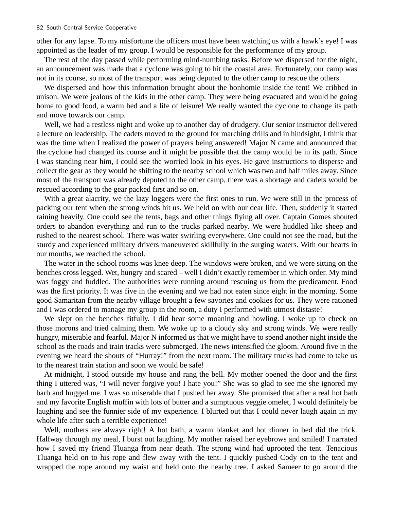other for any lapse. To my misfortune the officers must have been watching us with a hawk's eye! I was appointed as the leader of my group. I would be responsible for the performance of my group.

The rest of the day passed while performing mind-numbing tasks. Before we dispersed for the night, an announcement was made that a cyclone was going to hit the coastal area. Fortunately, our camp was not in its course, so most of the transport was being deputed to the other camp to rescue the others.

We dispersed and how this information brought about the bonhomie inside the tent! We cribbed in unison. We were jealous of the kids in the other camp. They were being evacuated and would be going home to good food, a warm bed and a life of leisure! We really wanted the cyclone to change its path and move towards our camp.

Well, we had a restless night and woke up to another day of drudgery. Our senior instructor delivered a lecture on leadership. The cadets moved to the ground for marching drills and in hindsight, I think that was the time when I realized the power of prayers being answered! Major N came and announced that the cyclone had changed its course and it might be possible that the camp would be in its path. Since I was standing near him, I could see the worried look in his eyes. He gave instructions to disperse and collect the gear as they would be shifting to the nearby school which was two and half miles away. Since most of the transport was already deputed to the other camp, there was a shortage and cadets would be rescued according to the gear packed first and so on.

With a great alacrity, we the lazy loggers were the first ones to run. We were still in the process of packing our tent when the strong winds hit us. We held on with our dear life. Then, suddenly it started raining heavily. One could see the tents, bags and other things flying all over. Captain Gomes shouted orders to abandon everything and run to the trucks parked nearby. We were huddled like sheep and rushed to the nearest school. There was water swirling everywhere. One could not see the road, but the sturdy and experienced military drivers maneuvered skillfully in the surging waters. With our hearts in our mouths, we reached the school.

The water in the school rooms was knee deep. The windows were broken, and we were sitting on the benches cross legged. Wet, hungry and scared – well I didn't exactly remember in which order. My mind was foggy and fuddled. The authorities were running around rescuing us from the predicament. Food was the first priority. It was five in the evening and we had not eaten since eight in the morning. Some good Samaritan from the nearby village brought a few savories and cookies for us. They were rationed and I was ordered to manage my group in the room, a duty I performed with utmost distaste!

We slept on the benches fitfully. I did hear some moaning and howling. I woke up to check on those morons and tried calming them. We woke up to a cloudy sky and strong winds. We were really hungry, miserable and fearful. Major N informed us that we might have to spend another night inside the school as the roads and train tracks were submerged. The news intensified the gloom. Around five in the evening we heard the shouts of "Hurray!" from the next room. The military trucks had come to take us to the nearest train station and soon we would be safe!

At midnight, I stood outside my house and rang the bell. My mother opened the door and the first thing I uttered was, "I will never forgive you! I hate you!" She was so glad to see me she ignored my barb and hugged me. I was so miserable that I pushed her away. She promised that after a real hot bath and my favorite English muffin with lots of butter and a sumptuous veggie omelet, I would definitely be laughing and see the funnier side of my experience. I blurted out that I could never laugh again in my whole life after such a terrible experience!

Well, mothers are always right! A hot bath, a warm blanket and hot dinner in bed did the trick. Halfway through my meal, I burst out laughing. My mother raised her eyebrows and smiled! I narrated how I saved my friend Tluanga from near death. The strong wind had uprooted the tent. Tenacious Tluanga held on to his rope and flew away with the tent. I quickly pushed Cody on to the tent and wrapped the rope around my waist and held onto the nearby tree. I asked Sameer to go around the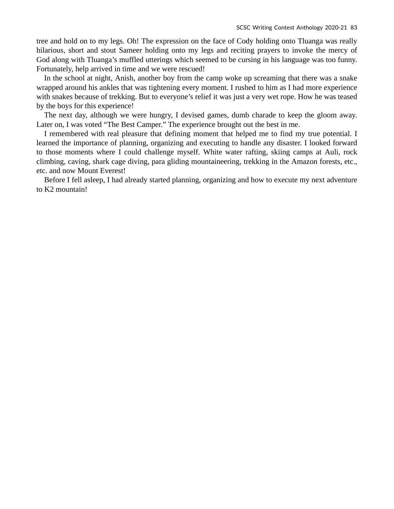tree and hold on to my legs. Oh! The expression on the face of Cody holding onto Tluanga was really hilarious, short and stout Sameer holding onto my legs and reciting prayers to invoke the mercy of God along with Tluanga's muffled utterings which seemed to be cursing in his language was too funny. Fortunately, help arrived in time and we were rescued!

In the school at night, Anish, another boy from the camp woke up screaming that there was a snake wrapped around his ankles that was tightening every moment. I rushed to him as I had more experience with snakes because of trekking. But to everyone's relief it was just a very wet rope. How he was teased by the boys for this experience!

The next day, although we were hungry, I devised games, dumb charade to keep the gloom away. Later on, I was voted "The Best Camper." The experience brought out the best in me.

I remembered with real pleasure that defining moment that helped me to find my true potential. I learned the importance of planning, organizing and executing to handle any disaster. I looked forward to those moments where I could challenge myself. White water rafting, skiing camps at Auli, rock climbing, caving, shark cage diving, para gliding mountaineering, trekking in the Amazon forests, etc., etc. and now Mount Everest!

Before I fell asleep, I had already started planning, organizing and how to execute my next adventure to K2 mountain!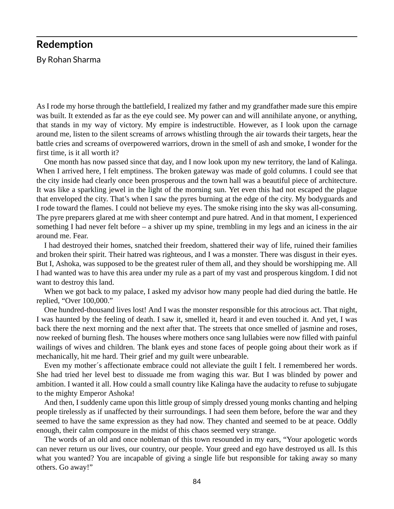#### **Redemption**

By Rohan Sharma

As I rode my horse through the battlefield, I realized my father and my grandfather made sure this empire was built. It extended as far as the eye could see. My power can and will annihilate anyone, or anything, that stands in my way of victory. My empire is indestructible. However, as I look upon the carnage around me, listen to the silent screams of arrows whistling through the air towards their targets, hear the battle cries and screams of overpowered warriors, drown in the smell of ash and smoke, I wonder for the first time, is it all worth it?

One month has now passed since that day, and I now look upon my new territory, the land of Kalinga. When I arrived here, I felt emptiness. The broken gateway was made of gold columns. I could see that the city inside had clearly once been prosperous and the town hall was a beautiful piece of architecture. It was like a sparkling jewel in the light of the morning sun. Yet even this had not escaped the plague that enveloped the city. That's when I saw the pyres burning at the edge of the city. My bodyguards and I rode toward the flames. I could not believe my eyes. The smoke rising into the sky was all-consuming. The pyre preparers glared at me with sheer contempt and pure hatred. And in that moment, I experienced something I had never felt before – a shiver up my spine, trembling in my legs and an iciness in the air around me. Fear.

I had destroyed their homes, snatched their freedom, shattered their way of life, ruined their families and broken their spirit. Their hatred was righteous, and I was a monster. There was disgust in their eyes. But I, Ashoka, was supposed to be the greatest ruler of them all, and they should be worshipping me. All I had wanted was to have this area under my rule as a part of my vast and prosperous kingdom. I did not want to destroy this land.

When we got back to my palace, I asked my advisor how many people had died during the battle. He replied, "Over 100,000."

One hundred-thousand lives lost! And I was the monster responsible for this atrocious act. That night, I was haunted by the feeling of death. I saw it, smelled it, heard it and even touched it. And yet, I was back there the next morning and the next after that. The streets that once smelled of jasmine and roses, now reeked of burning flesh. The houses where mothers once sang lullabies were now filled with painful wailings of wives and children. The blank eyes and stone faces of people going about their work as if mechanically, hit me hard. Their grief and my guilt were unbearable.

Even my mother´s affectionate embrace could not alleviate the guilt I felt. I remembered her words. She had tried her level best to dissuade me from waging this war. But I was blinded by power and ambition. I wanted it all. How could a small country like Kalinga have the audacity to refuse to subjugate to the mighty Emperor Ashoka!

And then, I suddenly came upon this little group of simply dressed young monks chanting and helping people tirelessly as if unaffected by their surroundings. I had seen them before, before the war and they seemed to have the same expression as they had now. They chanted and seemed to be at peace. Oddly enough, their calm composure in the midst of this chaos seemed very strange.

The words of an old and once nobleman of this town resounded in my ears, "Your apologetic words can never return us our lives, our country, our people. Your greed and ego have destroyed us all. Is this what you wanted? You are incapable of giving a single life but responsible for taking away so many others. Go away!"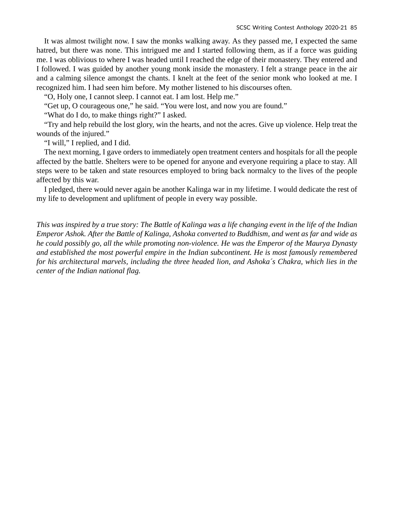It was almost twilight now. I saw the monks walking away. As they passed me, I expected the same hatred, but there was none. This intrigued me and I started following them, as if a force was guiding me. I was oblivious to where I was headed until I reached the edge of their monastery. They entered and I followed. I was guided by another young monk inside the monastery. I felt a strange peace in the air and a calming silence amongst the chants. I knelt at the feet of the senior monk who looked at me. I recognized him. I had seen him before. My mother listened to his discourses often.

"O, Holy one, I cannot sleep. I cannot eat. I am lost. Help me."

"Get up, O courageous one," he said. "You were lost, and now you are found."

"What do I do, to make things right?" I asked.

"Try and help rebuild the lost glory, win the hearts, and not the acres. Give up violence. Help treat the wounds of the injured."

"I will," I replied, and I did.

The next morning, I gave orders to immediately open treatment centers and hospitals for all the people affected by the battle. Shelters were to be opened for anyone and everyone requiring a place to stay. All steps were to be taken and state resources employed to bring back normalcy to the lives of the people affected by this war.

I pledged, there would never again be another Kalinga war in my lifetime. I would dedicate the rest of my life to development and upliftment of people in every way possible.

*This was inspired by a true story: The Battle of Kalinga was a life changing event in the life of the Indian Emperor Ashok. After the Battle of Kalinga, Ashoka converted to Buddhism, and went as far and wide as he could possibly go, all the while promoting non-violence. He was the Emperor of the Maurya Dynasty and established the most powerful empire in the Indian subcontinent. He is most famously remembered for his architectural marvels, including the three headed lion, and Ashoka´s Chakra, which lies in the center of the Indian national flag.*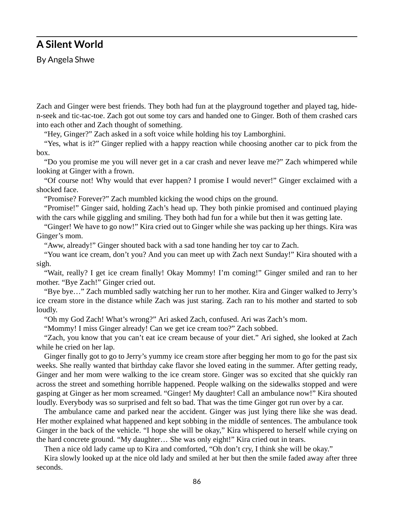#### **A Silent World**

By Angela Shwe

Zach and Ginger were best friends. They both had fun at the playground together and played tag, hiden-seek and tic-tac-toe. Zach got out some toy cars and handed one to Ginger. Both of them crashed cars into each other and Zach thought of something.

"Hey, Ginger?" Zach asked in a soft voice while holding his toy Lamborghini.

"Yes, what is it?" Ginger replied with a happy reaction while choosing another car to pick from the box.

"Do you promise me you will never get in a car crash and never leave me?" Zach whimpered while looking at Ginger with a frown.

"Of course not! Why would that ever happen? I promise I would never!" Ginger exclaimed with a shocked face.

"Promise? Forever?" Zach mumbled kicking the wood chips on the ground.

"Promise!" Ginger said, holding Zach's head up. They both pinkie promised and continued playing with the cars while giggling and smiling. They both had fun for a while but then it was getting late.

"Ginger! We have to go now!" Kira cried out to Ginger while she was packing up her things. Kira was Ginger's mom.

"Aww, already!" Ginger shouted back with a sad tone handing her toy car to Zach.

"You want ice cream, don't you? And you can meet up with Zach next Sunday!" Kira shouted with a sigh.

"Wait, really? I get ice cream finally! Okay Mommy! I'm coming!" Ginger smiled and ran to her mother. "Bye Zach!" Ginger cried out.

"Bye bye…" Zach mumbled sadly watching her run to her mother. Kira and Ginger walked to Jerry's ice cream store in the distance while Zach was just staring. Zach ran to his mother and started to sob loudly.

"Oh my God Zach! What's wrong?" Ari asked Zach, confused. Ari was Zach's mom.

"Mommy! I miss Ginger already! Can we get ice cream too?" Zach sobbed.

"Zach, you know that you can't eat ice cream because of your diet." Ari sighed, she looked at Zach while he cried on her lap.

Ginger finally got to go to Jerry's yummy ice cream store after begging her mom to go for the past six weeks. She really wanted that birthday cake flavor she loved eating in the summer. After getting ready, Ginger and her mom were walking to the ice cream store. Ginger was so excited that she quickly ran across the street and something horrible happened. People walking on the sidewalks stopped and were gasping at Ginger as her mom screamed. "Ginger! My daughter! Call an ambulance now!" Kira shouted loudly. Everybody was so surprised and felt so bad. That was the time Ginger got run over by a car.

The ambulance came and parked near the accident. Ginger was just lying there like she was dead. Her mother explained what happened and kept sobbing in the middle of sentences. The ambulance took Ginger in the back of the vehicle. "I hope she will be okay," Kira whispered to herself while crying on the hard concrete ground. "My daughter… She was only eight!" Kira cried out in tears.

Then a nice old lady came up to Kira and comforted, "Oh don't cry, I think she will be okay."

Kira slowly looked up at the nice old lady and smiled at her but then the smile faded away after three seconds.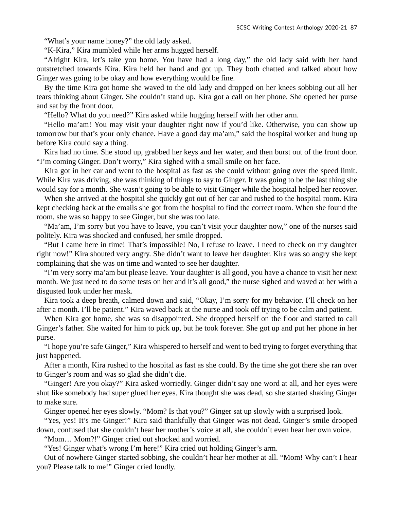"What's your name honey?" the old lady asked.

"K-Kira," Kira mumbled while her arms hugged herself.

"Alright Kira, let's take you home. You have had a long day," the old lady said with her hand outstretched towards Kira. Kira held her hand and got up. They both chatted and talked about how Ginger was going to be okay and how everything would be fine.

By the time Kira got home she waved to the old lady and dropped on her knees sobbing out all her tears thinking about Ginger. She couldn't stand up. Kira got a call on her phone. She opened her purse and sat by the front door.

"Hello? What do you need?" Kira asked while hugging herself with her other arm.

"Hello ma'am! You may visit your daughter right now if you'd like. Otherwise, you can show up tomorrow but that's your only chance. Have a good day ma'am," said the hospital worker and hung up before Kira could say a thing.

Kira had no time. She stood up, grabbed her keys and her water, and then burst out of the front door. "I'm coming Ginger. Don't worry," Kira sighed with a small smile on her face.

Kira got in her car and went to the hospital as fast as she could without going over the speed limit. While Kira was driving, she was thinking of things to say to Ginger. It was going to be the last thing she would say for a month. She wasn't going to be able to visit Ginger while the hospital helped her recover.

When she arrived at the hospital she quickly got out of her car and rushed to the hospital room. Kira kept checking back at the emails she got from the hospital to find the correct room. When she found the room, she was so happy to see Ginger, but she was too late.

"Ma'am, I'm sorry but you have to leave, you can't visit your daughter now," one of the nurses said politely. Kira was shocked and confused, her smile dropped.

"But I came here in time! That's impossible! No, I refuse to leave. I need to check on my daughter right now!" Kira shouted very angry. She didn't want to leave her daughter. Kira was so angry she kept complaining that she was on time and wanted to see her daughter.

"I'm very sorry ma'am but please leave. Your daughter is all good, you have a chance to visit her next month. We just need to do some tests on her and it's all good," the nurse sighed and waved at her with a disgusted look under her mask.

Kira took a deep breath, calmed down and said, "Okay, I'm sorry for my behavior. I'll check on her after a month. I'll be patient." Kira waved back at the nurse and took off trying to be calm and patient.

When Kira got home, she was so disappointed. She dropped herself on the floor and started to call Ginger's father. She waited for him to pick up, but he took forever. She got up and put her phone in her purse.

"I hope you're safe Ginger," Kira whispered to herself and went to bed trying to forget everything that just happened.

After a month, Kira rushed to the hospital as fast as she could. By the time she got there she ran over to Ginger's room and was so glad she didn't die.

"Ginger! Are you okay?" Kira asked worriedly. Ginger didn't say one word at all, and her eyes were shut like somebody had super glued her eyes. Kira thought she was dead, so she started shaking Ginger to make sure.

Ginger opened her eyes slowly. "Mom? Is that you?" Ginger sat up slowly with a surprised look.

"Yes, yes! It's me Ginger!" Kira said thankfully that Ginger was not dead. Ginger's smile drooped down, confused that she couldn't hear her mother's voice at all, she couldn't even hear her own voice.

"Mom… Mom?!" Ginger cried out shocked and worried.

"Yes! Ginger what's wrong I'm here!" Kira cried out holding Ginger's arm.

Out of nowhere Ginger started sobbing, she couldn't hear her mother at all. "Mom! Why can't I hear you? Please talk to me!" Ginger cried loudly.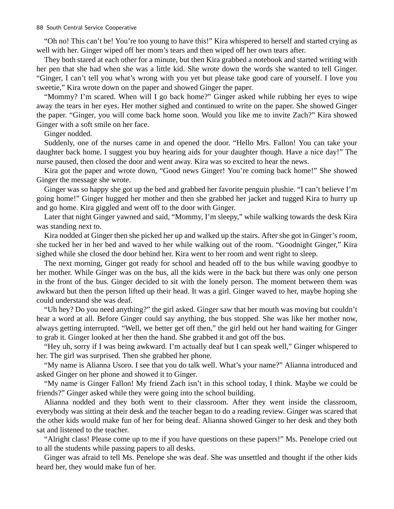"Oh no! This can't be! You're too young to have this!" Kira whispered to herself and started crying as well with her. Ginger wiped off her mom's tears and then wiped off her own tears after.

They both stared at each other for a minute, but then Kira grabbed a notebook and started writing with her pen that she had when she was a little kid. She wrote down the words she wanted to tell Ginger. "Ginger, I can't tell you what's wrong with you yet but please take good care of yourself. I love you sweetie," Kira wrote down on the paper and showed Ginger the paper.

"Mommy? I'm scared. When will I go back home?" Ginger asked while rubbing her eyes to wipe away the tears in her eyes. Her mother sighed and continued to write on the paper. She showed Ginger the paper. "Ginger, you will come back home soon. Would you like me to invite Zach?" Kira showed Ginger with a soft smile on her face.

Ginger nodded.

Suddenly, one of the nurses came in and opened the door. "Hello Mrs. Fallon! You can take your daughter back home. I suggest you buy hearing aids for your daughter though. Have a nice day!" The nurse paused, then closed the door and went away. Kira was so excited to hear the news.

Kira got the paper and wrote down, "Good news Ginger! You're coming back home!" She showed Ginger the message she wrote.

Ginger was so happy she got up the bed and grabbed her favorite penguin plushie. "I can't believe I'm going home!" Ginger hugged her mother and then she grabbed her jacket and tugged Kira to hurry up and go home. Kira giggled and went off to the door with Ginger.

Later that night Ginger yawned and said, "Mommy, I'm sleepy," while walking towards the desk Kira was standing next to.

Kira nodded at Ginger then she picked her up and walked up the stairs. After she got in Ginger's room, she tucked her in her bed and waved to her while walking out of the room. "Goodnight Ginger," Kira sighed while she closed the door behind her. Kira went to her room and went right to sleep.

The next morning, Ginger got ready for school and headed off to the bus while waving goodbye to her mother. While Ginger was on the bus, all the kids were in the back but there was only one person in the front of the bus. Ginger decided to sit with the lonely person. The moment between them was awkward but then the person lifted up their head. It was a girl. Ginger waved to her, maybe hoping she could understand she was deaf.

"Uh hey? Do you need anything?" the girl asked. Ginger saw that her mouth was moving but couldn't hear a word at all. Before Ginger could say anything, the bus stopped. She was like her mother now, always getting interrupted. "Well, we better get off then," the girl held out her hand waiting for Ginger to grab it. Ginger looked at her then the hand. She grabbed it and got off the bus.

"Hey uh, sorry if I was being awkward. I'm actually deaf but I can speak well," Ginger whispered to her. The girl was surprised. Then she grabbed her phone.

"My name is Alianna Usoro. I see that you do talk well. What's your name?" Alianna introduced and asked Ginger on her phone and showed it to Ginger.

"My name is Ginger Fallon! My friend Zach isn't in this school today, I think. Maybe we could be friends?" Ginger asked while they were going into the school building.

Alianna nodded and they both went to their classroom. After they went inside the classroom, everybody was sitting at their desk and the teacher began to do a reading review. Ginger was scared that the other kids would make fun of her for being deaf. Alianna showed Ginger to her desk and they both sat and listened to the teacher.

"Alright class! Please come up to me if you have questions on these papers!" Ms. Penelope cried out to all the students while passing papers to all desks.

Ginger was afraid to tell Ms. Penelope she was deaf. She was unsettled and thought if the other kids heard her, they would make fun of her.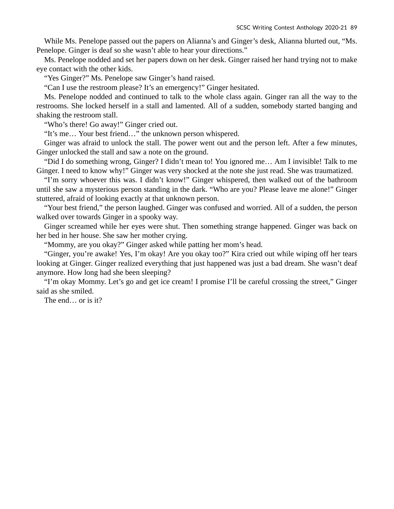While Ms. Penelope passed out the papers on Alianna's and Ginger's desk, Alianna blurted out, "Ms. Penelope. Ginger is deaf so she wasn't able to hear your directions."

Ms. Penelope nodded and set her papers down on her desk. Ginger raised her hand trying not to make eye contact with the other kids.

"Yes Ginger?" Ms. Penelope saw Ginger's hand raised.

"Can I use the restroom please? It's an emergency!" Ginger hesitated.

Ms. Penelope nodded and continued to talk to the whole class again. Ginger ran all the way to the restrooms. She locked herself in a stall and lamented. All of a sudden, somebody started banging and shaking the restroom stall.

"Who's there! Go away!" Ginger cried out.

"It's me… Your best friend…" the unknown person whispered.

Ginger was afraid to unlock the stall. The power went out and the person left. After a few minutes, Ginger unlocked the stall and saw a note on the ground.

"Did I do something wrong, Ginger? I didn't mean to! You ignored me… Am I invisible! Talk to me Ginger. I need to know why!" Ginger was very shocked at the note she just read. She was traumatized.

"I'm sorry whoever this was. I didn't know!" Ginger whispered, then walked out of the bathroom until she saw a mysterious person standing in the dark. "Who are you? Please leave me alone!" Ginger stuttered, afraid of looking exactly at that unknown person.

"Your best friend," the person laughed. Ginger was confused and worried. All of a sudden, the person walked over towards Ginger in a spooky way.

Ginger screamed while her eyes were shut. Then something strange happened. Ginger was back on her bed in her house. She saw her mother crying.

"Mommy, are you okay?" Ginger asked while patting her mom's head.

"Ginger, you're awake! Yes, I'm okay! Are you okay too?" Kira cried out while wiping off her tears looking at Ginger. Ginger realized everything that just happened was just a bad dream. She wasn't deaf anymore. How long had she been sleeping?

"I'm okay Mommy. Let's go and get ice cream! I promise I'll be careful crossing the street," Ginger said as she smiled.

The end… or is it?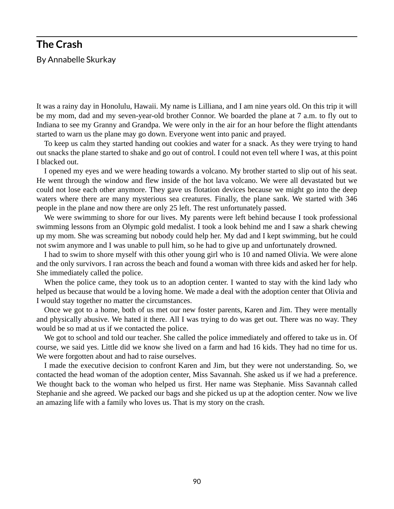## **The Crash**  By Annabelle Skurkay

It was a rainy day in Honolulu, Hawaii. My name is Lilliana, and I am nine years old. On this trip it will be my mom, dad and my seven-year-old brother Connor. We boarded the plane at 7 a.m. to fly out to Indiana to see my Granny and Grandpa. We were only in the air for an hour before the flight attendants started to warn us the plane may go down. Everyone went into panic and prayed.

To keep us calm they started handing out cookies and water for a snack. As they were trying to hand out snacks the plane started to shake and go out of control. I could not even tell where I was, at this point I blacked out.

I opened my eyes and we were heading towards a volcano. My brother started to slip out of his seat. He went through the window and flew inside of the hot lava volcano. We were all devastated but we could not lose each other anymore. They gave us flotation devices because we might go into the deep waters where there are many mysterious sea creatures. Finally, the plane sank. We started with 346 people in the plane and now there are only 25 left. The rest unfortunately passed.

We were swimming to shore for our lives. My parents were left behind because I took professional swimming lessons from an Olympic gold medalist. I took a look behind me and I saw a shark chewing up my mom. She was screaming but nobody could help her. My dad and I kept swimming, but he could not swim anymore and I was unable to pull him, so he had to give up and unfortunately drowned.

I had to swim to shore myself with this other young girl who is 10 and named Olivia. We were alone and the only survivors. I ran across the beach and found a woman with three kids and asked her for help. She immediately called the police.

When the police came, they took us to an adoption center. I wanted to stay with the kind lady who helped us because that would be a loving home. We made a deal with the adoption center that Olivia and I would stay together no matter the circumstances.

Once we got to a home, both of us met our new foster parents, Karen and Jim. They were mentally and physically abusive. We hated it there. All I was trying to do was get out. There was no way. They would be so mad at us if we contacted the police.

We got to school and told our teacher. She called the police immediately and offered to take us in. Of course, we said yes. Little did we know she lived on a farm and had 16 kids. They had no time for us. We were forgotten about and had to raise ourselves.

I made the executive decision to confront Karen and Jim, but they were not understanding. So, we contacted the head woman of the adoption center, Miss Savannah. She asked us if we had a preference. We thought back to the woman who helped us first. Her name was Stephanie. Miss Savannah called Stephanie and she agreed. We packed our bags and she picked us up at the adoption center. Now we live an amazing life with a family who loves us. That is my story on the crash.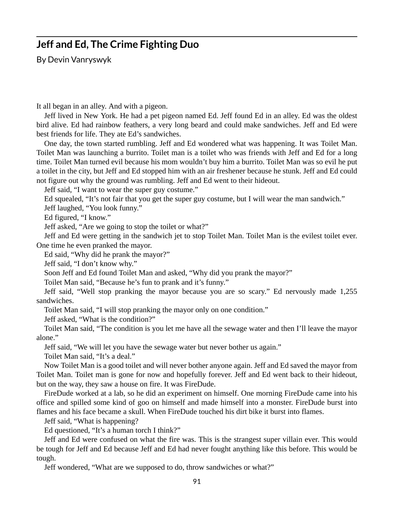#### **Jeff and Ed, The Crime Fighting Duo**

By Devin Vanryswyk

It all began in an alley. And with a pigeon.

Jeff lived in New York. He had a pet pigeon named Ed. Jeff found Ed in an alley. Ed was the oldest bird alive. Ed had rainbow feathers, a very long beard and could make sandwiches. Jeff and Ed were best friends for life. They ate Ed's sandwiches.

One day, the town started rumbling. Jeff and Ed wondered what was happening. It was Toilet Man. Toilet Man was launching a burrito. Toilet man is a toilet who was friends with Jeff and Ed for a long time. Toilet Man turned evil because his mom wouldn't buy him a burrito. Toilet Man was so evil he put a toilet in the city, but Jeff and Ed stopped him with an air freshener because he stunk. Jeff and Ed could not figure out why the ground was rumbling. Jeff and Ed went to their hideout.

Jeff said, "I want to wear the super guy costume."

Ed squealed, "It's not fair that you get the super guy costume, but I will wear the man sandwich."

Jeff laughed, "You look funny."

Ed figured, "I know."

Jeff asked, "Are we going to stop the toilet or what?"

Jeff and Ed were getting in the sandwich jet to stop Toilet Man. Toilet Man is the evilest toilet ever. One time he even pranked the mayor.

Ed said, "Why did he prank the mayor?"

Jeff said, "I don't know why."

Soon Jeff and Ed found Toilet Man and asked, "Why did you prank the mayor?"

Toilet Man said, "Because he's fun to prank and it's funny."

Jeff said, "Well stop pranking the mayor because you are so scary." Ed nervously made 1,255 sandwiches.

Toilet Man said, "I will stop pranking the mayor only on one condition."

Jeff asked, "What is the condition?"

Toilet Man said, "The condition is you let me have all the sewage water and then I'll leave the mayor alone."

Jeff said, "We will let you have the sewage water but never bother us again."

Toilet Man said, "It's a deal."

Now Toilet Man is a good toilet and will never bother anyone again. Jeff and Ed saved the mayor from Toilet Man. Toilet man is gone for now and hopefully forever. Jeff and Ed went back to their hideout, but on the way, they saw a house on fire. It was FireDude.

FireDude worked at a lab, so he did an experiment on himself. One morning FireDude came into his office and spilled some kind of goo on himself and made himself into a monster. FireDude burst into flames and his face became a skull. When FireDude touched his dirt bike it burst into flames.

Jeff said, "What is happening?

Ed questioned, "It's a human torch I think?"

Jeff and Ed were confused on what the fire was. This is the strangest super villain ever. This would be tough for Jeff and Ed because Jeff and Ed had never fought anything like this before. This would be tough.

Jeff wondered, "What are we supposed to do, throw sandwiches or what?"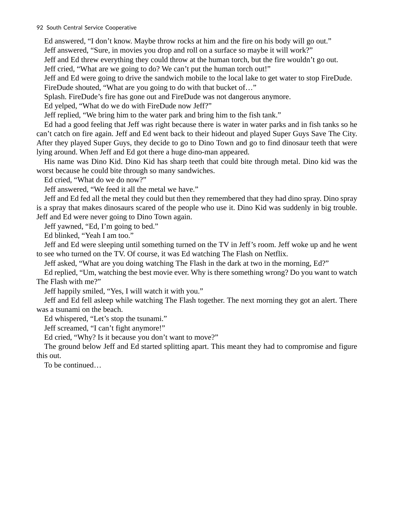#### 92 South Central Service Cooperative

Ed answered, "I don't know. Maybe throw rocks at him and the fire on his body will go out." Jeff answered, "Sure, in movies you drop and roll on a surface so maybe it will work?"

Jeff and Ed threw everything they could throw at the human torch, but the fire wouldn't go out.

Jeff cried, "What are we going to do? We can't put the human torch out!"

Jeff and Ed were going to drive the sandwich mobile to the local lake to get water to stop FireDude. FireDude shouted, "What are you going to do with that bucket of..."

Splash. FireDude's fire has gone out and FireDude was not dangerous anymore.

Ed yelped, "What do we do with FireDude now Jeff?"

Jeff replied, "We bring him to the water park and bring him to the fish tank."

Ed had a good feeling that Jeff was right because there is water in water parks and in fish tanks so he can't catch on fire again. Jeff and Ed went back to their hideout and played Super Guys Save The City. After they played Super Guys, they decide to go to Dino Town and go to find dinosaur teeth that were lying around. When Jeff and Ed got there a huge dino-man appeared.

His name was Dino Kid. Dino Kid has sharp teeth that could bite through metal. Dino kid was the worst because he could bite through so many sandwiches.

Ed cried, "What do we do now?"

Jeff answered, "We feed it all the metal we have."

Jeff and Ed fed all the metal they could but then they remembered that they had dino spray. Dino spray is a spray that makes dinosaurs scared of the people who use it. Dino Kid was suddenly in big trouble. Jeff and Ed were never going to Dino Town again.

Jeff yawned, "Ed, I'm going to bed."

Ed blinked, "Yeah I am too."

Jeff and Ed were sleeping until something turned on the TV in Jeff's room. Jeff woke up and he went to see who turned on the TV. Of course, it was Ed watching The Flash on Netflix.

Jeff asked, "What are you doing watching The Flash in the dark at two in the morning, Ed?"

Ed replied, "Um, watching the best movie ever. Why is there something wrong? Do you want to watch The Flash with me?"

Jeff happily smiled, "Yes, I will watch it with you."

Jeff and Ed fell asleep while watching The Flash together. The next morning they got an alert. There was a tsunami on the beach.

Ed whispered, "Let's stop the tsunami."

Jeff screamed, "I can't fight anymore!"

Ed cried, "Why? Is it because you don't want to move?"

The ground below Jeff and Ed started splitting apart. This meant they had to compromise and figure this out.

To be continued…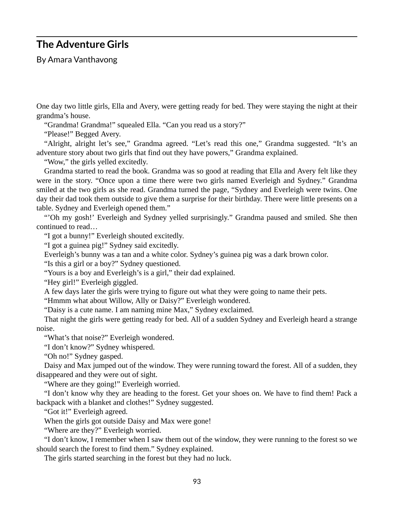#### **The Adventure Girls**

By Amara Vanthavong

One day two little girls, Ella and Avery, were getting ready for bed. They were staying the night at their grandma's house.

"Grandma! Grandma!" squealed Ella. "Can you read us a story?"

"Please!" Begged Avery.

"Alright, alright let's see," Grandma agreed. "Let's read this one," Grandma suggested. "It's an adventure story about two girls that find out they have powers," Grandma explained.

"Wow," the girls yelled excitedly.

Grandma started to read the book. Grandma was so good at reading that Ella and Avery felt like they were in the story. "Once upon a time there were two girls named Everleigh and Sydney." Grandma smiled at the two girls as she read. Grandma turned the page, "Sydney and Everleigh were twins. One day their dad took them outside to give them a surprise for their birthday. There were little presents on a table. Sydney and Everleigh opened them."

"'Oh my gosh!' Everleigh and Sydney yelled surprisingly." Grandma paused and smiled. She then continued to read…

"I got a bunny!" Everleigh shouted excitedly.

"I got a guinea pig!" Sydney said excitedly.

Everleigh's bunny was a tan and a white color. Sydney's guinea pig was a dark brown color.

"Is this a girl or a boy?" Sydney questioned.

"Yours is a boy and Everleigh's is a girl," their dad explained.

"Hey girl!" Everleigh giggled.

A few days later the girls were trying to figure out what they were going to name their pets.

"Hmmm what about Willow, Ally or Daisy?" Everleigh wondered.

"Daisy is a cute name. I am naming mine Max," Sydney exclaimed.

That night the girls were getting ready for bed. All of a sudden Sydney and Everleigh heard a strange noise.

"What's that noise?" Everleigh wondered.

"I don't know?" Sydney whispered.

"Oh no!" Sydney gasped.

Daisy and Max jumped out of the window. They were running toward the forest. All of a sudden, they disappeared and they were out of sight.

"Where are they going!" Everleigh worried.

"I don't know why they are heading to the forest. Get your shoes on. We have to find them! Pack a backpack with a blanket and clothes!" Sydney suggested.

"Got it!" Everleigh agreed.

When the girls got outside Daisy and Max were gone!

"Where are they?" Everleigh worried.

"I don't know, I remember when I saw them out of the window, they were running to the forest so we should search the forest to find them." Sydney explained.

The girls started searching in the forest but they had no luck.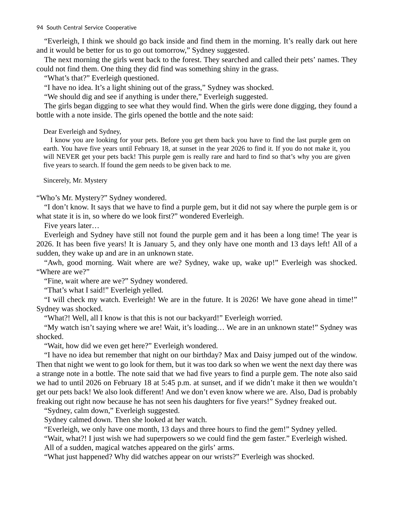"Everleigh, I think we should go back inside and find them in the morning. It's really dark out here and it would be better for us to go out tomorrow," Sydney suggested.

The next morning the girls went back to the forest. They searched and called their pets' names. They could not find them. One thing they did find was something shiny in the grass.

"What's that?" Everleigh questioned.

"I have no idea. It's a light shining out of the grass," Sydney was shocked.

"We should dig and see if anything is under there," Everleigh suggested.

The girls began digging to see what they would find. When the girls were done digging, they found a bottle with a note inside. The girls opened the bottle and the note said:

Dear Everleigh and Sydney,

I know you are looking for your pets. Before you get them back you have to find the last purple gem on earth. You have five years until February 18, at sunset in the year 2026 to find it. If you do not make it, you will NEVER get your pets back! This purple gem is really rare and hard to find so that's why you are given five years to search. If found the gem needs to be given back to me.

Sincerely, Mr. Mystery

"Who's Mr. Mystery?" Sydney wondered.

"I don't know. It says that we have to find a purple gem, but it did not say where the purple gem is or what state it is in, so where do we look first?" wondered Everleigh.

Five years later…

Everleigh and Sydney have still not found the purple gem and it has been a long time! The year is 2026. It has been five years! It is January 5, and they only have one month and 13 days left! All of a sudden, they wake up and are in an unknown state.

"Awh, good morning. Wait where are we? Sydney, wake up, wake up!" Everleigh was shocked. "Where are we?"

"Fine, wait where are we?" Sydney wondered.

"That's what I said!" Everleigh yelled.

"I will check my watch. Everleigh! We are in the future. It is 2026! We have gone ahead in time!" Sydney was shocked.

"What?! Well, all I know is that this is not our backyard!" Everleigh worried.

"My watch isn't saying where we are! Wait, it's loading… We are in an unknown state!" Sydney was shocked.

"Wait, how did we even get here?" Everleigh wondered.

"I have no idea but remember that night on our birthday? Max and Daisy jumped out of the window. Then that night we went to go look for them, but it was too dark so when we went the next day there was a strange note in a bottle. The note said that we had five years to find a purple gem. The note also said we had to until 2026 on February 18 at 5:45 p.m. at sunset, and if we didn't make it then we wouldn't get our pets back! We also look different! And we don't even know where we are. Also, Dad is probably freaking out right now because he has not seen his daughters for five years!" Sydney freaked out.

"Sydney, calm down," Everleigh suggested.

Sydney calmed down. Then she looked at her watch.

"Everleigh, we only have one month, 13 days and three hours to find the gem!" Sydney yelled.

"Wait, what?! I just wish we had superpowers so we could find the gem faster." Everleigh wished. All of a sudden, magical watches appeared on the girls' arms.

"What just happened? Why did watches appear on our wrists?" Everleigh was shocked.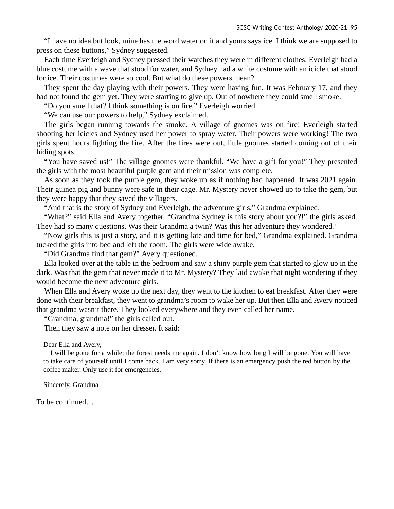"I have no idea but look, mine has the word water on it and yours says ice. I think we are supposed to press on these buttons," Sydney suggested.

Each time Everleigh and Sydney pressed their watches they were in different clothes. Everleigh had a blue costume with a wave that stood for water, and Sydney had a white costume with an icicle that stood for ice. Their costumes were so cool. But what do these powers mean?

They spent the day playing with their powers. They were having fun. It was February 17, and they had not found the gem yet. They were starting to give up. Out of nowhere they could smell smoke.

"Do you smell that? I think something is on fire," Everleigh worried.

"We can use our powers to help," Sydney exclaimed.

The girls began running towards the smoke. A village of gnomes was on fire! Everleigh started shooting her icicles and Sydney used her power to spray water. Their powers were working! The two girls spent hours fighting the fire. After the fires were out, little gnomes started coming out of their hiding spots.

"You have saved us!" The village gnomes were thankful. "We have a gift for you!" They presented the girls with the most beautiful purple gem and their mission was complete.

As soon as they took the purple gem, they woke up as if nothing had happened. It was 2021 again. Their guinea pig and bunny were safe in their cage. Mr. Mystery never showed up to take the gem, but they were happy that they saved the villagers.

"And that is the story of Sydney and Everleigh, the adventure girls," Grandma explained.

"What?" said Ella and Avery together. "Grandma Sydney is this story about you?!" the girls asked. They had so many questions. Was their Grandma a twin? Was this her adventure they wondered?

"Now girls this is just a story, and it is getting late and time for bed," Grandma explained. Grandma tucked the girls into bed and left the room. The girls were wide awake.

"Did Grandma find that gem?" Avery questioned.

Ella looked over at the table in the bedroom and saw a shiny purple gem that started to glow up in the dark. Was that the gem that never made it to Mr. Mystery? They laid awake that night wondering if they would become the next adventure girls.

When Ella and Avery woke up the next day, they went to the kitchen to eat breakfast. After they were done with their breakfast, they went to grandma's room to wake her up. But then Ella and Avery noticed that grandma wasn't there. They looked everywhere and they even called her name.

"Grandma, grandma!" the girls called out.

Then they saw a note on her dresser. It said:

Dear Ella and Avery,

I will be gone for a while; the forest needs me again. I don't know how long I will be gone. You will have to take care of yourself until I come back. I am very sorry. If there is an emergency push the red button by the coffee maker. Only use it for emergencies.

Sincerely, Grandma

To be continued…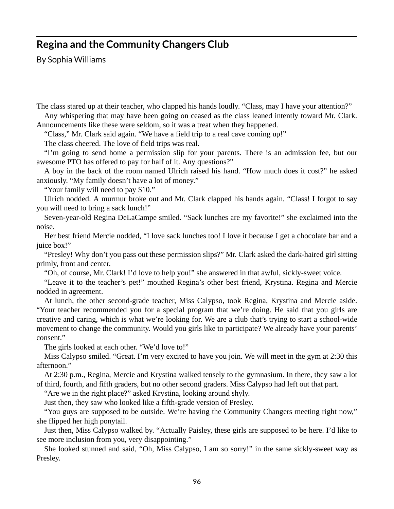#### **Regina and the Community Changers Club**

By Sophia Williams

The class stared up at their teacher, who clapped his hands loudly. "Class, may I have your attention?" Any whispering that may have been going on ceased as the class leaned intently toward Mr. Clark.

Announcements like these were seldom, so it was a treat when they happened.

"Class," Mr. Clark said again. "We have a field trip to a real cave coming up!"

The class cheered. The love of field trips was real.

"I'm going to send home a permission slip for your parents. There is an admission fee, but our awesome PTO has offered to pay for half of it. Any questions?"

A boy in the back of the room named Ulrich raised his hand. "How much does it cost?" he asked anxiously. "My family doesn't have a lot of money."

"Your family will need to pay \$10."

Ulrich nodded. A murmur broke out and Mr. Clark clapped his hands again. "Class! I forgot to say you will need to bring a sack lunch!"

Seven-year-old Regina DeLaCampe smiled. "Sack lunches are my favorite!" she exclaimed into the noise.

Her best friend Mercie nodded, "I love sack lunches too! I love it because I get a chocolate bar and a juice box!"

"Presley! Why don't you pass out these permission slips?" Mr. Clark asked the dark-haired girl sitting primly, front and center.

"Oh, of course, Mr. Clark! I'd love to help you!" she answered in that awful, sickly-sweet voice.

"Leave it to the teacher's pet!" mouthed Regina's other best friend, Krystina. Regina and Mercie nodded in agreement.

At lunch, the other second-grade teacher, Miss Calypso, took Regina, Krystina and Mercie aside. "Your teacher recommended you for a special program that we're doing. He said that you girls are creative and caring, which is what we're looking for. We are a club that's trying to start a school-wide movement to change the community. Would you girls like to participate? We already have your parents' consent."

The girls looked at each other. "We'd love to!"

Miss Calypso smiled. "Great. I'm very excited to have you join. We will meet in the gym at 2:30 this afternoon."

At 2:30 p.m., Regina, Mercie and Krystina walked tensely to the gymnasium. In there, they saw a lot of third, fourth, and fifth graders, but no other second graders. Miss Calypso had left out that part.

"Are we in the right place?" asked Krystina, looking around shyly.

Just then, they saw who looked like a fifth-grade version of Presley.

"You guys are supposed to be outside. We're having the Community Changers meeting right now," she flipped her high ponytail.

Just then, Miss Calypso walked by. "Actually Paisley, these girls are supposed to be here. I'd like to see more inclusion from you, very disappointing."

She looked stunned and said, "Oh, Miss Calypso, I am so sorry!" in the same sickly-sweet way as Presley.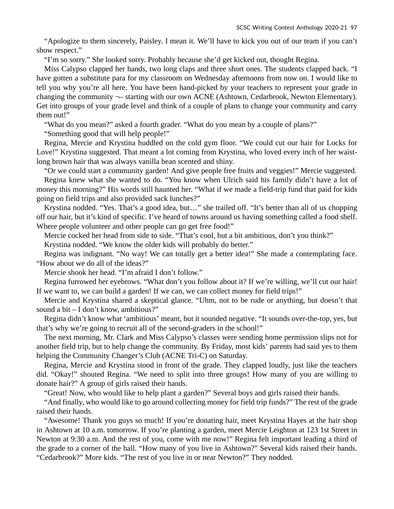"Apologize to them sincerely, Paisley. I mean it. We'll have to kick you out of our team if you can't show respect."

"I'm so sorry." She looked sorry. Probably because she'd get kicked out, thought Regina.

Miss Calypso clapped her hands, two long claps and three short ones. The students clapped back. "I have gotten a substitute para for my classroom on Wednesday afternoons from now on. I would like to tell you why you're all here. You have been hand-picked by your teachers to represent your grade in changing the community ¬– starting with our own ACNE (Ashtown, Cedarbrook, Newton Elementary). Get into groups of your grade level and think of a couple of plans to change your community and carry them out!"

"What do you mean?" asked a fourth grader. "What do you mean by a couple of plans?"

"Something good that will help people!"

Regina, Mercie and Krystina huddled on the cold gym floor. "We could cut our hair for Locks for Love!" Krystina suggested. That meant a lot coming from Krystina, who loved every inch of her waistlong brown hair that was always vanilla bean scented and shiny.

"Or we could start a community garden! And give people free fruits and veggies!" Mercie suggested.

Regina knew what she wanted to do. "You know when Ulrich said his family didn't have a lot of money this morning?" His words still haunted her. "What if we made a field-trip fund that paid for kids going on field trips and also provided sack lunches?"

Krystina nodded. "Yes. That's a good idea, but…" she trailed off. "It's better than all of us chopping off our hair, but it's kind of specific. I've heard of towns around us having something called a food shelf. Where people volunteer and other people can go get free food!"

Mercie cocked her head from side to side. "That's cool, but a bit ambitious, don't you think?" Krystina nodded. "We know the older kids will probably do better."

Regina was indignant. "No way! We can totally get a better idea!" She made a contemplating face. "How about we do all of the ideas?"

Mercie shook her head. "I'm afraid I don't follow."

Regina furrowed her eyebrows. "What don't you follow about it? If we're willing, we'll cut our hair! If we want to, we can build a garden! If we can, we can collect money for field trips!"

Mercie and Krystina shared a skeptical glance. "Uhm, not to be rude or anything, but doesn't that sound a bit – I don't know, ambitious?"

Regina didn't know what 'ambitious' meant, but it sounded negative. "It sounds over-the-top, yes, but that's why we're going to recruit all of the second-graders in the school!"

The next morning, Mr. Clark and Miss Calypso's classes were sending home permission slips not for another field trip, but to help change the community. By Friday, most kids' parents had said yes to them helping the Community Changer's Club (ACNE Tri-C) on Saturday.

Regina, Mercie and Krystina stood in front of the grade. They clapped loudly, just like the teachers did. "Okay!" shouted Regina. "We need to split into three groups! How many of you are willing to donate hair?" A group of girls raised their hands.

"Great! Now, who would like to help plant a garden?" Several boys and girls raised their hands.

"And finally, who would like to go around collecting money for field trip funds?" The rest of the grade raised their hands.

"Awesome! Thank you guys so much! If you're donating hair, meet Krystina Hayes at the hair shop in Ashtown at 10 a.m. tomorrow. If you're planting a garden, meet Mercie Leighton at 123 1st Street in Newton at 9:30 a.m. And the rest of you, come with me now!" Regina felt important leading a third of the grade to a corner of the hall. "How many of you live in Ashtown?" Several kids raised their hands. "Cedarbrook?" More kids. "The rest of you live in or near Newton?" They nodded.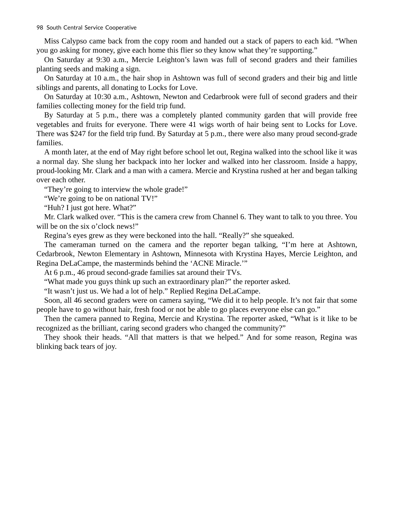Miss Calypso came back from the copy room and handed out a stack of papers to each kid. "When you go asking for money, give each home this flier so they know what they're supporting."

On Saturday at 9:30 a.m., Mercie Leighton's lawn was full of second graders and their families planting seeds and making a sign.

On Saturday at 10 a.m., the hair shop in Ashtown was full of second graders and their big and little siblings and parents, all donating to Locks for Love.

On Saturday at 10:30 a.m., Ashtown, Newton and Cedarbrook were full of second graders and their families collecting money for the field trip fund.

By Saturday at 5 p.m., there was a completely planted community garden that will provide free vegetables and fruits for everyone. There were 41 wigs worth of hair being sent to Locks for Love. There was \$247 for the field trip fund. By Saturday at 5 p.m., there were also many proud second-grade families.

A month later, at the end of May right before school let out, Regina walked into the school like it was a normal day. She slung her backpack into her locker and walked into her classroom. Inside a happy, proud-looking Mr. Clark and a man with a camera. Mercie and Krystina rushed at her and began talking over each other.

"They're going to interview the whole grade!"

"We're going to be on national TV!"

"Huh? I just got here. What?"

Mr. Clark walked over. "This is the camera crew from Channel 6. They want to talk to you three. You will be on the six o'clock news!"

Regina's eyes grew as they were beckoned into the hall. "Really?" she squeaked.

The cameraman turned on the camera and the reporter began talking, "I'm here at Ashtown, Cedarbrook, Newton Elementary in Ashtown, Minnesota with Krystina Hayes, Mercie Leighton, and Regina DeLaCampe, the masterminds behind the 'ACNE Miracle.'"

At 6 p.m., 46 proud second-grade families sat around their TVs.

"What made you guys think up such an extraordinary plan?" the reporter asked.

"It wasn't just us. We had a lot of help." Replied Regina DeLaCampe.

Soon, all 46 second graders were on camera saying, "We did it to help people. It's not fair that some people have to go without hair, fresh food or not be able to go places everyone else can go."

Then the camera panned to Regina, Mercie and Krystina. The reporter asked, "What is it like to be recognized as the brilliant, caring second graders who changed the community?"

They shook their heads. "All that matters is that we helped." And for some reason, Regina was blinking back tears of joy.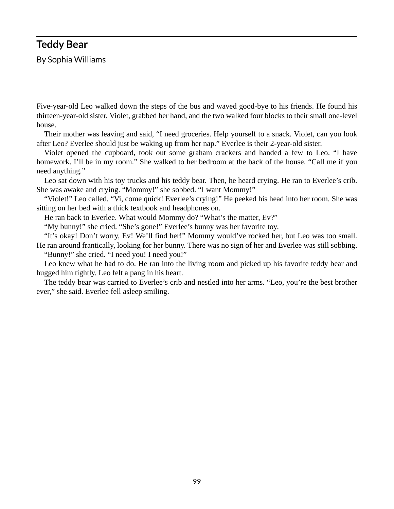#### **Teddy Bear**

By Sophia Williams

Five-year-old Leo walked down the steps of the bus and waved good-bye to his friends. He found his thirteen-year-old sister, Violet, grabbed her hand, and the two walked four blocks to their small one-level house.

Their mother was leaving and said, "I need groceries. Help yourself to a snack. Violet, can you look after Leo? Everlee should just be waking up from her nap." Everlee is their 2-year-old sister.

Violet opened the cupboard, took out some graham crackers and handed a few to Leo. "I have homework. I'll be in my room." She walked to her bedroom at the back of the house. "Call me if you need anything."

Leo sat down with his toy trucks and his teddy bear. Then, he heard crying. He ran to Everlee's crib. She was awake and crying. "Mommy!" she sobbed. "I want Mommy!"

"Violet!" Leo called. "Vi, come quick! Everlee's crying!" He peeked his head into her room. She was sitting on her bed with a thick textbook and headphones on.

He ran back to Everlee. What would Mommy do? "What's the matter, Ev?"

"My bunny!" she cried. "She's gone!" Everlee's bunny was her favorite toy.

"It's okay! Don't worry, Ev! We'll find her!" Mommy would've rocked her, but Leo was too small. He ran around frantically, looking for her bunny. There was no sign of her and Everlee was still sobbing.

"Bunny!" she cried. "I need you! I need you!"

Leo knew what he had to do. He ran into the living room and picked up his favorite teddy bear and hugged him tightly. Leo felt a pang in his heart.

The teddy bear was carried to Everlee's crib and nestled into her arms. "Leo, you're the best brother ever," she said. Everlee fell asleep smiling.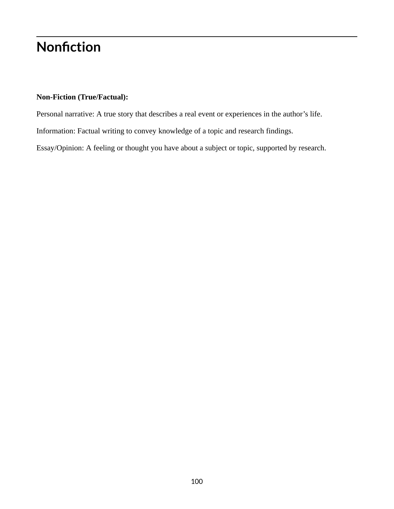# **Nonfiction**

#### **Non-Fiction (True/Factual):**

Personal narrative: A true story that describes a real event or experiences in the author's life. Information: Factual writing to convey knowledge of a topic and research findings. Essay/Opinion: A feeling or thought you have about a subject or topic, supported by research.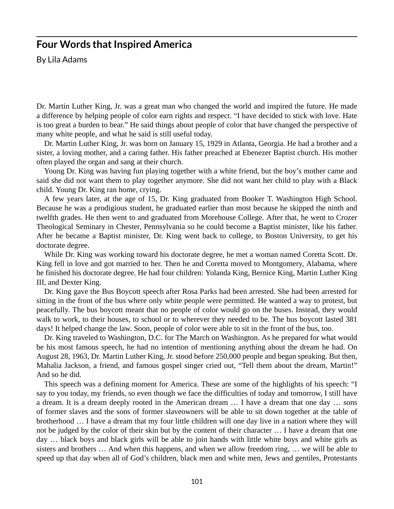### **Four Words that Inspired America**

By Lila Adams

Dr. Martin Luther King, Jr. was a great man who changed the world and inspired the future. He made a difference by helping people of color earn rights and respect. "I have decided to stick with love. Hate is too great a burden to bear." He said things about people of color that have changed the perspective of many white people, and what he said is still useful today.

Dr. Martin Luther King, Jr. was born on January 15, 1929 in Atlanta, Georgia. He had a brother and a sister, a loving mother, and a caring father. His father preached at Ebenezer Baptist church. His mother often played the organ and sang at their church.

Young Dr. King was having fun playing together with a white friend, but the boy's mother came and said she did not want them to play together anymore. She did not want her child to play with a Black child. Young Dr. King ran home, crying.

A few years later, at the age of 15, Dr. King graduated from Booker T. Washington High School. Because he was a prodigious student, he graduated earlier than most because he skipped the ninth and twelfth grades. He then went to and graduated from Morehouse College. After that, he went to Crozer Theological Seminary in Chester, Pennsylvania so he could become a Baptist minister, like his father. After he became a Baptist minister, Dr. King went back to college, to Boston University, to get his doctorate degree.

While Dr. King was working toward his doctorate degree, he met a woman named Coretta Scott. Dr. King fell in love and got married to her. Then he and Coretta moved to Montgomery, Alabama, where he finished his doctorate degree. He had four children: Yolanda King, Bernice King, Martin Luther King III, and Dexter King.

Dr. King gave the Bus Boycott speech after Rosa Parks had been arrested. She had been arrested for sitting in the front of the bus where only white people were permitted. He wanted a way to protest, but peacefully. The bus boycott meant that no people of color would go on the buses. Instead, they would walk to work, to their houses, to school or to wherever they needed to be. The bus boycott lasted 381 days! It helped change the law. Soon, people of color were able to sit in the front of the bus, too.

Dr. King traveled to Washington, D.C. for The March on Washington. As he prepared for what would be his most famous speech, he had no intention of mentioning anything about the dream he had. On August 28, 1963, Dr. Martin Luther King, Jr. stood before 250,000 people and began speaking. But then, Mahalia Jackson, a friend, and famous gospel singer cried out, "Tell them about the dream, Martin!" And so he did.

This speech was a defining moment for America. These are some of the highlights of his speech: "I say to you today, my friends, so even though we face the difficulties of today and tomorrow, I still have a dream. It is a dream deeply rooted in the American dream … I have a dream that one day … sons of former slaves and the sons of former slaveowners will be able to sit down together at the table of brotherhood … I have a dream that my four little children will one day live in a nation where they will not be judged by the color of their skin but by the content of their character … I have a dream that one day … black boys and black girls will be able to join hands with little white boys and white girls as sisters and brothers … And when this happens, and when we allow freedom ring, … we will be able to speed up that day when all of God's children, black men and white men, Jews and gentiles, Protestants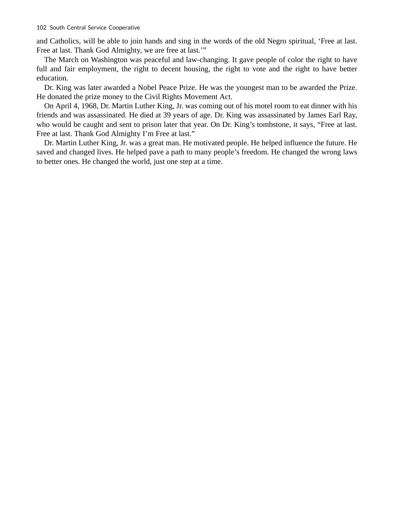and Catholics, will be able to join hands and sing in the words of the old Negro spiritual, 'Free at last. Free at last. Thank God Almighty, we are free at last.'"

The March on Washington was peaceful and law-changing. It gave people of color the right to have full and fair employment, the right to decent housing, the right to vote and the right to have better education.

Dr. King was later awarded a Nobel Peace Prize. He was the youngest man to be awarded the Prize. He donated the prize money to the Civil Rights Movement Act.

On April 4, 1968, Dr. Martin Luther King, Jr. was coming out of his motel room to eat dinner with his friends and was assassinated. He died at 39 years of age. Dr. King was assassinated by James Earl Ray, who would be caught and sent to prison later that year. On Dr. King's tombstone, it says, "Free at last. Free at last. Thank God Almighty I'm Free at last."

Dr. Martin Luther King, Jr. was a great man. He motivated people. He helped influence the future. He saved and changed lives. He helped pave a path to many people's freedom. He changed the wrong laws to better ones. He changed the world, just one step at a time.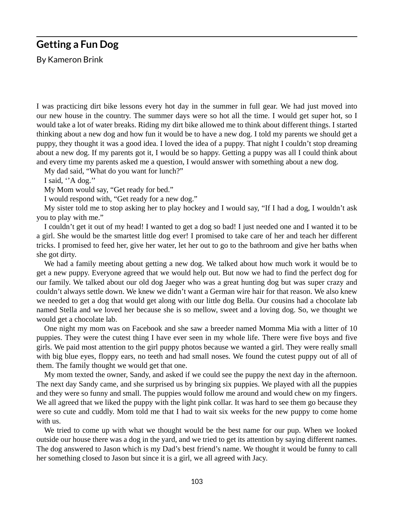### **Getting a Fun Dog**

By Kameron Brink

I was practicing dirt bike lessons every hot day in the summer in full gear. We had just moved into our new house in the country. The summer days were so hot all the time. I would get super hot, so I would take a lot of water breaks. Riding my dirt bike allowed me to think about different things. I started thinking about a new dog and how fun it would be to have a new dog. I told my parents we should get a puppy, they thought it was a good idea. I loved the idea of a puppy. That night I couldn't stop dreaming about a new dog. If my parents got it, I would be so happy. Getting a puppy was all I could think about and every time my parents asked me a question, I would answer with something about a new dog.

My dad said, "What do you want for lunch?"

I said, ''A dog.''

My Mom would say, "Get ready for bed."

I would respond with, "Get ready for a new dog."

My sister told me to stop asking her to play hockey and I would say, "If I had a dog, I wouldn't ask you to play with me."

I couldn't get it out of my head! I wanted to get a dog so bad! I just needed one and I wanted it to be a girl. She would be the smartest little dog ever! I promised to take care of her and teach her different tricks. I promised to feed her, give her water, let her out to go to the bathroom and give her baths when she got dirty.

We had a family meeting about getting a new dog. We talked about how much work it would be to get a new puppy. Everyone agreed that we would help out. But now we had to find the perfect dog for our family. We talked about our old dog Jaeger who was a great hunting dog but was super crazy and couldn't always settle down. We knew we didn't want a German wire hair for that reason. We also knew we needed to get a dog that would get along with our little dog Bella. Our cousins had a chocolate lab named Stella and we loved her because she is so mellow, sweet and a loving dog. So, we thought we would get a chocolate lab.

One night my mom was on Facebook and she saw a breeder named Momma Mia with a litter of 10 puppies. They were the cutest thing I have ever seen in my whole life. There were five boys and five girls. We paid most attention to the girl puppy photos because we wanted a girl. They were really small with big blue eyes, floppy ears, no teeth and had small noses. We found the cutest puppy out of all of them. The family thought we would get that one.

My mom texted the owner, Sandy, and asked if we could see the puppy the next day in the afternoon. The next day Sandy came, and she surprised us by bringing six puppies. We played with all the puppies and they were so funny and small. The puppies would follow me around and would chew on my fingers. We all agreed that we liked the puppy with the light pink collar. It was hard to see them go because they were so cute and cuddly. Mom told me that I had to wait six weeks for the new puppy to come home with us.

We tried to come up with what we thought would be the best name for our pup. When we looked outside our house there was a dog in the yard, and we tried to get its attention by saying different names. The dog answered to Jason which is my Dad's best friend's name. We thought it would be funny to call her something closed to Jason but since it is a girl, we all agreed with Jacy.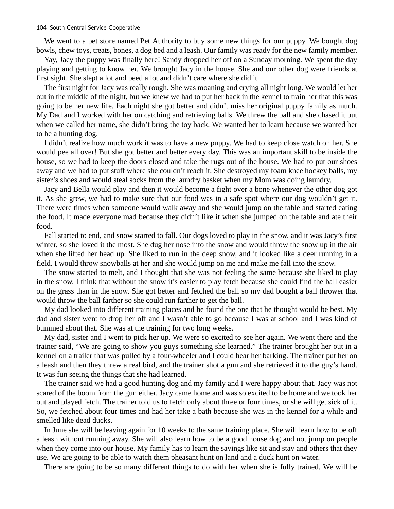We went to a pet store named Pet Authority to buy some new things for our puppy. We bought dog bowls, chew toys, treats, bones, a dog bed and a leash. Our family was ready for the new family member.

Yay, Jacy the puppy was finally here! Sandy dropped her off on a Sunday morning. We spent the day playing and getting to know her. We brought Jacy in the house. She and our other dog were friends at first sight. She slept a lot and peed a lot and didn't care where she did it.

The first night for Jacy was really rough. She was moaning and crying all night long. We would let her out in the middle of the night, but we knew we had to put her back in the kennel to train her that this was going to be her new life. Each night she got better and didn't miss her original puppy family as much. My Dad and I worked with her on catching and retrieving balls. We threw the ball and she chased it but when we called her name, she didn't bring the toy back. We wanted her to learn because we wanted her to be a hunting dog.

I didn't realize how much work it was to have a new puppy. We had to keep close watch on her. She would pee all over! But she got better and better every day. This was an important skill to be inside the house, so we had to keep the doors closed and take the rugs out of the house. We had to put our shoes away and we had to put stuff where she couldn't reach it. She destroyed my foam knee hockey balls, my sister's shoes and would steal socks from the laundry basket when my Mom was doing laundry.

Jacy and Bella would play and then it would become a fight over a bone whenever the other dog got it. As she grew, we had to make sure that our food was in a safe spot where our dog wouldn't get it. There were times when someone would walk away and she would jump on the table and started eating the food. It made everyone mad because they didn't like it when she jumped on the table and ate their food.

Fall started to end, and snow started to fall. Our dogs loved to play in the snow, and it was Jacy's first winter, so she loved it the most. She dug her nose into the snow and would throw the snow up in the air when she lifted her head up. She liked to run in the deep snow, and it looked like a deer running in a field. I would throw snowballs at her and she would jump on me and make me fall into the snow.

The snow started to melt, and I thought that she was not feeling the same because she liked to play in the snow. I think that without the snow it's easier to play fetch because she could find the ball easier on the grass than in the snow. She got better and fetched the ball so my dad bought a ball thrower that would throw the ball farther so she could run farther to get the ball.

My dad looked into different training places and he found the one that he thought would be best. My dad and sister went to drop her off and I wasn't able to go because I was at school and I was kind of bummed about that. She was at the training for two long weeks.

My dad, sister and I went to pick her up. We were so excited to see her again. We went there and the trainer said, "We are going to show you guys something she learned." The trainer brought her out in a kennel on a trailer that was pulled by a four-wheeler and I could hear her barking. The trainer put her on a leash and then they threw a real bird, and the trainer shot a gun and she retrieved it to the guy's hand. It was fun seeing the things that she had learned.

The trainer said we had a good hunting dog and my family and I were happy about that. Jacy was not scared of the boom from the gun either. Jacy came home and was so excited to be home and we took her out and played fetch. The trainer told us to fetch only about three or four times, or she will get sick of it. So, we fetched about four times and had her take a bath because she was in the kennel for a while and smelled like dead ducks.

In June she will be leaving again for 10 weeks to the same training place. She will learn how to be off a leash without running away. She will also learn how to be a good house dog and not jump on people when they come into our house. My family has to learn the sayings like sit and stay and others that they use. We are going to be able to watch them pheasant hunt on land and a duck hunt on water.

There are going to be so many different things to do with her when she is fully trained. We will be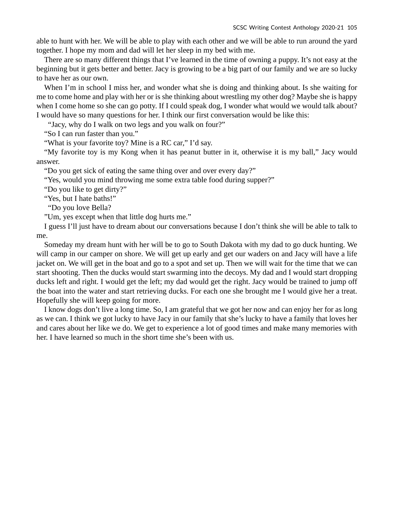able to hunt with her. We will be able to play with each other and we will be able to run around the yard together. I hope my mom and dad will let her sleep in my bed with me.

There are so many different things that I've learned in the time of owning a puppy. It's not easy at the beginning but it gets better and better. Jacy is growing to be a big part of our family and we are so lucky to have her as our own.

When I'm in school I miss her, and wonder what she is doing and thinking about. Is she waiting for me to come home and play with her or is she thinking about wrestling my other dog? Maybe she is happy when I come home so she can go potty. If I could speak dog, I wonder what would we would talk about? I would have so many questions for her. I think our first conversation would be like this:

"Jacy, why do I walk on two legs and you walk on four?"

"So I can run faster than you."

"What is your favorite toy? Mine is a RC car," I'd say.

"My favorite toy is my Kong when it has peanut butter in it, otherwise it is my ball," Jacy would answer.

"Do you get sick of eating the same thing over and over every day?"

"Yes, would you mind throwing me some extra table food during supper?"

"Do you like to get dirty?"

"Yes, but I hate baths!"

"Do you love Bella?

"Um, yes except when that little dog hurts me."

I guess I'll just have to dream about our conversations because I don't think she will be able to talk to me.

Someday my dream hunt with her will be to go to South Dakota with my dad to go duck hunting. We will camp in our camper on shore. We will get up early and get our waders on and Jacy will have a life jacket on. We will get in the boat and go to a spot and set up. Then we will wait for the time that we can start shooting. Then the ducks would start swarming into the decoys. My dad and I would start dropping ducks left and right. I would get the left; my dad would get the right. Jacy would be trained to jump off the boat into the water and start retrieving ducks. For each one she brought me I would give her a treat. Hopefully she will keep going for more.

I know dogs don't live a long time. So, I am grateful that we got her now and can enjoy her for as long as we can. I think we got lucky to have Jacy in our family that she's lucky to have a family that loves her and cares about her like we do. We get to experience a lot of good times and make many memories with her. I have learned so much in the short time she's been with us.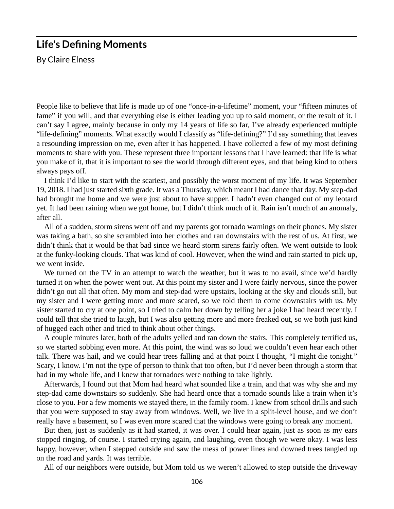#### **Life's Defining Moments**

By Claire Elness

People like to believe that life is made up of one "once-in-a-lifetime" moment, your "fifteen minutes of fame" if you will, and that everything else is either leading you up to said moment, or the result of it. I can't say I agree, mainly because in only my 14 years of life so far, I've already experienced multiple "life-defining" moments. What exactly would I classify as "life-defining?" I'd say something that leaves a resounding impression on me, even after it has happened. I have collected a few of my most defining moments to share with you. These represent three important lessons that I have learned: that life is what you make of it, that it is important to see the world through different eyes, and that being kind to others always pays off.

I think I'd like to start with the scariest, and possibly the worst moment of my life. It was September 19, 2018. I had just started sixth grade. It was a Thursday, which meant I had dance that day. My step-dad had brought me home and we were just about to have supper. I hadn't even changed out of my leotard yet. It had been raining when we got home, but I didn't think much of it. Rain isn't much of an anomaly, after all.

All of a sudden, storm sirens went off and my parents got tornado warnings on their phones. My sister was taking a bath, so she scrambled into her clothes and ran downstairs with the rest of us. At first, we didn't think that it would be that bad since we heard storm sirens fairly often. We went outside to look at the funky-looking clouds. That was kind of cool. However, when the wind and rain started to pick up, we went inside.

We turned on the TV in an attempt to watch the weather, but it was to no avail, since we'd hardly turned it on when the power went out. At this point my sister and I were fairly nervous, since the power didn't go out all that often. My mom and step-dad were upstairs, looking at the sky and clouds still, but my sister and I were getting more and more scared, so we told them to come downstairs with us. My sister started to cry at one point, so I tried to calm her down by telling her a joke I had heard recently. I could tell that she tried to laugh, but I was also getting more and more freaked out, so we both just kind of hugged each other and tried to think about other things.

A couple minutes later, both of the adults yelled and ran down the stairs. This completely terrified us, so we started sobbing even more. At this point, the wind was so loud we couldn't even hear each other talk. There was hail, and we could hear trees falling and at that point I thought, "I might die tonight." Scary, I know. I'm not the type of person to think that too often, but I'd never been through a storm that bad in my whole life, and I knew that tornadoes were nothing to take lightly.

Afterwards, I found out that Mom had heard what sounded like a train, and that was why she and my step-dad came downstairs so suddenly. She had heard once that a tornado sounds like a train when it's close to you. For a few moments we stayed there, in the family room. I knew from school drills and such that you were supposed to stay away from windows. Well, we live in a split-level house, and we don't really have a basement, so I was even more scared that the windows were going to break any moment.

But then, just as suddenly as it had started, it was over. I could hear again, just as soon as my ears stopped ringing, of course. I started crying again, and laughing, even though we were okay. I was less happy, however, when I stepped outside and saw the mess of power lines and downed trees tangled up on the road and yards. It was terrible.

All of our neighbors were outside, but Mom told us we weren't allowed to step outside the driveway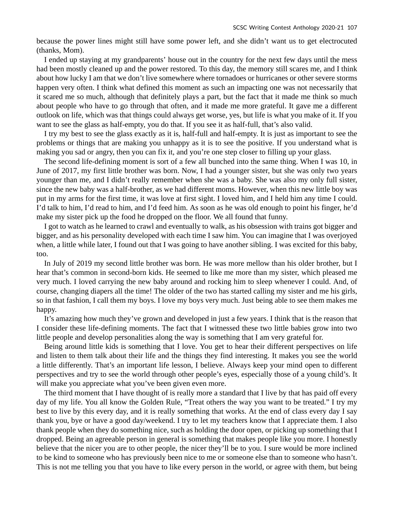because the power lines might still have some power left, and she didn't want us to get electrocuted (thanks, Mom).

I ended up staying at my grandparents' house out in the country for the next few days until the mess had been mostly cleaned up and the power restored. To this day, the memory still scares me, and I think about how lucky I am that we don't live somewhere where tornadoes or hurricanes or other severe storms happen very often. I think what defined this moment as such an impacting one was not necessarily that it scared me so much, although that definitely plays a part, but the fact that it made me think so much about people who have to go through that often, and it made me more grateful. It gave me a different outlook on life, which was that things could always get worse, yes, but life is what you make of it. If you want to see the glass as half-empty, you do that. If you see it as half-full, that's also valid.

I try my best to see the glass exactly as it is, half-full and half-empty. It is just as important to see the problems or things that are making you unhappy as it is to see the positive. If you understand what is making you sad or angry, then you can fix it, and you're one step closer to filling up your glass.

The second life-defining moment is sort of a few all bunched into the same thing. When I was 10, in June of 2017, my first little brother was born. Now, I had a younger sister, but she was only two years younger than me, and I didn't really remember when she was a baby. She was also my only full sister, since the new baby was a half-brother, as we had different moms. However, when this new little boy was put in my arms for the first time, it was love at first sight. I loved him, and I held him any time I could. I'd talk to him, I'd read to him, and I'd feed him. As soon as he was old enough to point his finger, he'd make my sister pick up the food he dropped on the floor. We all found that funny.

I got to watch as he learned to crawl and eventually to walk, as his obsession with trains got bigger and bigger, and as his personality developed with each time I saw him. You can imagine that I was overjoyed when, a little while later, I found out that I was going to have another sibling. I was excited for this baby, too.

In July of 2019 my second little brother was born. He was more mellow than his older brother, but I hear that's common in second-born kids. He seemed to like me more than my sister, which pleased me very much. I loved carrying the new baby around and rocking him to sleep whenever I could. And, of course, changing diapers all the time! The older of the two has started calling my sister and me his girls, so in that fashion, I call them my boys. I love my boys very much. Just being able to see them makes me happy.

It's amazing how much they've grown and developed in just a few years. I think that is the reason that I consider these life-defining moments. The fact that I witnessed these two little babies grow into two little people and develop personalities along the way is something that I am very grateful for.

Being around little kids is something that I love. You get to hear their different perspectives on life and listen to them talk about their life and the things they find interesting. It makes you see the world a little differently. That's an important life lesson, I believe. Always keep your mind open to different perspectives and try to see the world through other people's eyes, especially those of a young child's. It will make you appreciate what you've been given even more.

The third moment that I have thought of is really more a standard that I live by that has paid off every day of my life. You all know the Golden Rule, "Treat others the way you want to be treated." I try my best to live by this every day, and it is really something that works. At the end of class every day I say thank you, bye or have a good day/weekend. I try to let my teachers know that I appreciate them. I also thank people when they do something nice, such as holding the door open, or picking up something that I dropped. Being an agreeable person in general is something that makes people like you more. I honestly believe that the nicer you are to other people, the nicer they'll be to you. I sure would be more inclined to be kind to someone who has previously been nice to me or someone else than to someone who hasn't. This is not me telling you that you have to like every person in the world, or agree with them, but being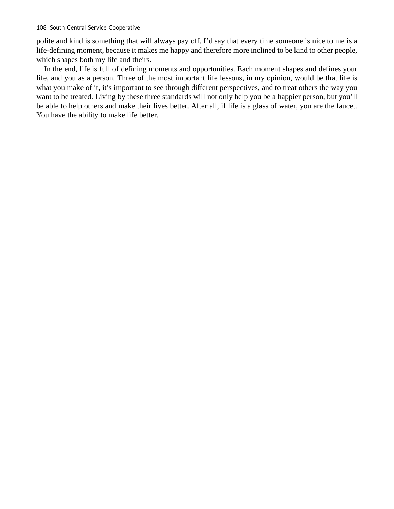polite and kind is something that will always pay off. I'd say that every time someone is nice to me is a life-defining moment, because it makes me happy and therefore more inclined to be kind to other people, which shapes both my life and theirs.

In the end, life is full of defining moments and opportunities. Each moment shapes and defines your life, and you as a person. Three of the most important life lessons, in my opinion, would be that life is what you make of it, it's important to see through different perspectives, and to treat others the way you want to be treated. Living by these three standards will not only help you be a happier person, but you'll be able to help others and make their lives better. After all, if life is a glass of water, you are the faucet. You have the ability to make life better.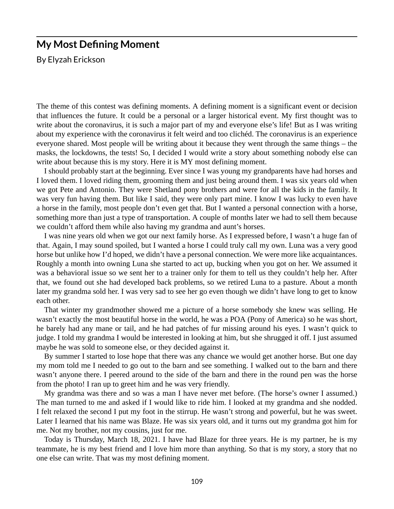### **My Most Defining Moment**

By Elyzah Erickson

The theme of this contest was defining moments. A defining moment is a significant event or decision that influences the future. It could be a personal or a larger historical event. My first thought was to write about the coronavirus, it is such a major part of my and everyone else's life! But as I was writing about my experience with the coronavirus it felt weird and too clichéd. The coronavirus is an experience everyone shared. Most people will be writing about it because they went through the same things – the masks, the lockdowns, the tests! So, I decided I would write a story about something nobody else can write about because this is my story. Here it is MY most defining moment.

I should probably start at the beginning. Ever since I was young my grandparents have had horses and I loved them. I loved riding them, grooming them and just being around them. I was six years old when we got Pete and Antonio. They were Shetland pony brothers and were for all the kids in the family. It was very fun having them. But like I said, they were only part mine. I know I was lucky to even have a horse in the family, most people don't even get that. But I wanted a personal connection with a horse, something more than just a type of transportation. A couple of months later we had to sell them because we couldn't afford them while also having my grandma and aunt's horses.

I was nine years old when we got our next family horse. As I expressed before, I wasn't a huge fan of that. Again, I may sound spoiled, but I wanted a horse I could truly call my own. Luna was a very good horse but unlike how I'd hoped, we didn't have a personal connection. We were more like acquaintances. Roughly a month into owning Luna she started to act up, bucking when you got on her. We assumed it was a behavioral issue so we sent her to a trainer only for them to tell us they couldn't help her. After that, we found out she had developed back problems, so we retired Luna to a pasture. About a month later my grandma sold her. I was very sad to see her go even though we didn't have long to get to know each other.

That winter my grandmother showed me a picture of a horse somebody she knew was selling. He wasn't exactly the most beautiful horse in the world, he was a POA (Pony of America) so he was short, he barely had any mane or tail, and he had patches of fur missing around his eyes. I wasn't quick to judge. I told my grandma I would be interested in looking at him, but she shrugged it off. I just assumed maybe he was sold to someone else, or they decided against it.

By summer I started to lose hope that there was any chance we would get another horse. But one day my mom told me I needed to go out to the barn and see something. I walked out to the barn and there wasn't anyone there. I peered around to the side of the barn and there in the round pen was the horse from the photo! I ran up to greet him and he was very friendly.

My grandma was there and so was a man I have never met before. (The horse's owner I assumed.) The man turned to me and asked if I would like to ride him. I looked at my grandma and she nodded. I felt relaxed the second I put my foot in the stirrup. He wasn't strong and powerful, but he was sweet. Later I learned that his name was Blaze. He was six years old, and it turns out my grandma got him for me. Not my brother, not my cousins, just for me.

Today is Thursday, March 18, 2021. I have had Blaze for three years. He is my partner, he is my teammate, he is my best friend and I love him more than anything. So that is my story, a story that no one else can write. That was my most defining moment.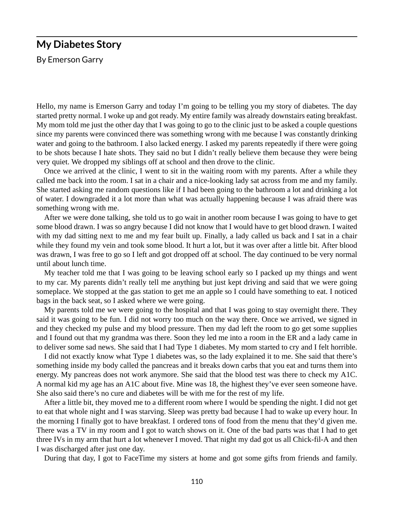#### **My Diabetes Story**

By Emerson Garry

Hello, my name is Emerson Garry and today I'm going to be telling you my story of diabetes. The day started pretty normal. I woke up and got ready. My entire family was already downstairs eating breakfast. My mom told me just the other day that I was going to go to the clinic just to be asked a couple questions since my parents were convinced there was something wrong with me because I was constantly drinking water and going to the bathroom. I also lacked energy. I asked my parents repeatedly if there were going to be shots because I hate shots. They said no but I didn't really believe them because they were being very quiet. We dropped my siblings off at school and then drove to the clinic.

Once we arrived at the clinic, I went to sit in the waiting room with my parents. After a while they called me back into the room. I sat in a chair and a nice-looking lady sat across from me and my family. She started asking me random questions like if I had been going to the bathroom a lot and drinking a lot of water. I downgraded it a lot more than what was actually happening because I was afraid there was something wrong with me.

After we were done talking, she told us to go wait in another room because I was going to have to get some blood drawn. I was so angry because I did not know that I would have to get blood drawn. I waited with my dad sitting next to me and my fear built up. Finally, a lady called us back and I sat in a chair while they found my vein and took some blood. It hurt a lot, but it was over after a little bit. After blood was drawn, I was free to go so I left and got dropped off at school. The day continued to be very normal until about lunch time.

My teacher told me that I was going to be leaving school early so I packed up my things and went to my car. My parents didn't really tell me anything but just kept driving and said that we were going someplace. We stopped at the gas station to get me an apple so I could have something to eat. I noticed bags in the back seat, so I asked where we were going.

My parents told me we were going to the hospital and that I was going to stay overnight there. They said it was going to be fun. I did not worry too much on the way there. Once we arrived, we signed in and they checked my pulse and my blood pressure. Then my dad left the room to go get some supplies and I found out that my grandma was there. Soon they led me into a room in the ER and a lady came in to deliver some sad news. She said that I had Type 1 diabetes. My mom started to cry and I felt horrible.

I did not exactly know what Type 1 diabetes was, so the lady explained it to me. She said that there's something inside my body called the pancreas and it breaks down carbs that you eat and turns them into energy. My pancreas does not work anymore. She said that the blood test was there to check my A1C. A normal kid my age has an A1C about five. Mine was 18, the highest they've ever seen someone have. She also said there's no cure and diabetes will be with me for the rest of my life.

After a little bit, they moved me to a different room where I would be spending the night. I did not get to eat that whole night and I was starving. Sleep was pretty bad because I had to wake up every hour. In the morning I finally got to have breakfast. I ordered tons of food from the menu that they'd given me. There was a TV in my room and I got to watch shows on it. One of the bad parts was that I had to get three IVs in my arm that hurt a lot whenever I moved. That night my dad got us all Chick-fil-A and then I was discharged after just one day.

During that day, I got to FaceTime my sisters at home and got some gifts from friends and family.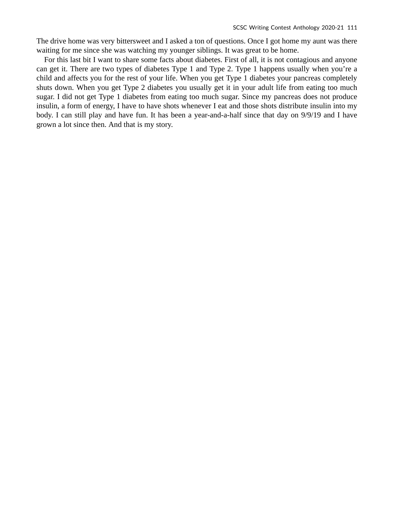The drive home was very bittersweet and I asked a ton of questions. Once I got home my aunt was there waiting for me since she was watching my younger siblings. It was great to be home.

For this last bit I want to share some facts about diabetes. First of all, it is not contagious and anyone can get it. There are two types of diabetes Type 1 and Type 2. Type 1 happens usually when you're a child and affects you for the rest of your life. When you get Type 1 diabetes your pancreas completely shuts down. When you get Type 2 diabetes you usually get it in your adult life from eating too much sugar. I did not get Type 1 diabetes from eating too much sugar. Since my pancreas does not produce insulin, a form of energy, I have to have shots whenever I eat and those shots distribute insulin into my body. I can still play and have fun. It has been a year-and-a-half since that day on 9/9/19 and I have grown a lot since then. And that is my story.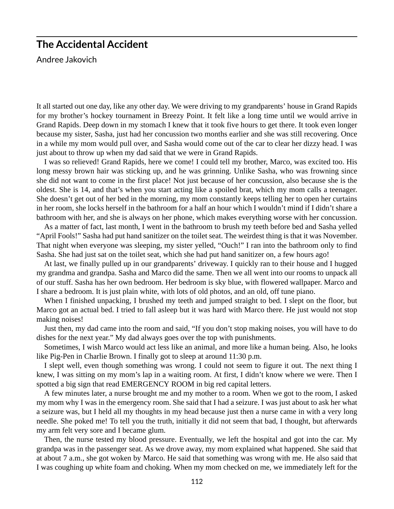## **The Accidental Accident**

Andree Jakovich

It all started out one day, like any other day. We were driving to my grandparents' house in Grand Rapids for my brother's hockey tournament in Breezy Point. It felt like a long time until we would arrive in Grand Rapids. Deep down in my stomach I knew that it took five hours to get there. It took even longer because my sister, Sasha, just had her concussion two months earlier and she was still recovering. Once in a while my mom would pull over, and Sasha would come out of the car to clear her dizzy head. I was just about to throw up when my dad said that we were in Grand Rapids.

I was so relieved! Grand Rapids, here we come! I could tell my brother, Marco, was excited too. His long messy brown hair was sticking up, and he was grinning. Unlike Sasha, who was frowning since she did not want to come in the first place! Not just because of her concussion, also because she is the oldest. She is 14, and that's when you start acting like a spoiled brat, which my mom calls a teenager. She doesn't get out of her bed in the morning, my mom constantly keeps telling her to open her curtains in her room, she locks herself in the bathroom for a half an hour which I wouldn't mind if I didn't share a bathroom with her, and she is always on her phone, which makes everything worse with her concussion.

As a matter of fact, last month, I went in the bathroom to brush my teeth before bed and Sasha yelled "April Fools!" Sasha had put hand sanitizer on the toilet seat. The weirdest thing is that it was November. That night when everyone was sleeping, my sister yelled, "Ouch!" I ran into the bathroom only to find Sasha. She had just sat on the toilet seat, which she had put hand sanitizer on, a few hours ago!

At last, we finally pulled up in our grandparents' driveway. I quickly ran to their house and I hugged my grandma and grandpa. Sasha and Marco did the same. Then we all went into our rooms to unpack all of our stuff. Sasha has her own bedroom. Her bedroom is sky blue, with flowered wallpaper. Marco and I share a bedroom. It is just plain white, with lots of old photos, and an old, off tune piano.

When I finished unpacking, I brushed my teeth and jumped straight to bed. I slept on the floor, but Marco got an actual bed. I tried to fall asleep but it was hard with Marco there. He just would not stop making noises!

Just then, my dad came into the room and said, "If you don't stop making noises, you will have to do dishes for the next year." My dad always goes over the top with punishments.

Sometimes, I wish Marco would act less like an animal, and more like a human being. Also, he looks like Pig-Pen in Charlie Brown. I finally got to sleep at around 11:30 p.m.

I slept well, even though something was wrong. I could not seem to figure it out. The next thing I knew, I was sitting on my mom's lap in a waiting room. At first, I didn't know where we were. Then I spotted a big sign that read EMERGENCY ROOM in big red capital letters.

A few minutes later, a nurse brought me and my mother to a room. When we got to the room, I asked my mom why I was in the emergency room. She said that I had a seizure. I was just about to ask her what a seizure was, but I held all my thoughts in my head because just then a nurse came in with a very long needle. She poked me! To tell you the truth, initially it did not seem that bad, I thought, but afterwards my arm felt very sore and I became glum.

Then, the nurse tested my blood pressure. Eventually, we left the hospital and got into the car. My grandpa was in the passenger seat. As we drove away, my mom explained what happened. She said that at about 7 a.m., she got woken by Marco. He said that something was wrong with me. He also said that I was coughing up white foam and choking. When my mom checked on me, we immediately left for the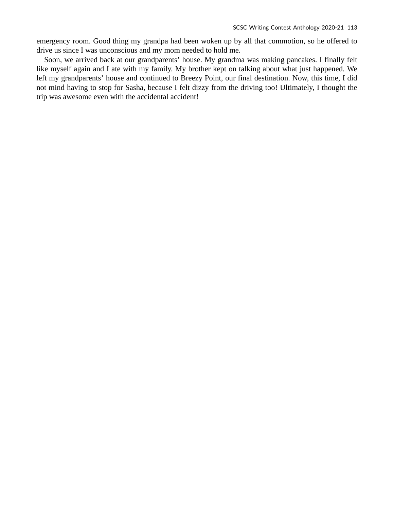emergency room. Good thing my grandpa had been woken up by all that commotion, so he offered to drive us since I was unconscious and my mom needed to hold me.

Soon, we arrived back at our grandparents' house. My grandma was making pancakes. I finally felt like myself again and I ate with my family. My brother kept on talking about what just happened. We left my grandparents' house and continued to Breezy Point, our final destination. Now, this time, I did not mind having to stop for Sasha, because I felt dizzy from the driving too! Ultimately, I thought the trip was awesome even with the accidental accident!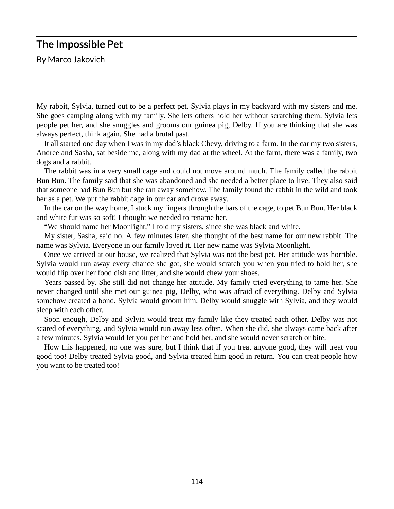## **The Impossible Pet**

By Marco Jakovich

My rabbit, Sylvia, turned out to be a perfect pet. Sylvia plays in my backyard with my sisters and me. She goes camping along with my family. She lets others hold her without scratching them. Sylvia lets people pet her, and she snuggles and grooms our guinea pig, Delby. If you are thinking that she was always perfect, think again. She had a brutal past.

It all started one day when I was in my dad's black Chevy, driving to a farm. In the car my two sisters, Andree and Sasha, sat beside me, along with my dad at the wheel. At the farm, there was a family, two dogs and a rabbit.

The rabbit was in a very small cage and could not move around much. The family called the rabbit Bun Bun. The family said that she was abandoned and she needed a better place to live. They also said that someone had Bun Bun but she ran away somehow. The family found the rabbit in the wild and took her as a pet. We put the rabbit cage in our car and drove away.

In the car on the way home, I stuck my fingers through the bars of the cage, to pet Bun Bun. Her black and white fur was so soft! I thought we needed to rename her.

"We should name her Moonlight," I told my sisters, since she was black and white.

My sister, Sasha, said no. A few minutes later, she thought of the best name for our new rabbit. The name was Sylvia. Everyone in our family loved it. Her new name was Sylvia Moonlight.

Once we arrived at our house, we realized that Sylvia was not the best pet. Her attitude was horrible. Sylvia would run away every chance she got, she would scratch you when you tried to hold her, she would flip over her food dish and litter, and she would chew your shoes.

Years passed by. She still did not change her attitude. My family tried everything to tame her. She never changed until she met our guinea pig, Delby, who was afraid of everything. Delby and Sylvia somehow created a bond. Sylvia would groom him, Delby would snuggle with Sylvia, and they would sleep with each other.

Soon enough, Delby and Sylvia would treat my family like they treated each other. Delby was not scared of everything, and Sylvia would run away less often. When she did, she always came back after a few minutes. Sylvia would let you pet her and hold her, and she would never scratch or bite.

How this happened, no one was sure, but I think that if you treat anyone good, they will treat you good too! Delby treated Sylvia good, and Sylvia treated him good in return. You can treat people how you want to be treated too!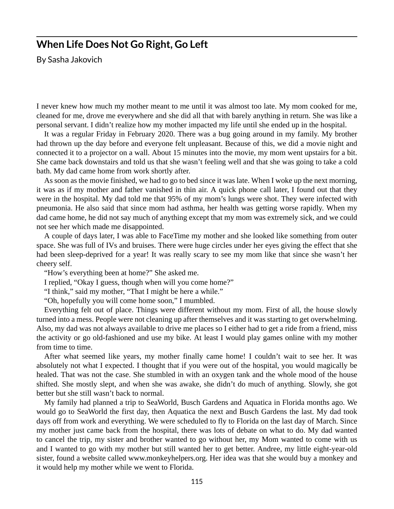#### **When Life Does Not Go Right, Go Left**

By Sasha Jakovich

I never knew how much my mother meant to me until it was almost too late. My mom cooked for me, cleaned for me, drove me everywhere and she did all that with barely anything in return. She was like a personal servant. I didn't realize how my mother impacted my life until she ended up in the hospital.

It was a regular Friday in February 2020. There was a bug going around in my family. My brother had thrown up the day before and everyone felt unpleasant. Because of this, we did a movie night and connected it to a projector on a wall. About 15 minutes into the movie, my mom went upstairs for a bit. She came back downstairs and told us that she wasn't feeling well and that she was going to take a cold bath. My dad came home from work shortly after.

As soon as the movie finished, we had to go to bed since it was late. When I woke up the next morning, it was as if my mother and father vanished in thin air. A quick phone call later, I found out that they were in the hospital. My dad told me that 95% of my mom's lungs were shot. They were infected with pneumonia. He also said that since mom had asthma, her health was getting worse rapidly. When my dad came home, he did not say much of anything except that my mom was extremely sick, and we could not see her which made me disappointed.

A couple of days later, I was able to FaceTime my mother and she looked like something from outer space. She was full of IVs and bruises. There were huge circles under her eyes giving the effect that she had been sleep-deprived for a year! It was really scary to see my mom like that since she wasn't her cheery self.

"How's everything been at home?" She asked me.

I replied, "Okay I guess, though when will you come home?"

"I think," said my mother, "That I might be here a while."

"Oh, hopefully you will come home soon," I mumbled.

Everything felt out of place. Things were different without my mom. First of all, the house slowly turned into a mess. People were not cleaning up after themselves and it was starting to get overwhelming. Also, my dad was not always available to drive me places so I either had to get a ride from a friend, miss the activity or go old-fashioned and use my bike. At least I would play games online with my mother from time to time.

After what seemed like years, my mother finally came home! I couldn't wait to see her. It was absolutely not what I expected. I thought that if you were out of the hospital, you would magically be healed. That was not the case. She stumbled in with an oxygen tank and the whole mood of the house shifted. She mostly slept, and when she was awake, she didn't do much of anything. Slowly, she got better but she still wasn't back to normal.

My family had planned a trip to SeaWorld, Busch Gardens and Aquatica in Florida months ago. We would go to SeaWorld the first day, then Aquatica the next and Busch Gardens the last. My dad took days off from work and everything. We were scheduled to fly to Florida on the last day of March. Since my mother just came back from the hospital, there was lots of debate on what to do. My dad wanted to cancel the trip, my sister and brother wanted to go without her, my Mom wanted to come with us and I wanted to go with my mother but still wanted her to get better. Andree, my little eight-year-old sister, found a website called www.monkeyhelpers.org. Her idea was that she would buy a monkey and it would help my mother while we went to Florida.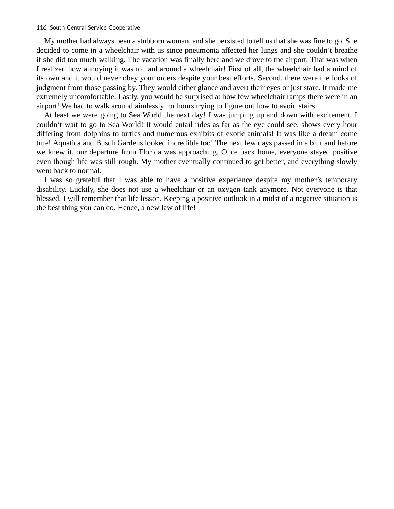My mother had always been a stubborn woman, and she persisted to tell us that she was fine to go. She decided to come in a wheelchair with us since pneumonia affected her lungs and she couldn't breathe if she did too much walking. The vacation was finally here and we drove to the airport. That was when I realized how annoying it was to haul around a wheelchair! First of all, the wheelchair had a mind of its own and it would never obey your orders despite your best efforts. Second, there were the looks of judgment from those passing by. They would either glance and avert their eyes or just stare. It made me extremely uncomfortable. Lastly, you would be surprised at how few wheelchair ramps there were in an airport! We had to walk around aimlessly for hours trying to figure out how to avoid stairs.

At least we were going to Sea World the next day! I was jumping up and down with excitement. I couldn't wait to go to Sea World! It would entail rides as far as the eye could see, shows every hour differing from dolphins to turtles and numerous exhibits of exotic animals! It was like a dream come true! Aquatica and Busch Gardens looked incredible too! The next few days passed in a blur and before we knew it, our departure from Florida was approaching. Once back home, everyone stayed positive even though life was still rough. My mother eventually continued to get better, and everything slowly went back to normal.

I was so grateful that I was able to have a positive experience despite my mother's temporary disability. Luckily, she does not use a wheelchair or an oxygen tank anymore. Not everyone is that blessed. I will remember that life lesson. Keeping a positive outlook in a midst of a negative situation is the best thing you can do. Hence, a new law of life!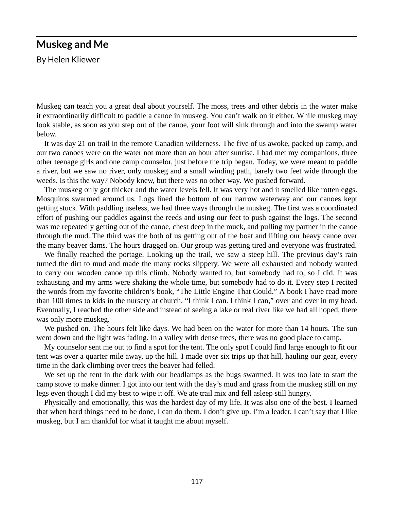#### **Muskeg and Me**

By Helen Kliewer

Muskeg can teach you a great deal about yourself. The moss, trees and other debris in the water make it extraordinarily difficult to paddle a canoe in muskeg. You can't walk on it either. While muskeg may look stable, as soon as you step out of the canoe, your foot will sink through and into the swamp water below.

It was day 21 on trail in the remote Canadian wilderness. The five of us awoke, packed up camp, and our two canoes were on the water not more than an hour after sunrise. I had met my companions, three other teenage girls and one camp counselor, just before the trip began. Today, we were meant to paddle a river, but we saw no river, only muskeg and a small winding path, barely two feet wide through the weeds. Is this the way? Nobody knew, but there was no other way. We pushed forward.

The muskeg only got thicker and the water levels fell. It was very hot and it smelled like rotten eggs. Mosquitos swarmed around us. Logs lined the bottom of our narrow waterway and our canoes kept getting stuck. With paddling useless, we had three ways through the muskeg. The first was a coordinated effort of pushing our paddles against the reeds and using our feet to push against the logs. The second was me repeatedly getting out of the canoe, chest deep in the muck, and pulling my partner in the canoe through the mud. The third was the both of us getting out of the boat and lifting our heavy canoe over the many beaver dams. The hours dragged on. Our group was getting tired and everyone was frustrated.

We finally reached the portage. Looking up the trail, we saw a steep hill. The previous day's rain turned the dirt to mud and made the many rocks slippery. We were all exhausted and nobody wanted to carry our wooden canoe up this climb. Nobody wanted to, but somebody had to, so I did. It was exhausting and my arms were shaking the whole time, but somebody had to do it. Every step I recited the words from my favorite children's book, "The Little Engine That Could." A book I have read more than 100 times to kids in the nursery at church. "I think I can. I think I can," over and over in my head. Eventually, I reached the other side and instead of seeing a lake or real river like we had all hoped, there was only more muskeg.

We pushed on. The hours felt like days. We had been on the water for more than 14 hours. The sun went down and the light was fading. In a valley with dense trees, there was no good place to camp.

My counselor sent me out to find a spot for the tent. The only spot I could find large enough to fit our tent was over a quarter mile away, up the hill. I made over six trips up that hill, hauling our gear, every time in the dark climbing over trees the beaver had felled.

We set up the tent in the dark with our headlamps as the bugs swarmed. It was too late to start the camp stove to make dinner. I got into our tent with the day's mud and grass from the muskeg still on my legs even though I did my best to wipe it off. We ate trail mix and fell asleep still hungry.

Physically and emotionally, this was the hardest day of my life. It was also one of the best. I learned that when hard things need to be done, I can do them. I don't give up. I'm a leader. I can't say that I like muskeg, but I am thankful for what it taught me about myself.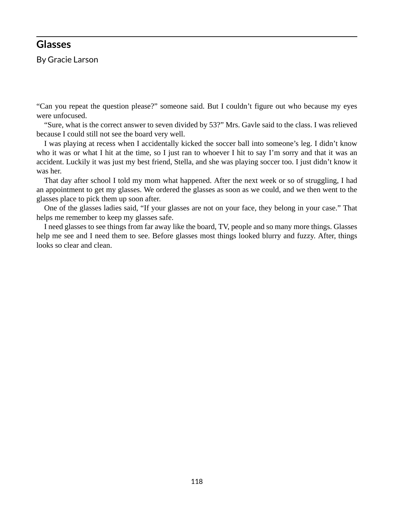#### **Glasses**

By Gracie Larson

"Can you repeat the question please?" someone said. But I couldn't figure out who because my eyes were unfocused.

"Sure, what is the correct answer to seven divided by 53?" Mrs. Gavle said to the class. I was relieved because I could still not see the board very well.

I was playing at recess when I accidentally kicked the soccer ball into someone's leg. I didn't know who it was or what I hit at the time, so I just ran to whoever I hit to say I'm sorry and that it was an accident. Luckily it was just my best friend, Stella, and she was playing soccer too. I just didn't know it was her.

That day after school I told my mom what happened. After the next week or so of struggling, I had an appointment to get my glasses. We ordered the glasses as soon as we could, and we then went to the glasses place to pick them up soon after.

One of the glasses ladies said, "If your glasses are not on your face, they belong in your case." That helps me remember to keep my glasses safe.

I need glasses to see things from far away like the board, TV, people and so many more things. Glasses help me see and I need them to see. Before glasses most things looked blurry and fuzzy. After, things looks so clear and clean.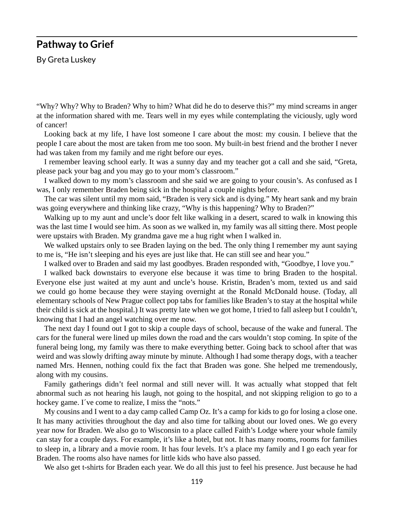#### **Pathway to Grief**

By Greta Luskey

"Why? Why? Why to Braden? Why to him? What did he do to deserve this?" my mind screams in anger at the information shared with me. Tears well in my eyes while contemplating the viciously, ugly word of cancer!

Looking back at my life, I have lost someone I care about the most: my cousin. I believe that the people I care about the most are taken from me too soon. My built-in best friend and the brother I never had was taken from my family and me right before our eyes.

I remember leaving school early. It was a sunny day and my teacher got a call and she said, "Greta, please pack your bag and you may go to your mom's classroom."

I walked down to my mom's classroom and she said we are going to your cousin's. As confused as I was, I only remember Braden being sick in the hospital a couple nights before.

The car was silent until my mom said, "Braden is very sick and is dying." My heart sank and my brain was going everywhere and thinking like crazy, "Why is this happening? Why to Braden?"

Walking up to my aunt and uncle's door felt like walking in a desert, scared to walk in knowing this was the last time I would see him. As soon as we walked in, my family was all sitting there. Most people were upstairs with Braden. My grandma gave me a hug right when I walked in.

We walked upstairs only to see Braden laying on the bed. The only thing I remember my aunt saying to me is, "He isn't sleeping and his eyes are just like that. He can still see and hear you."

I walked over to Braden and said my last goodbyes. Braden responded with, "Goodbye, I love you."

I walked back downstairs to everyone else because it was time to bring Braden to the hospital. Everyone else just waited at my aunt and uncle's house. Kristin, Braden's mom, texted us and said we could go home because they were staying overnight at the Ronald McDonald house. (Today, all elementary schools of New Prague collect pop tabs for families like Braden's to stay at the hospital while their child is sick at the hospital.) It was pretty late when we got home, I tried to fall asleep but I couldn't, knowing that I had an angel watching over me now.

The next day I found out I got to skip a couple days of school, because of the wake and funeral. The cars for the funeral were lined up miles down the road and the cars wouldn't stop coming. In spite of the funeral being long, my family was there to make everything better. Going back to school after that was weird and was slowly drifting away minute by minute. Although I had some therapy dogs, with a teacher named Mrs. Hennen, nothing could fix the fact that Braden was gone. She helped me tremendously, along with my cousins.

Family gatherings didn't feel normal and still never will. It was actually what stopped that felt abnormal such as not hearing his laugh, not going to the hospital, and not skipping religion to go to a hockey game. I´ve come to realize, I miss the "nots."

My cousins and I went to a day camp called Camp Oz. It's a camp for kids to go for losing a close one. It has many activities throughout the day and also time for talking about our loved ones. We go every year now for Braden. We also go to Wisconsin to a place called Faith's Lodge where your whole family can stay for a couple days. For example, it's like a hotel, but not. It has many rooms, rooms for families to sleep in, a library and a movie room. It has four levels. It's a place my family and I go each year for Braden. The rooms also have names for little kids who have also passed.

We also get t-shirts for Braden each year. We do all this just to feel his presence. Just because he had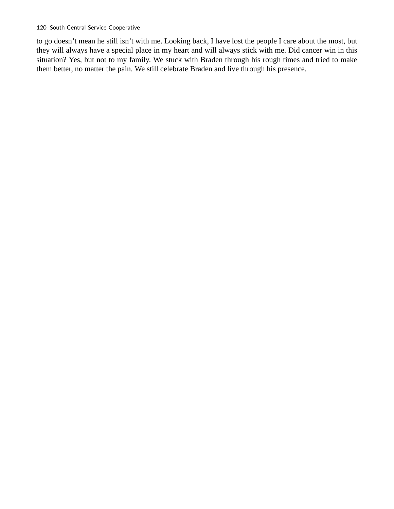to go doesn't mean he still isn't with me. Looking back, I have lost the people I care about the most, but they will always have a special place in my heart and will always stick with me. Did cancer win in this situation? Yes, but not to my family. We stuck with Braden through his rough times and tried to make them better, no matter the pain. We still celebrate Braden and live through his presence.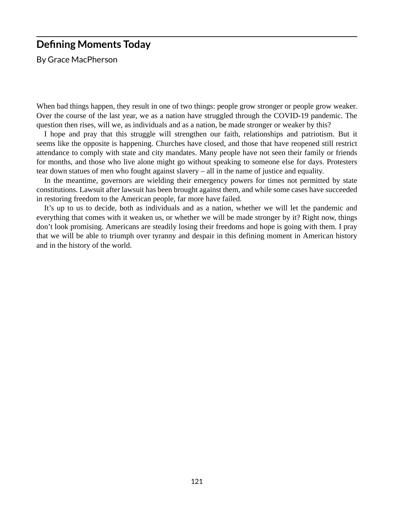### **Defining Moments Today**

By Grace MacPherson

When bad things happen, they result in one of two things: people grow stronger or people grow weaker. Over the course of the last year, we as a nation have struggled through the COVID-19 pandemic. The question then rises, will we, as individuals and as a nation, be made stronger or weaker by this?

I hope and pray that this struggle will strengthen our faith, relationships and patriotism. But it seems like the opposite is happening. Churches have closed, and those that have reopened still restrict attendance to comply with state and city mandates. Many people have not seen their family or friends for months, and those who live alone might go without speaking to someone else for days. Protesters tear down statues of men who fought against slavery – all in the name of justice and equality.

In the meantime, governors are wielding their emergency powers for times not permitted by state constitutions. Lawsuit after lawsuit has been brought against them, and while some cases have succeeded in restoring freedom to the American people, far more have failed.

It's up to us to decide, both as individuals and as a nation, whether we will let the pandemic and everything that comes with it weaken us, or whether we will be made stronger by it? Right now, things don't look promising. Americans are steadily losing their freedoms and hope is going with them. I pray that we will be able to triumph over tyranny and despair in this defining moment in American history and in the history of the world.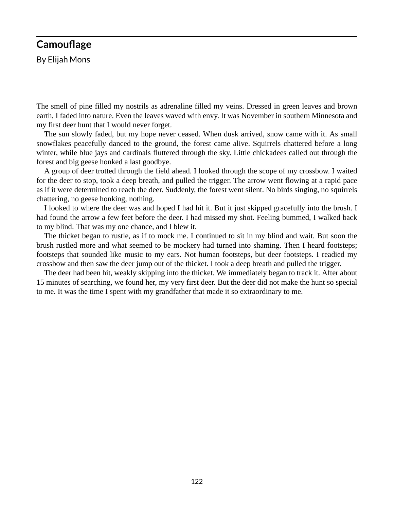#### **Camouflage**

By Elijah Mons

The smell of pine filled my nostrils as adrenaline filled my veins. Dressed in green leaves and brown earth, I faded into nature. Even the leaves waved with envy. It was November in southern Minnesota and my first deer hunt that I would never forget.

The sun slowly faded, but my hope never ceased. When dusk arrived, snow came with it. As small snowflakes peacefully danced to the ground, the forest came alive. Squirrels chattered before a long winter, while blue jays and cardinals fluttered through the sky. Little chickadees called out through the forest and big geese honked a last goodbye.

A group of deer trotted through the field ahead. I looked through the scope of my crossbow. I waited for the deer to stop, took a deep breath, and pulled the trigger. The arrow went flowing at a rapid pace as if it were determined to reach the deer. Suddenly, the forest went silent. No birds singing, no squirrels chattering, no geese honking, nothing.

I looked to where the deer was and hoped I had hit it. But it just skipped gracefully into the brush. I had found the arrow a few feet before the deer. I had missed my shot. Feeling bummed, I walked back to my blind. That was my one chance, and I blew it.

The thicket began to rustle, as if to mock me. I continued to sit in my blind and wait. But soon the brush rustled more and what seemed to be mockery had turned into shaming. Then I heard footsteps; footsteps that sounded like music to my ears. Not human footsteps, but deer footsteps. I readied my crossbow and then saw the deer jump out of the thicket. I took a deep breath and pulled the trigger.

The deer had been hit, weakly skipping into the thicket. We immediately began to track it. After about 15 minutes of searching, we found her, my very first deer. But the deer did not make the hunt so special to me. It was the time I spent with my grandfather that made it so extraordinary to me.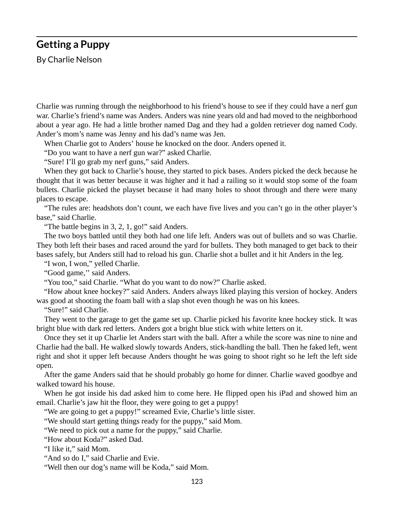### **Getting a Puppy**

By Charlie Nelson

Charlie was running through the neighborhood to his friend's house to see if they could have a nerf gun war. Charlie's friend's name was Anders. Anders was nine years old and had moved to the neighborhood about a year ago. He had a little brother named Dag and they had a golden retriever dog named Cody. Ander's mom's name was Jenny and his dad's name was Jen.

When Charlie got to Anders' house he knocked on the door. Anders opened it.

"Do you want to have a nerf gun war?" asked Charlie.

"Sure! I'll go grab my nerf guns," said Anders.

When they got back to Charlie's house, they started to pick bases. Anders picked the deck because he thought that it was better because it was higher and it had a railing so it would stop some of the foam bullets. Charlie picked the playset because it had many holes to shoot through and there were many places to escape.

"The rules are: headshots don't count, we each have five lives and you can't go in the other player's base," said Charlie.

"The battle begins in 3, 2, 1, go!" said Anders.

The two boys battled until they both had one life left. Anders was out of bullets and so was Charlie. They both left their bases and raced around the yard for bullets. They both managed to get back to their bases safely, but Anders still had to reload his gun. Charlie shot a bullet and it hit Anders in the leg.

"I won, I won," yelled Charlie.

"Good game," said Anders.

"You too," said Charlie. "What do you want to do now?" Charlie asked.

"How about knee hockey?" said Anders. Anders always liked playing this version of hockey. Anders was good at shooting the foam ball with a slap shot even though he was on his knees.

"Sure!" said Charlie.

They went to the garage to get the game set up. Charlie picked his favorite knee hockey stick. It was bright blue with dark red letters. Anders got a bright blue stick with white letters on it.

Once they set it up Charlie let Anders start with the ball. After a while the score was nine to nine and Charlie had the ball. He walked slowly towards Anders, stick-handling the ball. Then he faked left, went right and shot it upper left because Anders thought he was going to shoot right so he left the left side open.

After the game Anders said that he should probably go home for dinner. Charlie waved goodbye and walked toward his house.

When he got inside his dad asked him to come here. He flipped open his iPad and showed him an email. Charlie's jaw hit the floor, they were going to get a puppy!

"We are going to get a puppy!" screamed Evie, Charlie's little sister.

"We should start getting things ready for the puppy," said Mom.

"We need to pick out a name for the puppy," said Charlie.

"How about Koda?" asked Dad.

"I like it," said Mom.

"And so do I," said Charlie and Evie.

"Well then our dog's name will be Koda," said Mom.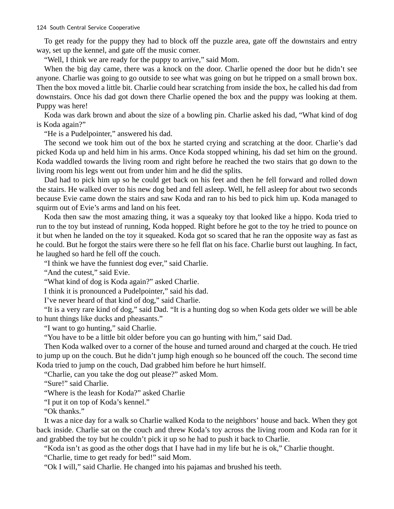To get ready for the puppy they had to block off the puzzle area, gate off the downstairs and entry way, set up the kennel, and gate off the music corner.

"Well, I think we are ready for the puppy to arrive," said Mom.

When the big day came, there was a knock on the door. Charlie opened the door but he didn't see anyone. Charlie was going to go outside to see what was going on but he tripped on a small brown box. Then the box moved a little bit. Charlie could hear scratching from inside the box, he called his dad from downstairs. Once his dad got down there Charlie opened the box and the puppy was looking at them. Puppy was here!

Koda was dark brown and about the size of a bowling pin. Charlie asked his dad, "What kind of dog is Koda again?"

"He is a Pudelpointer," answered his dad.

The second we took him out of the box he started crying and scratching at the door. Charlie's dad picked Koda up and held him in his arms. Once Koda stopped whining, his dad set him on the ground. Koda waddled towards the living room and right before he reached the two stairs that go down to the living room his legs went out from under him and he did the splits.

Dad had to pick him up so he could get back on his feet and then he fell forward and rolled down the stairs. He walked over to his new dog bed and fell asleep. Well, he fell asleep for about two seconds because Evie came down the stairs and saw Koda and ran to his bed to pick him up. Koda managed to squirm out of Evie's arms and land on his feet.

Koda then saw the most amazing thing, it was a squeaky toy that looked like a hippo. Koda tried to run to the toy but instead of running, Koda hopped. Right before he got to the toy he tried to pounce on it but when he landed on the toy it squeaked. Koda got so scared that he ran the opposite way as fast as he could. But he forgot the stairs were there so he fell flat on his face. Charlie burst out laughing. In fact, he laughed so hard he fell off the couch.

"I think we have the funniest dog ever," said Charlie.

"And the cutest," said Evie.

"What kind of dog is Koda again?" asked Charlie.

I think it is pronounced a Pudelpointer," said his dad.

I've never heard of that kind of dog," said Charlie.

"It is a very rare kind of dog," said Dad. "It is a hunting dog so when Koda gets older we will be able to hunt things like ducks and pheasants."

"I want to go hunting," said Charlie.

"You have to be a little bit older before you can go hunting with him," said Dad.

Then Koda walked over to a corner of the house and turned around and charged at the couch. He tried to jump up on the couch. But he didn't jump high enough so he bounced off the couch. The second time Koda tried to jump on the couch, Dad grabbed him before he hurt himself.

"Charlie, can you take the dog out please?" asked Mom.

"Sure!" said Charlie.

"Where is the leash for Koda?" asked Charlie

"I put it on top of Koda's kennel."

"Ok thanks."

It was a nice day for a walk so Charlie walked Koda to the neighbors' house and back. When they got back inside. Charlie sat on the couch and threw Koda's toy across the living room and Koda ran for it and grabbed the toy but he couldn't pick it up so he had to push it back to Charlie.

"Koda isn't as good as the other dogs that I have had in my life but he is ok," Charlie thought.

"Charlie, time to get ready for bed!" said Mom.

"Ok I will," said Charlie. He changed into his pajamas and brushed his teeth.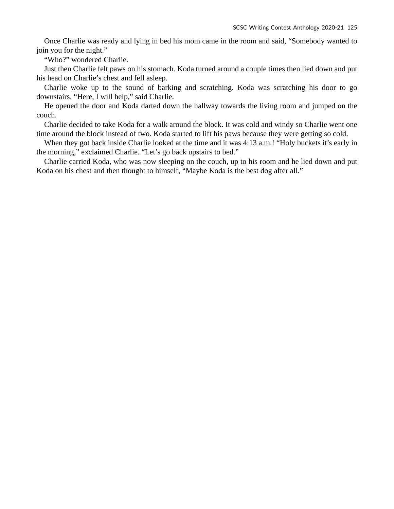Once Charlie was ready and lying in bed his mom came in the room and said, "Somebody wanted to join you for the night."

"Who?" wondered Charlie.

Just then Charlie felt paws on his stomach. Koda turned around a couple times then lied down and put his head on Charlie's chest and fell asleep.

Charlie woke up to the sound of barking and scratching. Koda was scratching his door to go downstairs. "Here, I will help," said Charlie.

He opened the door and Koda darted down the hallway towards the living room and jumped on the couch.

Charlie decided to take Koda for a walk around the block. It was cold and windy so Charlie went one time around the block instead of two. Koda started to lift his paws because they were getting so cold.

When they got back inside Charlie looked at the time and it was 4:13 a.m.! "Holy buckets it's early in the morning," exclaimed Charlie. "Let's go back upstairs to bed."

Charlie carried Koda, who was now sleeping on the couch, up to his room and he lied down and put Koda on his chest and then thought to himself, "Maybe Koda is the best dog after all."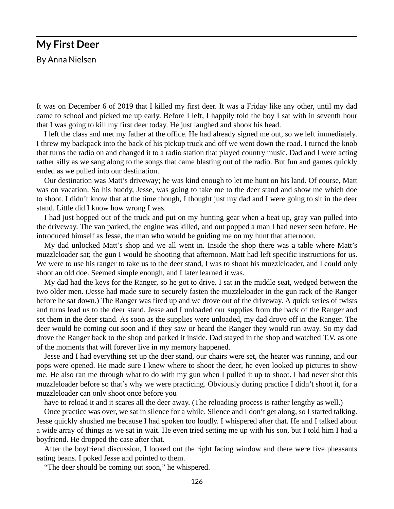# **My First Deer**

By Anna Nielsen

It was on December 6 of 2019 that I killed my first deer. It was a Friday like any other, until my dad came to school and picked me up early. Before I left, I happily told the boy I sat with in seventh hour that I was going to kill my first deer today. He just laughed and shook his head.

I left the class and met my father at the office. He had already signed me out, so we left immediately. I threw my backpack into the back of his pickup truck and off we went down the road. I turned the knob that turns the radio on and changed it to a radio station that played country music. Dad and I were acting rather silly as we sang along to the songs that came blasting out of the radio. But fun and games quickly ended as we pulled into our destination.

Our destination was Matt's driveway; he was kind enough to let me hunt on his land. Of course, Matt was on vacation. So his buddy, Jesse, was going to take me to the deer stand and show me which doe to shoot. I didn't know that at the time though, I thought just my dad and I were going to sit in the deer stand. Little did I know how wrong I was.

I had just hopped out of the truck and put on my hunting gear when a beat up, gray van pulled into the driveway. The van parked, the engine was killed, and out popped a man I had never seen before. He introduced himself as Jesse, the man who would be guiding me on my hunt that afternoon.

My dad unlocked Matt's shop and we all went in. Inside the shop there was a table where Matt's muzzleloader sat; the gun I would be shooting that afternoon. Matt had left specific instructions for us. We were to use his ranger to take us to the deer stand, I was to shoot his muzzleloader, and I could only shoot an old doe. Seemed simple enough, and I later learned it was.

My dad had the keys for the Ranger, so he got to drive. I sat in the middle seat, wedged between the two older men. (Jesse had made sure to securely fasten the muzzleloader in the gun rack of the Ranger before he sat down.) The Ranger was fired up and we drove out of the driveway. A quick series of twists and turns lead us to the deer stand. Jesse and I unloaded our supplies from the back of the Ranger and set them in the deer stand. As soon as the supplies were unloaded, my dad drove off in the Ranger. The deer would be coming out soon and if they saw or heard the Ranger they would run away. So my dad drove the Ranger back to the shop and parked it inside. Dad stayed in the shop and watched T.V. as one of the moments that will forever live in my memory happened.

Jesse and I had everything set up the deer stand, our chairs were set, the heater was running, and our pops were opened. He made sure I knew where to shoot the deer, he even looked up pictures to show me. He also ran me through what to do with my gun when I pulled it up to shoot. I had never shot this muzzleloader before so that's why we were practicing. Obviously during practice I didn't shoot it, for a muzzleloader can only shoot once before you

have to reload it and it scares all the deer away. (The reloading process is rather lengthy as well.)

Once practice was over, we sat in silence for a while. Silence and I don't get along, so I started talking. Jesse quickly shushed me because I had spoken too loudly. I whispered after that. He and I talked about a wide array of things as we sat in wait. He even tried setting me up with his son, but I told him I had a boyfriend. He dropped the case after that.

After the boyfriend discussion, I looked out the right facing window and there were five pheasants eating beans. I poked Jesse and pointed to them.

"The deer should be coming out soon," he whispered.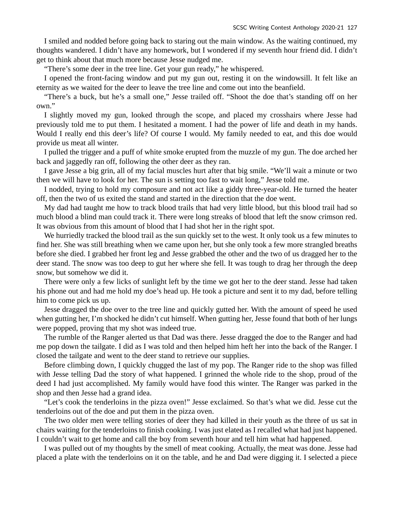I smiled and nodded before going back to staring out the main window. As the waiting continued, my thoughts wandered. I didn't have any homework, but I wondered if my seventh hour friend did. I didn't get to think about that much more because Jesse nudged me.

"There's some deer in the tree line. Get your gun ready," he whispered.

I opened the front-facing window and put my gun out, resting it on the windowsill. It felt like an eternity as we waited for the deer to leave the tree line and come out into the beanfield.

"There's a buck, but he's a small one," Jesse trailed off. "Shoot the doe that's standing off on her own."

I slightly moved my gun, looked through the scope, and placed my crosshairs where Jesse had previously told me to put them. I hesitated a moment. I had the power of life and death in my hands. Would I really end this deer's life? Of course I would. My family needed to eat, and this doe would provide us meat all winter.

I pulled the trigger and a puff of white smoke erupted from the muzzle of my gun. The doe arched her back and jaggedly ran off, following the other deer as they ran.

I gave Jesse a big grin, all of my facial muscles hurt after that big smile. "We'll wait a minute or two then we will have to look for her. The sun is setting too fast to wait long," Jesse told me.

I nodded, trying to hold my composure and not act like a giddy three-year-old. He turned the heater off, then the two of us exited the stand and started in the direction that the doe went.

My dad had taught me how to track blood trails that had very little blood, but this blood trail had so much blood a blind man could track it. There were long streaks of blood that left the snow crimson red. It was obvious from this amount of blood that I had shot her in the right spot.

We hurriedly tracked the blood trail as the sun quickly set to the west. It only took us a few minutes to find her. She was still breathing when we came upon her, but she only took a few more strangled breaths before she died. I grabbed her front leg and Jesse grabbed the other and the two of us dragged her to the deer stand. The snow was too deep to gut her where she fell. It was tough to drag her through the deep snow, but somehow we did it.

There were only a few licks of sunlight left by the time we got her to the deer stand. Jesse had taken his phone out and had me hold my doe's head up. He took a picture and sent it to my dad, before telling him to come pick us up.

Jesse dragged the doe over to the tree line and quickly gutted her. With the amount of speed he used when gutting her, I'm shocked he didn't cut himself. When gutting her, Jesse found that both of her lungs were popped, proving that my shot was indeed true.

The rumble of the Ranger alerted us that Dad was there. Jesse dragged the doe to the Ranger and had me pop down the tailgate. I did as I was told and then helped him heft her into the back of the Ranger. I closed the tailgate and went to the deer stand to retrieve our supplies.

Before climbing down, I quickly chugged the last of my pop. The Ranger ride to the shop was filled with Jesse telling Dad the story of what happened. I grinned the whole ride to the shop, proud of the deed I had just accomplished. My family would have food this winter. The Ranger was parked in the shop and then Jesse had a grand idea.

"Let's cook the tenderloins in the pizza oven!" Jesse exclaimed. So that's what we did. Jesse cut the tenderloins out of the doe and put them in the pizza oven.

The two older men were telling stories of deer they had killed in their youth as the three of us sat in chairs waiting for the tenderloins to finish cooking. I was just elated as I recalled what had just happened. I couldn't wait to get home and call the boy from seventh hour and tell him what had happened.

I was pulled out of my thoughts by the smell of meat cooking. Actually, the meat was done. Jesse had placed a plate with the tenderloins on it on the table, and he and Dad were digging it. I selected a piece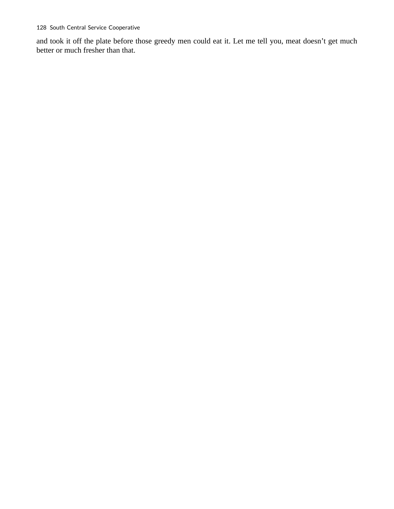and took it off the plate before those greedy men could eat it. Let me tell you, meat doesn't get much better or much fresher than that.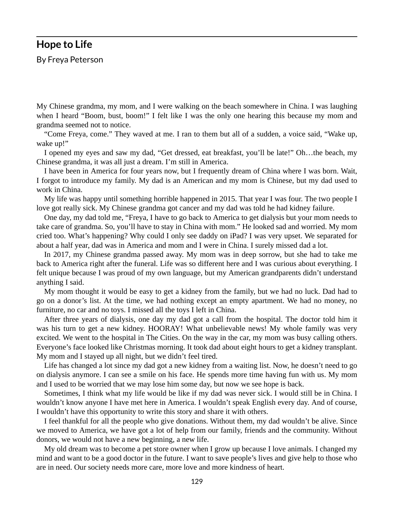#### **Hope to Life**

By Freya Peterson

My Chinese grandma, my mom, and I were walking on the beach somewhere in China. I was laughing when I heard "Boom, bust, boom!" I felt like I was the only one hearing this because my mom and grandma seemed not to notice.

"Come Freya, come." They waved at me. I ran to them but all of a sudden, a voice said, "Wake up, wake up!"

I opened my eyes and saw my dad, "Get dressed, eat breakfast, you'll be late!" Oh…the beach, my Chinese grandma, it was all just a dream. I'm still in America.

I have been in America for four years now, but I frequently dream of China where I was born. Wait, I forgot to introduce my family. My dad is an American and my mom is Chinese, but my dad used to work in China.

My life was happy until something horrible happened in 2015. That year I was four. The two people I love got really sick. My Chinese grandma got cancer and my dad was told he had kidney failure.

One day, my dad told me, "Freya, I have to go back to America to get dialysis but your mom needs to take care of grandma. So, you'll have to stay in China with mom." He looked sad and worried. My mom cried too. What's happening? Why could I only see daddy on iPad? I was very upset. We separated for about a half year, dad was in America and mom and I were in China. I surely missed dad a lot.

In 2017, my Chinese grandma passed away. My mom was in deep sorrow, but she had to take me back to America right after the funeral. Life was so different here and I was curious about everything. I felt unique because I was proud of my own language, but my American grandparents didn't understand anything I said.

My mom thought it would be easy to get a kidney from the family, but we had no luck. Dad had to go on a donor's list. At the time, we had nothing except an empty apartment. We had no money, no furniture, no car and no toys. I missed all the toys I left in China.

After three years of dialysis, one day my dad got a call from the hospital. The doctor told him it was his turn to get a new kidney. HOORAY! What unbelievable news! My whole family was very excited. We went to the hospital in The Cities. On the way in the car, my mom was busy calling others. Everyone's face looked like Christmas morning. It took dad about eight hours to get a kidney transplant. My mom and I stayed up all night, but we didn't feel tired.

Life has changed a lot since my dad got a new kidney from a waiting list. Now, he doesn't need to go on dialysis anymore. I can see a smile on his face. He spends more time having fun with us. My mom and I used to be worried that we may lose him some day, but now we see hope is back.

Sometimes, I think what my life would be like if my dad was never sick. I would still be in China. I wouldn't know anyone I have met here in America. I wouldn't speak English every day. And of course, I wouldn't have this opportunity to write this story and share it with others.

I feel thankful for all the people who give donations. Without them, my dad wouldn't be alive. Since we moved to America, we have got a lot of help from our family, friends and the community. Without donors, we would not have a new beginning, a new life.

My old dream was to become a pet store owner when I grow up because I love animals. I changed my mind and want to be a good doctor in the future. I want to save people's lives and give help to those who are in need. Our society needs more care, more love and more kindness of heart.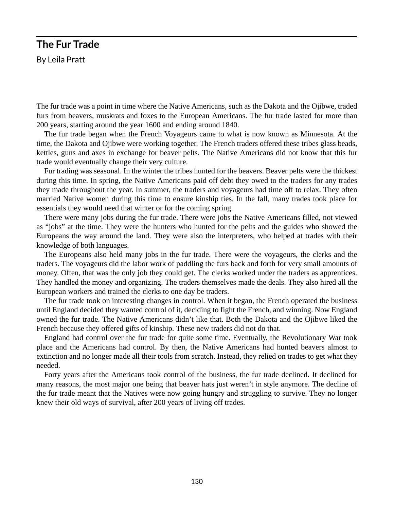## **The Fur Trade**  By Leila Pratt

The fur trade was a point in time where the Native Americans, such as the Dakota and the Ojibwe, traded furs from beavers, muskrats and foxes to the European Americans. The fur trade lasted for more than 200 years, starting around the year 1600 and ending around 1840.

The fur trade began when the French Voyageurs came to what is now known as Minnesota. At the time, the Dakota and Ojibwe were working together. The French traders offered these tribes glass beads, kettles, guns and axes in exchange for beaver pelts. The Native Americans did not know that this fur trade would eventually change their very culture.

Fur trading was seasonal. In the winter the tribes hunted for the beavers. Beaver pelts were the thickest during this time. In spring, the Native Americans paid off debt they owed to the traders for any trades they made throughout the year. In summer, the traders and voyageurs had time off to relax. They often married Native women during this time to ensure kinship ties. In the fall, many trades took place for essentials they would need that winter or for the coming spring.

There were many jobs during the fur trade. There were jobs the Native Americans filled, not viewed as "jobs" at the time. They were the hunters who hunted for the pelts and the guides who showed the Europeans the way around the land. They were also the interpreters, who helped at trades with their knowledge of both languages.

The Europeans also held many jobs in the fur trade. There were the voyageurs, the clerks and the traders. The voyageurs did the labor work of paddling the furs back and forth for very small amounts of money. Often, that was the only job they could get. The clerks worked under the traders as apprentices. They handled the money and organizing. The traders themselves made the deals. They also hired all the European workers and trained the clerks to one day be traders.

The fur trade took on interesting changes in control. When it began, the French operated the business until England decided they wanted control of it, deciding to fight the French, and winning. Now England owned the fur trade. The Native Americans didn't like that. Both the Dakota and the Ojibwe liked the French because they offered gifts of kinship. These new traders did not do that.

England had control over the fur trade for quite some time. Eventually, the Revolutionary War took place and the Americans had control. By then, the Native Americans had hunted beavers almost to extinction and no longer made all their tools from scratch. Instead, they relied on trades to get what they needed.

Forty years after the Americans took control of the business, the fur trade declined. It declined for many reasons, the most major one being that beaver hats just weren't in style anymore. The decline of the fur trade meant that the Natives were now going hungry and struggling to survive. They no longer knew their old ways of survival, after 200 years of living off trades.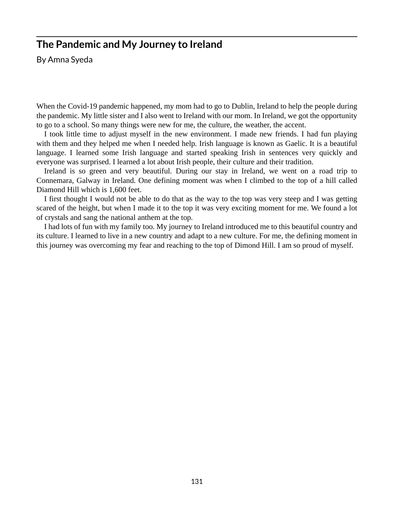## **The Pandemic and My Journey to Ireland**

By Amna Syeda

When the Covid-19 pandemic happened, my mom had to go to Dublin, Ireland to help the people during the pandemic. My little sister and I also went to Ireland with our mom. In Ireland, we got the opportunity to go to a school. So many things were new for me, the culture, the weather, the accent.

I took little time to adjust myself in the new environment. I made new friends. I had fun playing with them and they helped me when I needed help. Irish language is known as Gaelic. It is a beautiful language. I learned some Irish language and started speaking Irish in sentences very quickly and everyone was surprised. I learned a lot about Irish people, their culture and their tradition.

Ireland is so green and very beautiful. During our stay in Ireland, we went on a road trip to Connemara, Galway in Ireland. One defining moment was when I climbed to the top of a hill called Diamond Hill which is 1,600 feet.

I first thought I would not be able to do that as the way to the top was very steep and I was getting scared of the height, but when I made it to the top it was very exciting moment for me. We found a lot of crystals and sang the national anthem at the top.

I had lots of fun with my family too. My journey to Ireland introduced me to this beautiful country and its culture. I learned to live in a new country and adapt to a new culture. For me, the defining moment in this journey was overcoming my fear and reaching to the top of Dimond Hill. I am so proud of myself.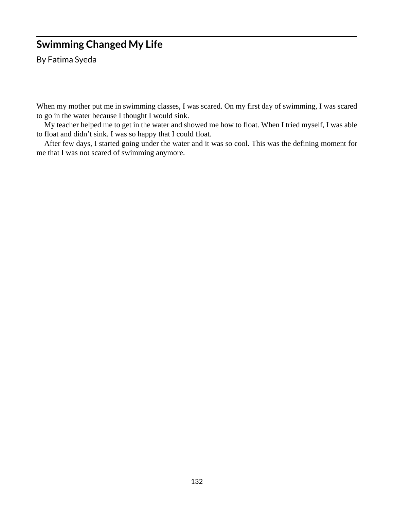# **Swimming Changed My Life**

By Fatima Syeda

When my mother put me in swimming classes, I was scared. On my first day of swimming, I was scared to go in the water because I thought I would sink.

My teacher helped me to get in the water and showed me how to float. When I tried myself, I was able to float and didn't sink. I was so happy that I could float.

After few days, I started going under the water and it was so cool. This was the defining moment for me that I was not scared of swimming anymore.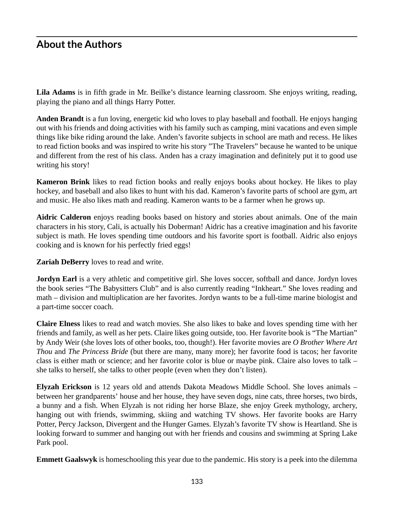## **About the Authors**

**Lila Adams** is in fifth grade in Mr. Beilke's distance learning classroom. She enjoys writing, reading, playing the piano and all things Harry Potter.

**Anden Brandt** is a fun loving, energetic kid who loves to play baseball and football. He enjoys hanging out with his friends and doing activities with his family such as camping, mini vacations and even simple things like bike riding around the lake. Anden's favorite subjects in school are math and recess. He likes to read fiction books and was inspired to write his story "The Travelers" because he wanted to be unique and different from the rest of his class. Anden has a crazy imagination and definitely put it to good use writing his story!

**Kameron Brink** likes to read fiction books and really enjoys books about hockey. He likes to play hockey, and baseball and also likes to hunt with his dad. Kameron's favorite parts of school are gym, art and music. He also likes math and reading. Kameron wants to be a farmer when he grows up.

**Aidric Calderon** enjoys reading books based on history and stories about animals. One of the main characters in his story, Cali, is actually his Doberman! Aidric has a creative imagination and his favorite subject is math. He loves spending time outdoors and his favorite sport is football. Aidric also enjoys cooking and is known for his perfectly fried eggs!

**Zariah DeBerry** loves to read and write.

**Jordyn Earl** is a very athletic and competitive girl. She loves soccer, softball and dance. Jordyn loves the book series "The Babysitters Club" and is also currently reading "Inkheart." She loves reading and math – division and multiplication are her favorites. Jordyn wants to be a full-time marine biologist and a part-time soccer coach.

**Claire Elness** likes to read and watch movies. She also likes to bake and loves spending time with her friends and family, as well as her pets. Claire likes going outside, too. Her favorite book is "The Martian" by Andy Weir (she loves lots of other books, too, though!). Her favorite movies are *O Brother Where Art Thou* and *The Princess Bride* (but there are many, many more); her favorite food is tacos; her favorite class is either math or science; and her favorite color is blue or maybe pink. Claire also loves to talk – she talks to herself, she talks to other people (even when they don't listen).

**Elyzah Erickson** is 12 years old and attends Dakota Meadows Middle School. She loves animals – between her grandparents' house and her house, they have seven dogs, nine cats, three horses, two birds, a bunny and a fish. When Elyzah is not riding her horse Blaze, she enjoy Greek mythology, archery, hanging out with friends, swimming, skiing and watching TV shows. Her favorite books are Harry Potter, Percy Jackson, Divergent and the Hunger Games. Elyzah's favorite TV show is Heartland. She is looking forward to summer and hanging out with her friends and cousins and swimming at Spring Lake Park pool.

**Emmett Gaalswyk** is homeschooling this year due to the pandemic. His story is a peek into the dilemma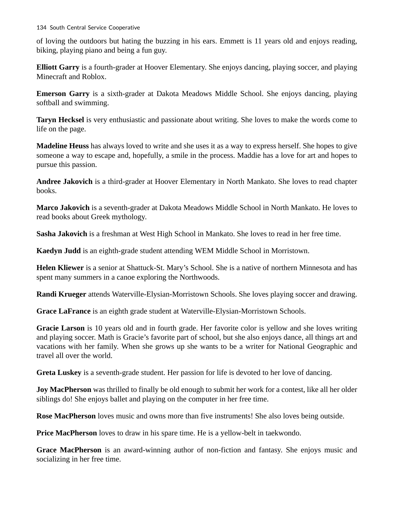of loving the outdoors but hating the buzzing in his ears. Emmett is 11 years old and enjoys reading, biking, playing piano and being a fun guy.

**Elliott Garry** is a fourth-grader at Hoover Elementary. She enjoys dancing, playing soccer, and playing Minecraft and Roblox.

**Emerson Garry** is a sixth-grader at Dakota Meadows Middle School. She enjoys dancing, playing softball and swimming.

**Taryn Hecksel** is very enthusiastic and passionate about writing. She loves to make the words come to life on the page.

**Madeline Heuss** has always loved to write and she uses it as a way to express herself. She hopes to give someone a way to escape and, hopefully, a smile in the process. Maddie has a love for art and hopes to pursue this passion.

**Andree Jakovich** is a third-grader at Hoover Elementary in North Mankato. She loves to read chapter books.

**Marco Jakovich** is a seventh-grader at Dakota Meadows Middle School in North Mankato. He loves to read books about Greek mythology.

**Sasha Jakovich** is a freshman at West High School in Mankato. She loves to read in her free time.

**Kaedyn Judd** is an eighth-grade student attending WEM Middle School in Morristown.

**Helen Kliewer** is a senior at Shattuck-St. Mary's School. She is a native of northern Minnesota and has spent many summers in a canoe exploring the Northwoods.

**Randi Krueger** attends Waterville-Elysian-Morristown Schools. She loves playing soccer and drawing.

**Grace LaFrance** is an eighth grade student at Waterville-Elysian-Morristown Schools.

**Gracie Larson** is 10 years old and in fourth grade. Her favorite color is yellow and she loves writing and playing soccer. Math is Gracie's favorite part of school, but she also enjoys dance, all things art and vacations with her family. When she grows up she wants to be a writer for National Geographic and travel all over the world.

**Greta Luskey** is a seventh-grade student. Her passion for life is devoted to her love of dancing.

**Joy MacPherson** was thrilled to finally be old enough to submit her work for a contest, like all her older siblings do! She enjoys ballet and playing on the computer in her free time.

**Rose MacPherson** loves music and owns more than five instruments! She also loves being outside.

**Price MacPherson** loves to draw in his spare time. He is a yellow-belt in taekwondo.

**Grace MacPherson** is an award-winning author of non-fiction and fantasy. She enjoys music and socializing in her free time.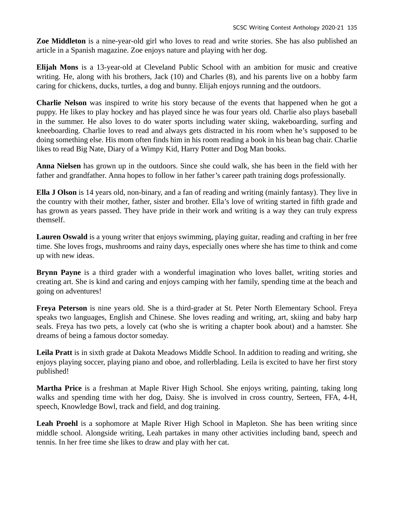**Zoe Middleton** is a nine-year-old girl who loves to read and write stories. She has also published an article in a Spanish magazine. Zoe enjoys nature and playing with her dog.

**Elijah Mons** is a 13-year-old at Cleveland Public School with an ambition for music and creative writing. He, along with his brothers, Jack (10) and Charles (8), and his parents live on a hobby farm caring for chickens, ducks, turtles, a dog and bunny. Elijah enjoys running and the outdoors.

**Charlie Nelson** was inspired to write his story because of the events that happened when he got a puppy. He likes to play hockey and has played since he was four years old. Charlie also plays baseball in the summer. He also loves to do water sports including water skiing, wakeboarding, surfing and kneeboarding. Charlie loves to read and always gets distracted in his room when he's supposed to be doing something else. His mom often finds him in his room reading a book in his bean bag chair. Charlie likes to read Big Nate, Diary of a Wimpy Kid, Harry Potter and Dog Man books.

**Anna Nielsen** has grown up in the outdoors. Since she could walk, she has been in the field with her father and grandfather. Anna hopes to follow in her father's career path training dogs professionally.

**Ella J Olson** is 14 years old, non-binary, and a fan of reading and writing (mainly fantasy). They live in the country with their mother, father, sister and brother. Ella's love of writing started in fifth grade and has grown as years passed. They have pride in their work and writing is a way they can truly express themself.

**Lauren Oswald** is a young writer that enjoys swimming, playing guitar, reading and crafting in her free time. She loves frogs, mushrooms and rainy days, especially ones where she has time to think and come up with new ideas.

**Brynn Payne** is a third grader with a wonderful imagination who loves ballet, writing stories and creating art. She is kind and caring and enjoys camping with her family, spending time at the beach and going on adventures!

**Freya Peterson** is nine years old. She is a third-grader at St. Peter North Elementary School. Freya speaks two languages, English and Chinese. She loves reading and writing, art, skiing and baby harp seals. Freya has two pets, a lovely cat (who she is writing a chapter book about) and a hamster. She dreams of being a famous doctor someday.

**Leila Pratt** is in sixth grade at Dakota Meadows Middle School. In addition to reading and writing, she enjoys playing soccer, playing piano and oboe, and rollerblading. Leila is excited to have her first story published!

**Martha Price** is a freshman at Maple River High School. She enjoys writing, painting, taking long walks and spending time with her dog, Daisy. She is involved in cross country, Serteen, FFA, 4-H, speech, Knowledge Bowl, track and field, and dog training.

**Leah Proehl** is a sophomore at Maple River High School in Mapleton. She has been writing since middle school. Alongside writing, Leah partakes in many other activities including band, speech and tennis. In her free time she likes to draw and play with her cat.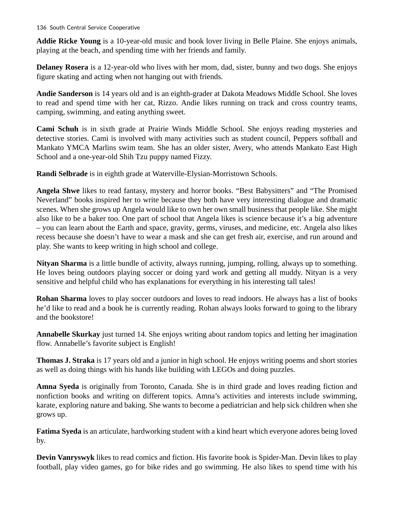136 South Central Service Cooperative

**Addie Ricke Young** is a 10-year-old music and book lover living in Belle Plaine. She enjoys animals, playing at the beach, and spending time with her friends and family.

**Delaney Rosera** is a 12-year-old who lives with her mom, dad, sister, bunny and two dogs. She enjoys figure skating and acting when not hanging out with friends.

**Andie Sanderson** is 14 years old and is an eighth-grader at Dakota Meadows Middle School. She loves to read and spend time with her cat, Rizzo. Andie likes running on track and cross country teams, camping, swimming, and eating anything sweet.

**Cami Schuh** is in sixth grade at Prairie Winds Middle School. She enjoys reading mysteries and detective stories. Cami is involved with many activities such as student council, Peppers softball and Mankato YMCA Marlins swim team. She has an older sister, Avery, who attends Mankato East High School and a one-year-old Shih Tzu puppy named Fizzy.

**Randi Selbrade** is in eighth grade at Waterville-Elysian-Morristown Schools.

**Angela Shwe** likes to read fantasy, mystery and horror books. "Best Babysitters" and "The Promised Neverland" books inspired her to write because they both have very interesting dialogue and dramatic scenes. When she grows up Angela would like to own her own small business that people like. She might also like to be a baker too. One part of school that Angela likes is science because it's a big adventure – you can learn about the Earth and space, gravity, germs, viruses, and medicine, etc. Angela also likes recess because she doesn't have to wear a mask and she can get fresh air, exercise, and run around and play. She wants to keep writing in high school and college.

**Nityan Sharma** is a little bundle of activity, always running, jumping, rolling, always up to something. He loves being outdoors playing soccer or doing yard work and getting all muddy. Nityan is a very sensitive and helpful child who has explanations for everything in his interesting tall tales!

**Rohan Sharma** loves to play soccer outdoors and loves to read indoors. He always has a list of books he'd like to read and a book he is currently reading. Rohan always looks forward to going to the library and the bookstore!

**Annabelle Skurkay** just turned 14. She enjoys writing about random topics and letting her imagination flow. Annabelle's favorite subject is English!

**Thomas J. Straka** is 17 years old and a junior in high school. He enjoys writing poems and short stories as well as doing things with his hands like building with LEGOs and doing puzzles.

**Amna Syeda** is originally from Toronto, Canada. She is in third grade and loves reading fiction and nonfiction books and writing on different topics. Amna's activities and interests include swimming, karate, exploring nature and baking. She wants to become a pediatrician and help sick children when she grows up.

**Fatima Syeda** is an articulate, hardworking student with a kind heart which everyone adores being loved by.

**Devin Vanryswyk** likes to read comics and fiction. His favorite book is Spider-Man. Devin likes to play football, play video games, go for bike rides and go swimming. He also likes to spend time with his